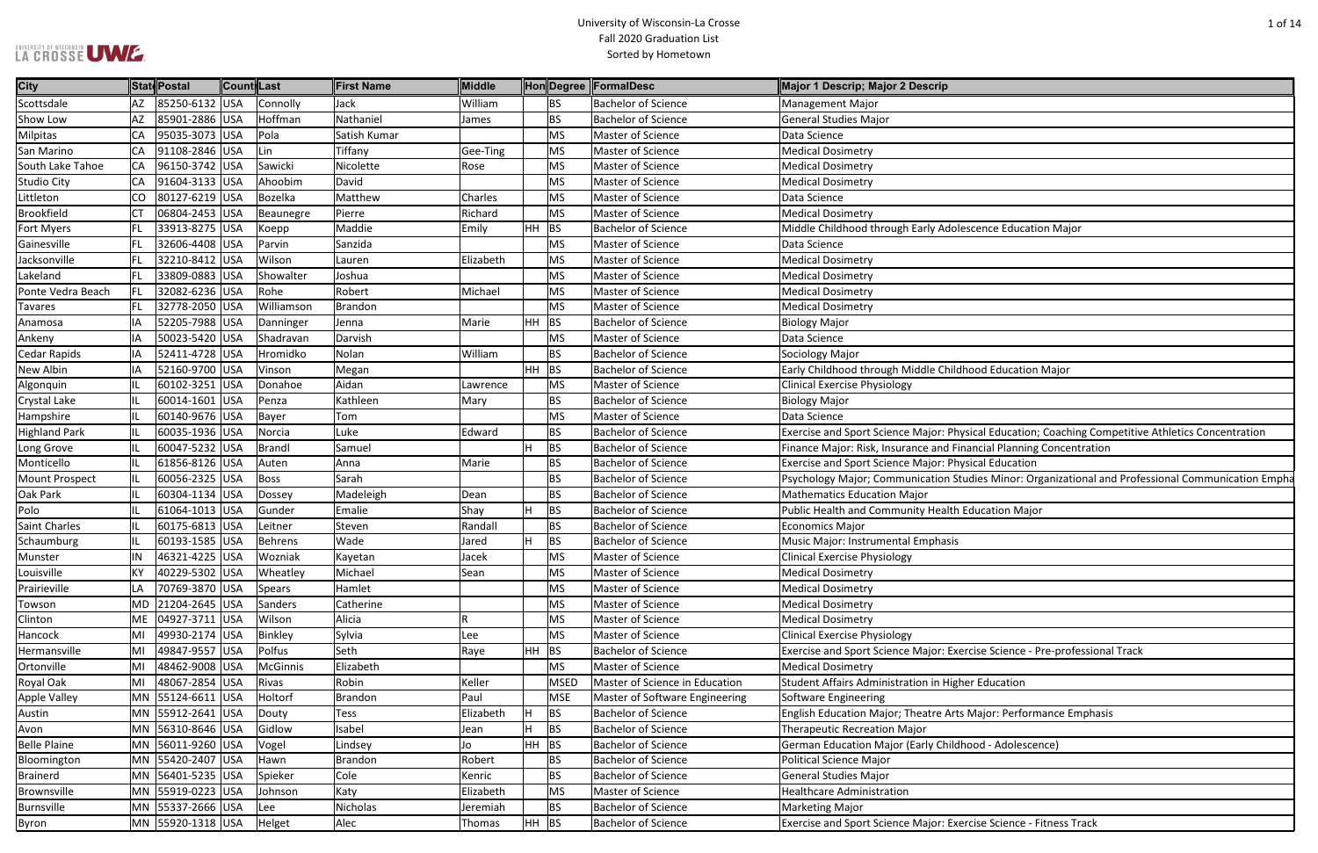#### University of Wisconsin-La Crosse Fall 2020 Graduation List Sorted by Hometown

| scence Education Major                                          |
|-----------------------------------------------------------------|
|                                                                 |
|                                                                 |
|                                                                 |
|                                                                 |
|                                                                 |
|                                                                 |
|                                                                 |
|                                                                 |
| ood Education Major                                             |
|                                                                 |
|                                                                 |
|                                                                 |
| sical Education; Coaching Competitive Athletics Concentration   |
| ancial Planning Concentration                                   |
| sical Education                                                 |
| dies Minor: Organizational and Professional Communication Empha |
| ducation Major                                                  |
|                                                                 |
|                                                                 |
|                                                                 |
|                                                                 |
|                                                                 |
|                                                                 |
|                                                                 |
|                                                                 |
| cise Science - Pre-professional Track                           |
|                                                                 |
| er Education                                                    |
|                                                                 |
| Major: Performance Emphasis                                     |
|                                                                 |
| ood - Adolescence)                                              |
|                                                                 |
|                                                                 |
|                                                                 |
|                                                                 |
|                                                                 |

| City                  |      | State Postal          | Count Last |            | <b>First Name</b> | Middle    |                 | HonDegree FormalDesc           | Major 1 Descrip; Major 2 Descrip                                                                   |
|-----------------------|------|-----------------------|------------|------------|-------------------|-----------|-----------------|--------------------------------|----------------------------------------------------------------------------------------------------|
| Scottsdale            |      | AZ 85250-6132 USA     |            | Connolly   | Jack              | William   | <b>BS</b>       | <b>Bachelor of Science</b>     | Management Major                                                                                   |
| Show Low              |      | AZ 85901-2886 USA     |            | Hoffman    | Nathaniel         | James     | <b>BS</b>       | <b>Bachelor of Science</b>     | <b>General Studies Major</b>                                                                       |
| <b>Milpitas</b>       |      | CA 95035-3073 USA     |            | Pola       | Satish Kumar      |           | <b>MS</b>       | Master of Science              | Data Science                                                                                       |
| San Marino            |      | CA 91108-2846 USA     |            | Lin        | Tiffany           | Gee-Ting  | <b>MS</b>       | Master of Science              | <b>Medical Dosimetry</b>                                                                           |
| South Lake Tahoe      |      | CA 96150-3742 USA     |            | Sawicki    | Nicolette         | Rose      | <b>MS</b>       | Master of Science              | <b>Medical Dosimetry</b>                                                                           |
| <b>Studio City</b>    |      | CA   91604-3133   USA |            | Ahoobim    | David             |           | <b>MS</b>       | Master of Science              | <b>Medical Dosimetry</b>                                                                           |
| Littleton             |      | CO 80127-6219 USA     |            | Bozelka    | Matthew           | Charles   | <b>MS</b>       | Master of Science              | Data Science                                                                                       |
| <b>Brookfield</b>     | CT   | 06804-2453 USA        |            | Beaunegre  | Pierre            | Richard   | MS              | Master of Science              | <b>Medical Dosimetry</b>                                                                           |
| Fort Myers            |      | FL 33913-8275 USA     |            | Koepp      | Maddie            | Emily     | $HH$ BS         | <b>Bachelor of Science</b>     | Middle Childhood through Early Adolescence Education Major                                         |
| Gainesville           | FL.  | 32606-4408 USA        |            | Parvin     | Sanzida           |           | <b>MS</b>       | Master of Science              | Data Science                                                                                       |
| Jacksonville          |      | FL  32210-8412 USA    |            | Wilson     | Lauren            | Elizabeth | <b>MS</b>       | Master of Science              | <b>Medical Dosimetry</b>                                                                           |
| Lakeland              |      | FL 33809-0883 USA     |            | Showalter  | Joshua            |           | MS              | Master of Science              | <b>Medical Dosimetry</b>                                                                           |
| Ponte Vedra Beach     | FL - | 32082-6236 USA        |            | Rohe       | Robert            | Michael   | <b>MS</b>       | Master of Science              | <b>Medical Dosimetry</b>                                                                           |
| Tavares               |      | FL 32778-2050 USA     |            | Williamson | Brandon           |           | MS              | Master of Science              | <b>Medical Dosimetry</b>                                                                           |
| Anamosa               | IA   | 52205-7988 USA        |            | Danninger  | Jenna             | Marie     | $HH$ BS         | <b>Bachelor of Science</b>     | <b>Biology Major</b>                                                                               |
| Ankeny                | IA.  | 50023-5420 USA        |            | Shadravan  | Darvish           |           | MS              | Master of Science              | Data Science                                                                                       |
| Cedar Rapids          | IA   | 52411-4728 USA        |            | Hromidko   | Nolan             | William   | <b>BS</b>       | <b>Bachelor of Science</b>     | Sociology Major                                                                                    |
| New Albin             | IA   | 52160-9700 USA        |            | Vinson     | Megan             |           | HH BS           | <b>Bachelor of Science</b>     | Early Childhood through Middle Childhood Education Major                                           |
| Algonquin             |      | 60102-3251 USA        |            | Donahoe    | Aidan             | Lawrence  | <b>MS</b>       | Master of Science              | <b>Clinical Exercise Physiology</b>                                                                |
| Crystal Lake          |      | 60014-1601 USA        |            | Penza      | Kathleen          | Mary      | <b>BS</b>       | <b>Bachelor of Science</b>     | <b>Biology Major</b>                                                                               |
| Hampshire             |      | 60140-9676 USA        |            | Bayer      | Tom               |           | MS              | Master of Science              | Data Science                                                                                       |
| <b>Highland Park</b>  |      | 60035-1936 USA        |            | Norcia     | Luke              | Edward    | <b>BS</b>       | <b>Bachelor of Science</b>     | Exercise and Sport Science Major: Physical Education; Coaching Competitive Athletics Concentration |
| Long Grove            |      | 60047-5232 USA        |            | Brandl     | Samuel            |           | <b>BS</b><br>н  | <b>Bachelor of Science</b>     | Finance Major: Risk, Insurance and Financial Planning Concentration                                |
| Monticello            |      | 61856-8126 USA        |            | Auten      | Anna              | Marie     | <b>BS</b>       | <b>Bachelor of Science</b>     | Exercise and Sport Science Major: Physical Education                                               |
| <b>Mount Prospect</b> |      | 60056-2325 USA        |            | Boss       | Sarah             |           | <b>BS</b>       | <b>Bachelor of Science</b>     | Psychology Major; Communication Studies Minor: Organizational and Professional Communication Empha |
| Oak Park              |      | 60304-1134 USA        |            | Dossey     | Madeleigh         | Dean      | <b>BS</b>       | <b>Bachelor of Science</b>     | <b>Mathematics Education Major</b>                                                                 |
| Polo                  |      | 61064-1013 USA        |            | Gunder     | Emalie            | Shay      | <b>BS</b><br>H. | <b>Bachelor of Science</b>     | Public Health and Community Health Education Major                                                 |
| <b>Saint Charles</b>  |      | 60175-6813 USA        |            | Leitner    | Steven            | Randall   | <b>BS</b>       | <b>Bachelor of Science</b>     | <b>Economics Major</b>                                                                             |
| Schaumburg            |      | 60193-1585 USA        |            | Behrens    | Wade              | Jared     | <b>BS</b>       | <b>Bachelor of Science</b>     | Music Major: Instrumental Emphasis                                                                 |
| Munster               | ΙN   | 46321-4225 USA        |            | Wozniak    | Kayetan           | Jacek     | <b>MS</b>       | Master of Science              | Clinical Exercise Physiology                                                                       |
| Louisville            | ΚY   | 40229-5302 USA        |            | Wheatley   | Michael           | Sean      | <b>MS</b>       | Master of Science              | <b>Medical Dosimetry</b>                                                                           |
| Prairieville          | LA   | 70769-3870 USA        |            | Spears     | Hamlet            |           | <b>MS</b>       | Master of Science              | <b>Medical Dosimetry</b>                                                                           |
| Towson                |      | MD 21204-2645 USA     |            | Sanders    | Catherine         |           | <b>MS</b>       | Master of Science              | <b>Medical Dosimetry</b>                                                                           |
| Clinton               |      | ME   04927-3711   USA |            | Wilson     | Alicia            |           | MS              | Master of Science              | <b>Medical Dosimetry</b>                                                                           |
| Hancock               |      | MI 49930-2174 USA     |            | Binkley    | Sylvia            | Lee       | <b>MS</b>       | Master of Science              | <b>Clinical Exercise Physiology</b>                                                                |
| Hermansville          |      | MI 49847-9557 USA     |            | Polfus     | Seth              | Raye      | $HH$ BS         | <b>Bachelor of Science</b>     | Exercise and Sport Science Major: Exercise Science - Pre-professional Track                        |
| Ortonville            |      | MI 48462-9008 USA     |            | McGinnis   | Elizabeth         |           | <b>MS</b>       | Master of Science              | <b>Medical Dosimetry</b>                                                                           |
| Royal Oak             |      | MI 48067-2854 USA     |            | Rivas      | Robin             | Keller    | <b>MSED</b>     | Master of Science in Education | Student Affairs Administration in Higher Education                                                 |
| Apple Valley          |      | MN 55124-6611 USA     |            | Holtorf    | Brandon           | Paul      | MSE             | Master of Software Engineering | Software Engineering                                                                               |
| Austin                |      | MN 55912-2641 USA     |            | Douty      | Tess              | Elizabeth | BS<br>H.        | <b>Bachelor of Science</b>     | English Education Major; Theatre Arts Major: Performance Emphasis                                  |
| Avon                  |      | MN 56310-8646 USA     |            | Gidlow     | Isabel            | Jean      | BS<br>H.        | <b>Bachelor of Science</b>     | <b>Therapeutic Recreation Major</b>                                                                |
| <b>Belle Plaine</b>   |      | MN 56011-9260 USA     |            | Vogel      | Lindsey           | Jo        | $HH$ BS         | <b>Bachelor of Science</b>     | German Education Major (Early Childhood - Adolescence)                                             |
| Bloomington           |      | MN 55420-2407 USA     |            | Hawn       | Brandon           | Robert    | <b>BS</b>       | <b>Bachelor of Science</b>     | <b>Political Science Major</b>                                                                     |
| <b>Brainerd</b>       |      | MN 56401-5235 USA     |            | Spieker    | Cole              | Kenric    | <b>BS</b>       | <b>Bachelor of Science</b>     | <b>General Studies Major</b>                                                                       |
| Brownsville           |      | MN 55919-0223 USA     |            | Johnson    | Katy              | Elizabeth | MS              | Master of Science              | <b>Healthcare Administration</b>                                                                   |
| Burnsville            |      | MN 55337-2666 USA     |            | Lee        | Nicholas          | Jeremiah  | <b>BS</b>       | <b>Bachelor of Science</b>     | <b>Marketing Major</b>                                                                             |
| Byron                 |      | MN 55920-1318 USA     |            | Helget     | Alec              | Thomas    | HH BS           | <b>Bachelor of Science</b>     | Exercise and Sport Science Major: Exercise Science - Fitness Track                                 |
|                       |      |                       |            |            |                   |           |                 |                                |                                                                                                    |

LA CROSSE UME.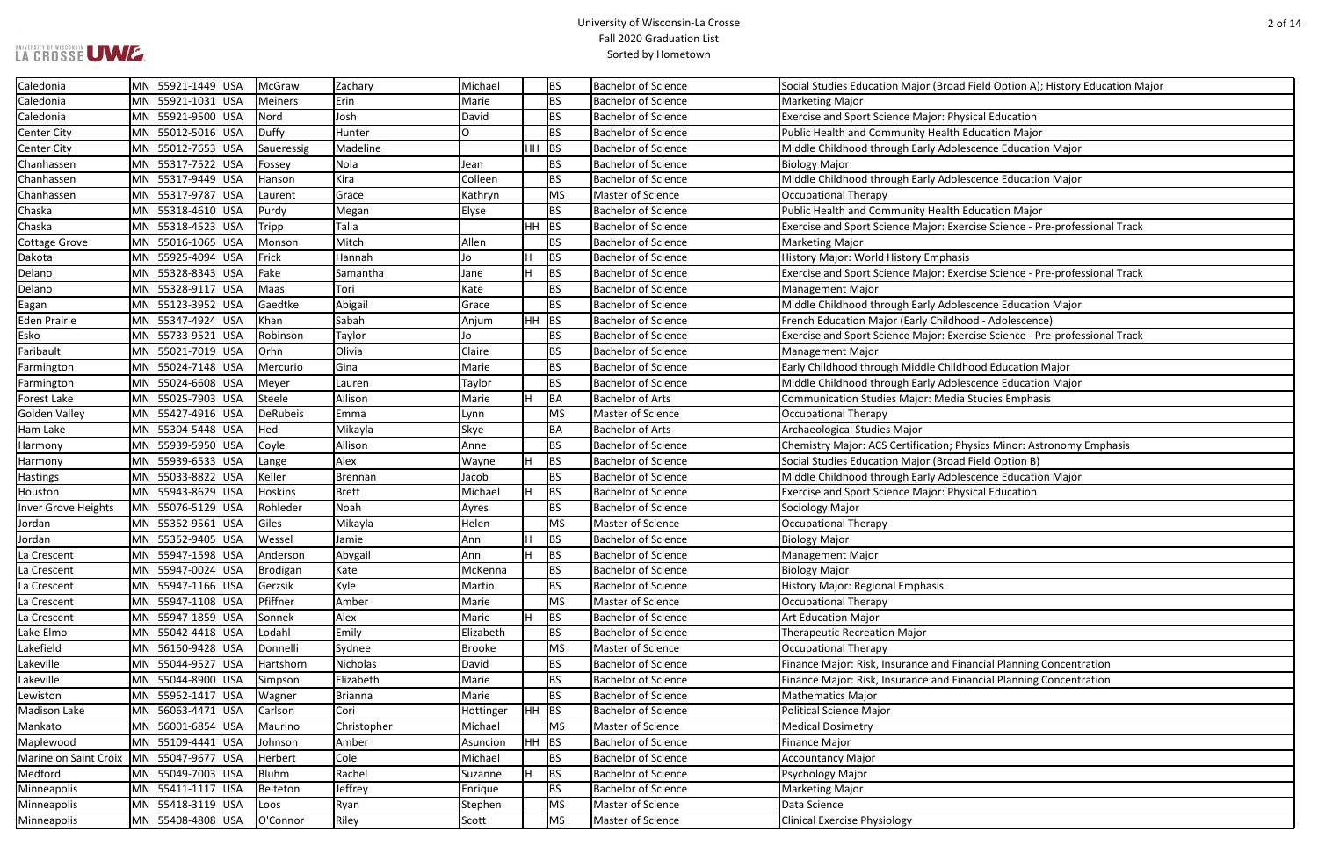| MN 55921-1031 USA<br><b>BS</b><br><b>Bachelor of Science</b><br>Caledonia<br>Meiners<br>Erin<br>Marie<br><b>Marketing Major</b><br><b>BS</b><br>Caledonia<br>MN 55921-9500 USA<br>Nord<br>David<br><b>Exercise and Sport Science Major: Physical Education</b><br>Josh<br><b>Bachelor of Science</b><br><b>BS</b><br><b>Center City</b><br>MN 55012-5016 USA<br>Duffy<br>Hunter<br>0<br><b>Bachelor of Science</b><br>Public Health and Community Health Education Major<br> MN  55012-7653  USA<br>Madeline<br>$HH$ BS<br><b>Bachelor of Science</b><br>Middle Childhood through Early Adolescence Education Major<br><b>Center City</b><br>Saueressig<br>MN 55317-7522 USA<br><b>BS</b><br><b>Bachelor of Science</b><br>Chanhassen<br>Fossey<br>Nola<br><b>Biology Major</b><br>Jean<br>MN 55317-9449 USA<br>Kira<br>Colleen<br><b>BS</b><br><b>Bachelor of Science</b><br>Middle Childhood through Early Adolescence Education Major<br>Chanhassen<br>Hanson<br>MN 55317-9787 USA<br>Grace<br><b>MS</b><br>Master of Science<br>Chanhassen<br>Kathryn<br>Occupational Therapy<br>Laurent<br>MN 55318-4610 USA<br><b>BS</b><br>Public Health and Community Health Education Major<br>Elyse<br><b>Bachelor of Science</b><br>Chaska<br>Purdy<br>Megan<br>Chaska<br>MN 55318-4523 USA<br>Talia<br>HH.<br> BS<br><b>Bachelor of Science</b><br>Exercise and Sport Science Major: Exercise Science - Pre-professional Track<br>Tripp<br><b>Cottage Grove</b><br>MN 55016-1065 USA<br>Mitch<br>Allen<br><b>BS</b><br><b>Bachelor of Science</b><br>Monson<br><b>Marketing Major</b><br>MN 55925-4094 USA<br>Frick<br>Jo<br>BS<br><b>Bachelor of Science</b><br>History Major: World History Emphasis<br>Dakota<br>Hannah<br><b>BS</b><br>MN 55328-8343 USA<br>Fake<br>н<br><b>Bachelor of Science</b><br>Exercise and Sport Science Major: Exercise Science - Pre-professional Track<br>Delano<br>Samantha<br>Jane<br><b>BS</b><br>MN 55328-9117 USA<br>Maas<br>Tori<br><b>Bachelor of Science</b><br>Delano<br>Kate<br><b>Management Major</b><br>MN 55123-3952 USA<br><b>BS</b><br>Gaedtke<br>Abigail<br><b>Bachelor of Science</b><br>Middle Childhood through Early Adolescence Education Major<br>Eagan<br>Grace<br>MN 55347-4924 USA<br>Sabah<br><b>Eden Prairie</b><br>Khan<br>HH.<br>BS<br><b>Bachelor of Science</b><br>French Education Major (Early Childhood - Adolescence)<br>Anjum<br> MN  55733-9521  USA<br><b>BS</b><br><b>Bachelor of Science</b><br>Esko<br>Robinson<br>Taylor<br>Jo<br>Exercise and Sport Science Major: Exercise Science - Pre-professional Track<br>MN 55021-7019 USA<br>Olivia<br>Claire<br><b>BS</b><br>Faribault<br>Orhn<br><b>Bachelor of Science</b><br><b>Management Major</b><br>Gina<br><b>BS</b><br><b>Bachelor of Science</b><br>Early Childhood through Middle Childhood Education Major<br>MN 55024-7148 USA<br>Farmington<br>Mercurio<br>Marie<br><b>BS</b><br>MN 55024-6608 USA<br><b>Bachelor of Science</b><br>Middle Childhood through Early Adolescence Education Major<br>Farmington<br>Meyer<br>Lauren<br>Taylor<br>MN 55025-7903 USA<br>Allison<br><b>BA</b><br><b>Bachelor of Arts</b><br>Communication Studies Major: Media Studies Emphasis<br>Forest Lake<br>Steele<br>Marie<br><b>Golden Valley</b><br> MN  55427-4916  USA<br>DeRubeis<br><b>MS</b><br>Emma<br>Master of Science<br>Occupational Therapy<br>Lynn<br>MN 55304-5448 USA<br>BA<br>Hed<br>Mikayla<br><b>Skye</b><br>Bachelor of Arts<br>Archaeological Studies Major<br>Ham Lake<br><b>BS</b><br>MN 55939-5950 USA<br>Allison<br><b>Bachelor of Science</b><br>Chemistry Major: ACS Certification; Physics Minor: Astronomy Emphasis<br> Coyle<br>Anne<br>Harmony<br>MN 55939-6533 USA<br>Alex<br><b>BS</b><br><b>Bachelor of Science</b><br>Social Studies Education Major (Broad Field Option B)<br>Harmony<br>Lange<br>Wayne<br>MN 55033-8822 USA<br><b>BS</b><br><b>Bachelor of Science</b><br>Middle Childhood through Early Adolescence Education Major<br><b>Hastings</b><br>Keller<br>Brennan<br>Jacob<br><b>BS</b><br>MN 55943-8629 USA<br><b>Hoskins</b><br>H.<br><b>Bachelor of Science</b><br>Brett<br>Michael<br>Exercise and Sport Science Major: Physical Education<br>Houston<br>MN 55076-5129 USA<br>BS<br>Rohleder<br>Noah<br><b>Bachelor of Science</b><br>Sociology Major<br>Inver Grove Heights<br>Ayres<br>Giles<br>Helen<br> MN 55352-9561 USA<br><b>MS</b><br>Master of Science<br>Mikayla<br>Occupational Therapy<br>Jordan<br><b>Bachelor of Science</b><br>MN 55352-9405 USA<br>Wessel<br>Jamie<br><b>BS</b><br>Jordan<br><b>Biology Major</b><br>Ann<br>н<br><b>BS</b><br>La Crescent<br>MN 55947-1598 USA<br>Anderson<br>Abygail<br>Ann<br><b>Bachelor of Science</b><br><b>Management Major</b><br>MN 55947-0024 USA<br><b>Bachelor of Science</b><br>La Crescent<br>Brodigan<br>Kate<br>McKenna<br><b>BS</b><br><b>Biology Major</b><br>MN 55947-1166 USA<br>Kyle<br><b>BS</b><br>Bachelor of Science<br>History Major: Regional Emphasis<br>La Crescent<br>Gerzsik<br>Martin<br>MN 55947-1108 USA<br>Pfiffner<br><b>MS</b><br>La Crescent<br>Amber<br>Master of Science<br><b>Occupational Therapy</b><br>Marie<br>MN 55947-1859 USA<br>BS<br><b>Bachelor of Science</b><br>Alex<br>Marie<br><b>Art Education Major</b><br>La Crescent<br>Sonnek<br><b>BS</b><br>MN 55042-4418 USA<br>Lodahl<br>Emily<br>Elizabeth<br>Lake Elmo<br><b>Bachelor of Science</b><br><b>Therapeutic Recreation Major</b><br>Lakefield<br>MN 56150-9428 USA<br>Sydnee<br>Master of Science<br>Donnelli<br><b>Brooke</b><br><b>MS</b><br><b>Occupational Therapy</b><br>Bachelor of Science<br>Lakeville<br>MN 55044-9527 USA<br>Nicholas<br><b>BS</b><br>Finance Major: Risk, Insurance and Financial Planning Concentration<br>Hartshorn<br>David<br>MN 55044-8900 USA<br>Elizabeth<br><b>BS</b><br><b>Bachelor of Science</b><br>Lakeville<br>Simpson<br>Finance Major: Risk, Insurance and Financial Planning Concentration<br>Marie<br>MN 55952-1417 USA<br>Wagner<br>Brianna<br>BS<br><b>Bachelor of Science</b><br><b>Mathematics Major</b><br>Lewiston<br>Marie<br>MN 56063-4471 USA<br>Carlson<br>Cori<br>$HH$ BS<br><b>Madison Lake</b><br><b>Bachelor of Science</b><br>Political Science Major<br>Hottinger<br>MN 56001-6854 USA<br>Master of Science<br>Mankato<br>Maurino<br>Christopher<br><b>MS</b><br><b>Medical Dosimetry</b><br>Michael<br>MN 55109-4441 USA<br>$HH$ BS<br><b>Bachelor of Science</b><br>Johnson<br><b>Finance Major</b><br>Maplewood<br>Amber<br>Asuncion<br>Cole<br><b>BS</b><br><b>Bachelor of Science</b><br>MN 55047-9677 USA<br>Marine on Saint Croix<br>Herbert<br>Michael<br><b>Accountancy Major</b><br><b>BS</b><br><b>Bachelor of Science</b><br>Medford<br>MN 55049-7003 USA<br>Bluhm<br>Rachel<br>Psychology Major<br>Suzanne<br>H.<br>MN 55411-1117 USA<br><b>BS</b><br><b>Bachelor of Science</b><br>Belteton<br>Jeffrey<br><b>Marketing Major</b><br>Minneapolis<br>Enrique<br>MN 55418-3119 USA<br><b>MS</b><br>Master of Science<br>Data Science<br>Minneapolis<br>Ryan<br>Stephen<br>Loos<br>MN 55408-4808 USA<br>O'Connor<br>Riley<br><b>MS</b><br>Master of Science<br><b>Clinical Exercise Physiology</b><br>Minneapolis<br>Scott | Caledonia | MN 55921-1449 USA | McGraw | Zachary | Michael | <b>BS</b> | <b>Bachelor of Science</b> | Social Studies Education Major (Broad Field Option A); History Education Major |
|---------------------------------------------------------------------------------------------------------------------------------------------------------------------------------------------------------------------------------------------------------------------------------------------------------------------------------------------------------------------------------------------------------------------------------------------------------------------------------------------------------------------------------------------------------------------------------------------------------------------------------------------------------------------------------------------------------------------------------------------------------------------------------------------------------------------------------------------------------------------------------------------------------------------------------------------------------------------------------------------------------------------------------------------------------------------------------------------------------------------------------------------------------------------------------------------------------------------------------------------------------------------------------------------------------------------------------------------------------------------------------------------------------------------------------------------------------------------------------------------------------------------------------------------------------------------------------------------------------------------------------------------------------------------------------------------------------------------------------------------------------------------------------------------------------------------------------------------------------------------------------------------------------------------------------------------------------------------------------------------------------------------------------------------------------------------------------------------------------------------------------------------------------------------------------------------------------------------------------------------------------------------------------------------------------------------------------------------------------------------------------------------------------------------------------------------------------------------------------------------------------------------------------------------------------------------------------------------------------------------------------------------------------------------------------------------------------------------------------------------------------------------------------------------------------------------------------------------------------------------------------------------------------------------------------------------------------------------------------------------------------------------------------------------------------------------------------------------------------------------------------------------------------------------------------------------------------------------------------------------------------------------------------------------------------------------------------------------------------------------------------------------------------------------------------------------------------------------------------------------------------------------------------------------------------------------------------------------------------------------------------------------------------------------------------------------------------------------------------------------------------------------------------------------------------------------------------------------------------------------------------------------------------------------------------------------------------------------------------------------------------------------------------------------------------------------------------------------------------------------------------------------------------------------------------------------------------------------------------------------------------------------------------------------------------------------------------------------------------------------------------------------------------------------------------------------------------------------------------------------------------------------------------------------------------------------------------------------------------------------------------------------------------------------------------------------------------------------------------------------------------------------------------------------------------------------------------------------------------------------------------------------------------------------------------------------------------------------------------------------------------------------------------------------------------------------------------------------------------------------------------------------------------------------------------------------------------------------------------------------------------------------------------------------------------------------------------------------------------------------------------------------------------------------------------------------------------------------------------------------------------------------------------------------------------------------------------------------------------------------------------------------------------------------------------------------------------------------------------------------------------------------------------------------------------------------------------------------------------------------------------------------------------------------------------------------------------------------------------------------------------------------------------------------------------------------------------------------------------------------------------------------------------------------------------------------------------------------------------------------------------------------------------------------------------------------------------------------------------------------------------------------------------------------------------------------------------------------------------------------------------------------------------------------------------------------------------------------------------------------------------------------------------------------------------------------------------------------------------------------------------------------------------------------------------------------------------------------------------------------------------------------------------------------------------------------------------------------------------------------------------------------------------------------------------------------------------------------------------------------------------------------------------------------------------------------------------------------------------|-----------|-------------------|--------|---------|---------|-----------|----------------------------|--------------------------------------------------------------------------------|
|                                                                                                                                                                                                                                                                                                                                                                                                                                                                                                                                                                                                                                                                                                                                                                                                                                                                                                                                                                                                                                                                                                                                                                                                                                                                                                                                                                                                                                                                                                                                                                                                                                                                                                                                                                                                                                                                                                                                                                                                                                                                                                                                                                                                                                                                                                                                                                                                                                                                                                                                                                                                                                                                                                                                                                                                                                                                                                                                                                                                                                                                                                                                                                                                                                                                                                                                                                                                                                                                                                                                                                                                                                                                                                                                                                                                                                                                                                                                                                                                                                                                                                                                                                                                                                                                                                                                                                                                                                                                                                                                                                                                                                                                                                                                                                                                                                                                                                                                                                                                                                                                                                                                                                                                                                                                                                                                                                                                                                                                                                                                                                                                                                                                                                                                                                                                                                                                                                                                                                                                                                                                                                                                                                                                                                                                                                                                                                                                                                                                                                                                                                                                                                                                                                                                                                                                                                                                                                                                                                                                                                                                                                                                                                                                                                 |           |                   |        |         |         |           |                            |                                                                                |
|                                                                                                                                                                                                                                                                                                                                                                                                                                                                                                                                                                                                                                                                                                                                                                                                                                                                                                                                                                                                                                                                                                                                                                                                                                                                                                                                                                                                                                                                                                                                                                                                                                                                                                                                                                                                                                                                                                                                                                                                                                                                                                                                                                                                                                                                                                                                                                                                                                                                                                                                                                                                                                                                                                                                                                                                                                                                                                                                                                                                                                                                                                                                                                                                                                                                                                                                                                                                                                                                                                                                                                                                                                                                                                                                                                                                                                                                                                                                                                                                                                                                                                                                                                                                                                                                                                                                                                                                                                                                                                                                                                                                                                                                                                                                                                                                                                                                                                                                                                                                                                                                                                                                                                                                                                                                                                                                                                                                                                                                                                                                                                                                                                                                                                                                                                                                                                                                                                                                                                                                                                                                                                                                                                                                                                                                                                                                                                                                                                                                                                                                                                                                                                                                                                                                                                                                                                                                                                                                                                                                                                                                                                                                                                                                                                 |           |                   |        |         |         |           |                            |                                                                                |
|                                                                                                                                                                                                                                                                                                                                                                                                                                                                                                                                                                                                                                                                                                                                                                                                                                                                                                                                                                                                                                                                                                                                                                                                                                                                                                                                                                                                                                                                                                                                                                                                                                                                                                                                                                                                                                                                                                                                                                                                                                                                                                                                                                                                                                                                                                                                                                                                                                                                                                                                                                                                                                                                                                                                                                                                                                                                                                                                                                                                                                                                                                                                                                                                                                                                                                                                                                                                                                                                                                                                                                                                                                                                                                                                                                                                                                                                                                                                                                                                                                                                                                                                                                                                                                                                                                                                                                                                                                                                                                                                                                                                                                                                                                                                                                                                                                                                                                                                                                                                                                                                                                                                                                                                                                                                                                                                                                                                                                                                                                                                                                                                                                                                                                                                                                                                                                                                                                                                                                                                                                                                                                                                                                                                                                                                                                                                                                                                                                                                                                                                                                                                                                                                                                                                                                                                                                                                                                                                                                                                                                                                                                                                                                                                                                 |           |                   |        |         |         |           |                            |                                                                                |
|                                                                                                                                                                                                                                                                                                                                                                                                                                                                                                                                                                                                                                                                                                                                                                                                                                                                                                                                                                                                                                                                                                                                                                                                                                                                                                                                                                                                                                                                                                                                                                                                                                                                                                                                                                                                                                                                                                                                                                                                                                                                                                                                                                                                                                                                                                                                                                                                                                                                                                                                                                                                                                                                                                                                                                                                                                                                                                                                                                                                                                                                                                                                                                                                                                                                                                                                                                                                                                                                                                                                                                                                                                                                                                                                                                                                                                                                                                                                                                                                                                                                                                                                                                                                                                                                                                                                                                                                                                                                                                                                                                                                                                                                                                                                                                                                                                                                                                                                                                                                                                                                                                                                                                                                                                                                                                                                                                                                                                                                                                                                                                                                                                                                                                                                                                                                                                                                                                                                                                                                                                                                                                                                                                                                                                                                                                                                                                                                                                                                                                                                                                                                                                                                                                                                                                                                                                                                                                                                                                                                                                                                                                                                                                                                                                 |           |                   |        |         |         |           |                            |                                                                                |
|                                                                                                                                                                                                                                                                                                                                                                                                                                                                                                                                                                                                                                                                                                                                                                                                                                                                                                                                                                                                                                                                                                                                                                                                                                                                                                                                                                                                                                                                                                                                                                                                                                                                                                                                                                                                                                                                                                                                                                                                                                                                                                                                                                                                                                                                                                                                                                                                                                                                                                                                                                                                                                                                                                                                                                                                                                                                                                                                                                                                                                                                                                                                                                                                                                                                                                                                                                                                                                                                                                                                                                                                                                                                                                                                                                                                                                                                                                                                                                                                                                                                                                                                                                                                                                                                                                                                                                                                                                                                                                                                                                                                                                                                                                                                                                                                                                                                                                                                                                                                                                                                                                                                                                                                                                                                                                                                                                                                                                                                                                                                                                                                                                                                                                                                                                                                                                                                                                                                                                                                                                                                                                                                                                                                                                                                                                                                                                                                                                                                                                                                                                                                                                                                                                                                                                                                                                                                                                                                                                                                                                                                                                                                                                                                                                 |           |                   |        |         |         |           |                            |                                                                                |
|                                                                                                                                                                                                                                                                                                                                                                                                                                                                                                                                                                                                                                                                                                                                                                                                                                                                                                                                                                                                                                                                                                                                                                                                                                                                                                                                                                                                                                                                                                                                                                                                                                                                                                                                                                                                                                                                                                                                                                                                                                                                                                                                                                                                                                                                                                                                                                                                                                                                                                                                                                                                                                                                                                                                                                                                                                                                                                                                                                                                                                                                                                                                                                                                                                                                                                                                                                                                                                                                                                                                                                                                                                                                                                                                                                                                                                                                                                                                                                                                                                                                                                                                                                                                                                                                                                                                                                                                                                                                                                                                                                                                                                                                                                                                                                                                                                                                                                                                                                                                                                                                                                                                                                                                                                                                                                                                                                                                                                                                                                                                                                                                                                                                                                                                                                                                                                                                                                                                                                                                                                                                                                                                                                                                                                                                                                                                                                                                                                                                                                                                                                                                                                                                                                                                                                                                                                                                                                                                                                                                                                                                                                                                                                                                                                 |           |                   |        |         |         |           |                            |                                                                                |
|                                                                                                                                                                                                                                                                                                                                                                                                                                                                                                                                                                                                                                                                                                                                                                                                                                                                                                                                                                                                                                                                                                                                                                                                                                                                                                                                                                                                                                                                                                                                                                                                                                                                                                                                                                                                                                                                                                                                                                                                                                                                                                                                                                                                                                                                                                                                                                                                                                                                                                                                                                                                                                                                                                                                                                                                                                                                                                                                                                                                                                                                                                                                                                                                                                                                                                                                                                                                                                                                                                                                                                                                                                                                                                                                                                                                                                                                                                                                                                                                                                                                                                                                                                                                                                                                                                                                                                                                                                                                                                                                                                                                                                                                                                                                                                                                                                                                                                                                                                                                                                                                                                                                                                                                                                                                                                                                                                                                                                                                                                                                                                                                                                                                                                                                                                                                                                                                                                                                                                                                                                                                                                                                                                                                                                                                                                                                                                                                                                                                                                                                                                                                                                                                                                                                                                                                                                                                                                                                                                                                                                                                                                                                                                                                                                 |           |                   |        |         |         |           |                            |                                                                                |
|                                                                                                                                                                                                                                                                                                                                                                                                                                                                                                                                                                                                                                                                                                                                                                                                                                                                                                                                                                                                                                                                                                                                                                                                                                                                                                                                                                                                                                                                                                                                                                                                                                                                                                                                                                                                                                                                                                                                                                                                                                                                                                                                                                                                                                                                                                                                                                                                                                                                                                                                                                                                                                                                                                                                                                                                                                                                                                                                                                                                                                                                                                                                                                                                                                                                                                                                                                                                                                                                                                                                                                                                                                                                                                                                                                                                                                                                                                                                                                                                                                                                                                                                                                                                                                                                                                                                                                                                                                                                                                                                                                                                                                                                                                                                                                                                                                                                                                                                                                                                                                                                                                                                                                                                                                                                                                                                                                                                                                                                                                                                                                                                                                                                                                                                                                                                                                                                                                                                                                                                                                                                                                                                                                                                                                                                                                                                                                                                                                                                                                                                                                                                                                                                                                                                                                                                                                                                                                                                                                                                                                                                                                                                                                                                                                 |           |                   |        |         |         |           |                            |                                                                                |
|                                                                                                                                                                                                                                                                                                                                                                                                                                                                                                                                                                                                                                                                                                                                                                                                                                                                                                                                                                                                                                                                                                                                                                                                                                                                                                                                                                                                                                                                                                                                                                                                                                                                                                                                                                                                                                                                                                                                                                                                                                                                                                                                                                                                                                                                                                                                                                                                                                                                                                                                                                                                                                                                                                                                                                                                                                                                                                                                                                                                                                                                                                                                                                                                                                                                                                                                                                                                                                                                                                                                                                                                                                                                                                                                                                                                                                                                                                                                                                                                                                                                                                                                                                                                                                                                                                                                                                                                                                                                                                                                                                                                                                                                                                                                                                                                                                                                                                                                                                                                                                                                                                                                                                                                                                                                                                                                                                                                                                                                                                                                                                                                                                                                                                                                                                                                                                                                                                                                                                                                                                                                                                                                                                                                                                                                                                                                                                                                                                                                                                                                                                                                                                                                                                                                                                                                                                                                                                                                                                                                                                                                                                                                                                                                                                 |           |                   |        |         |         |           |                            |                                                                                |
|                                                                                                                                                                                                                                                                                                                                                                                                                                                                                                                                                                                                                                                                                                                                                                                                                                                                                                                                                                                                                                                                                                                                                                                                                                                                                                                                                                                                                                                                                                                                                                                                                                                                                                                                                                                                                                                                                                                                                                                                                                                                                                                                                                                                                                                                                                                                                                                                                                                                                                                                                                                                                                                                                                                                                                                                                                                                                                                                                                                                                                                                                                                                                                                                                                                                                                                                                                                                                                                                                                                                                                                                                                                                                                                                                                                                                                                                                                                                                                                                                                                                                                                                                                                                                                                                                                                                                                                                                                                                                                                                                                                                                                                                                                                                                                                                                                                                                                                                                                                                                                                                                                                                                                                                                                                                                                                                                                                                                                                                                                                                                                                                                                                                                                                                                                                                                                                                                                                                                                                                                                                                                                                                                                                                                                                                                                                                                                                                                                                                                                                                                                                                                                                                                                                                                                                                                                                                                                                                                                                                                                                                                                                                                                                                                                 |           |                   |        |         |         |           |                            |                                                                                |
|                                                                                                                                                                                                                                                                                                                                                                                                                                                                                                                                                                                                                                                                                                                                                                                                                                                                                                                                                                                                                                                                                                                                                                                                                                                                                                                                                                                                                                                                                                                                                                                                                                                                                                                                                                                                                                                                                                                                                                                                                                                                                                                                                                                                                                                                                                                                                                                                                                                                                                                                                                                                                                                                                                                                                                                                                                                                                                                                                                                                                                                                                                                                                                                                                                                                                                                                                                                                                                                                                                                                                                                                                                                                                                                                                                                                                                                                                                                                                                                                                                                                                                                                                                                                                                                                                                                                                                                                                                                                                                                                                                                                                                                                                                                                                                                                                                                                                                                                                                                                                                                                                                                                                                                                                                                                                                                                                                                                                                                                                                                                                                                                                                                                                                                                                                                                                                                                                                                                                                                                                                                                                                                                                                                                                                                                                                                                                                                                                                                                                                                                                                                                                                                                                                                                                                                                                                                                                                                                                                                                                                                                                                                                                                                                                                 |           |                   |        |         |         |           |                            |                                                                                |
|                                                                                                                                                                                                                                                                                                                                                                                                                                                                                                                                                                                                                                                                                                                                                                                                                                                                                                                                                                                                                                                                                                                                                                                                                                                                                                                                                                                                                                                                                                                                                                                                                                                                                                                                                                                                                                                                                                                                                                                                                                                                                                                                                                                                                                                                                                                                                                                                                                                                                                                                                                                                                                                                                                                                                                                                                                                                                                                                                                                                                                                                                                                                                                                                                                                                                                                                                                                                                                                                                                                                                                                                                                                                                                                                                                                                                                                                                                                                                                                                                                                                                                                                                                                                                                                                                                                                                                                                                                                                                                                                                                                                                                                                                                                                                                                                                                                                                                                                                                                                                                                                                                                                                                                                                                                                                                                                                                                                                                                                                                                                                                                                                                                                                                                                                                                                                                                                                                                                                                                                                                                                                                                                                                                                                                                                                                                                                                                                                                                                                                                                                                                                                                                                                                                                                                                                                                                                                                                                                                                                                                                                                                                                                                                                                                 |           |                   |        |         |         |           |                            |                                                                                |
|                                                                                                                                                                                                                                                                                                                                                                                                                                                                                                                                                                                                                                                                                                                                                                                                                                                                                                                                                                                                                                                                                                                                                                                                                                                                                                                                                                                                                                                                                                                                                                                                                                                                                                                                                                                                                                                                                                                                                                                                                                                                                                                                                                                                                                                                                                                                                                                                                                                                                                                                                                                                                                                                                                                                                                                                                                                                                                                                                                                                                                                                                                                                                                                                                                                                                                                                                                                                                                                                                                                                                                                                                                                                                                                                                                                                                                                                                                                                                                                                                                                                                                                                                                                                                                                                                                                                                                                                                                                                                                                                                                                                                                                                                                                                                                                                                                                                                                                                                                                                                                                                                                                                                                                                                                                                                                                                                                                                                                                                                                                                                                                                                                                                                                                                                                                                                                                                                                                                                                                                                                                                                                                                                                                                                                                                                                                                                                                                                                                                                                                                                                                                                                                                                                                                                                                                                                                                                                                                                                                                                                                                                                                                                                                                                                 |           |                   |        |         |         |           |                            |                                                                                |
|                                                                                                                                                                                                                                                                                                                                                                                                                                                                                                                                                                                                                                                                                                                                                                                                                                                                                                                                                                                                                                                                                                                                                                                                                                                                                                                                                                                                                                                                                                                                                                                                                                                                                                                                                                                                                                                                                                                                                                                                                                                                                                                                                                                                                                                                                                                                                                                                                                                                                                                                                                                                                                                                                                                                                                                                                                                                                                                                                                                                                                                                                                                                                                                                                                                                                                                                                                                                                                                                                                                                                                                                                                                                                                                                                                                                                                                                                                                                                                                                                                                                                                                                                                                                                                                                                                                                                                                                                                                                                                                                                                                                                                                                                                                                                                                                                                                                                                                                                                                                                                                                                                                                                                                                                                                                                                                                                                                                                                                                                                                                                                                                                                                                                                                                                                                                                                                                                                                                                                                                                                                                                                                                                                                                                                                                                                                                                                                                                                                                                                                                                                                                                                                                                                                                                                                                                                                                                                                                                                                                                                                                                                                                                                                                                                 |           |                   |        |         |         |           |                            |                                                                                |
|                                                                                                                                                                                                                                                                                                                                                                                                                                                                                                                                                                                                                                                                                                                                                                                                                                                                                                                                                                                                                                                                                                                                                                                                                                                                                                                                                                                                                                                                                                                                                                                                                                                                                                                                                                                                                                                                                                                                                                                                                                                                                                                                                                                                                                                                                                                                                                                                                                                                                                                                                                                                                                                                                                                                                                                                                                                                                                                                                                                                                                                                                                                                                                                                                                                                                                                                                                                                                                                                                                                                                                                                                                                                                                                                                                                                                                                                                                                                                                                                                                                                                                                                                                                                                                                                                                                                                                                                                                                                                                                                                                                                                                                                                                                                                                                                                                                                                                                                                                                                                                                                                                                                                                                                                                                                                                                                                                                                                                                                                                                                                                                                                                                                                                                                                                                                                                                                                                                                                                                                                                                                                                                                                                                                                                                                                                                                                                                                                                                                                                                                                                                                                                                                                                                                                                                                                                                                                                                                                                                                                                                                                                                                                                                                                                 |           |                   |        |         |         |           |                            |                                                                                |
|                                                                                                                                                                                                                                                                                                                                                                                                                                                                                                                                                                                                                                                                                                                                                                                                                                                                                                                                                                                                                                                                                                                                                                                                                                                                                                                                                                                                                                                                                                                                                                                                                                                                                                                                                                                                                                                                                                                                                                                                                                                                                                                                                                                                                                                                                                                                                                                                                                                                                                                                                                                                                                                                                                                                                                                                                                                                                                                                                                                                                                                                                                                                                                                                                                                                                                                                                                                                                                                                                                                                                                                                                                                                                                                                                                                                                                                                                                                                                                                                                                                                                                                                                                                                                                                                                                                                                                                                                                                                                                                                                                                                                                                                                                                                                                                                                                                                                                                                                                                                                                                                                                                                                                                                                                                                                                                                                                                                                                                                                                                                                                                                                                                                                                                                                                                                                                                                                                                                                                                                                                                                                                                                                                                                                                                                                                                                                                                                                                                                                                                                                                                                                                                                                                                                                                                                                                                                                                                                                                                                                                                                                                                                                                                                                                 |           |                   |        |         |         |           |                            |                                                                                |
|                                                                                                                                                                                                                                                                                                                                                                                                                                                                                                                                                                                                                                                                                                                                                                                                                                                                                                                                                                                                                                                                                                                                                                                                                                                                                                                                                                                                                                                                                                                                                                                                                                                                                                                                                                                                                                                                                                                                                                                                                                                                                                                                                                                                                                                                                                                                                                                                                                                                                                                                                                                                                                                                                                                                                                                                                                                                                                                                                                                                                                                                                                                                                                                                                                                                                                                                                                                                                                                                                                                                                                                                                                                                                                                                                                                                                                                                                                                                                                                                                                                                                                                                                                                                                                                                                                                                                                                                                                                                                                                                                                                                                                                                                                                                                                                                                                                                                                                                                                                                                                                                                                                                                                                                                                                                                                                                                                                                                                                                                                                                                                                                                                                                                                                                                                                                                                                                                                                                                                                                                                                                                                                                                                                                                                                                                                                                                                                                                                                                                                                                                                                                                                                                                                                                                                                                                                                                                                                                                                                                                                                                                                                                                                                                                                 |           |                   |        |         |         |           |                            |                                                                                |
|                                                                                                                                                                                                                                                                                                                                                                                                                                                                                                                                                                                                                                                                                                                                                                                                                                                                                                                                                                                                                                                                                                                                                                                                                                                                                                                                                                                                                                                                                                                                                                                                                                                                                                                                                                                                                                                                                                                                                                                                                                                                                                                                                                                                                                                                                                                                                                                                                                                                                                                                                                                                                                                                                                                                                                                                                                                                                                                                                                                                                                                                                                                                                                                                                                                                                                                                                                                                                                                                                                                                                                                                                                                                                                                                                                                                                                                                                                                                                                                                                                                                                                                                                                                                                                                                                                                                                                                                                                                                                                                                                                                                                                                                                                                                                                                                                                                                                                                                                                                                                                                                                                                                                                                                                                                                                                                                                                                                                                                                                                                                                                                                                                                                                                                                                                                                                                                                                                                                                                                                                                                                                                                                                                                                                                                                                                                                                                                                                                                                                                                                                                                                                                                                                                                                                                                                                                                                                                                                                                                                                                                                                                                                                                                                                                 |           |                   |        |         |         |           |                            |                                                                                |
|                                                                                                                                                                                                                                                                                                                                                                                                                                                                                                                                                                                                                                                                                                                                                                                                                                                                                                                                                                                                                                                                                                                                                                                                                                                                                                                                                                                                                                                                                                                                                                                                                                                                                                                                                                                                                                                                                                                                                                                                                                                                                                                                                                                                                                                                                                                                                                                                                                                                                                                                                                                                                                                                                                                                                                                                                                                                                                                                                                                                                                                                                                                                                                                                                                                                                                                                                                                                                                                                                                                                                                                                                                                                                                                                                                                                                                                                                                                                                                                                                                                                                                                                                                                                                                                                                                                                                                                                                                                                                                                                                                                                                                                                                                                                                                                                                                                                                                                                                                                                                                                                                                                                                                                                                                                                                                                                                                                                                                                                                                                                                                                                                                                                                                                                                                                                                                                                                                                                                                                                                                                                                                                                                                                                                                                                                                                                                                                                                                                                                                                                                                                                                                                                                                                                                                                                                                                                                                                                                                                                                                                                                                                                                                                                                                 |           |                   |        |         |         |           |                            |                                                                                |
|                                                                                                                                                                                                                                                                                                                                                                                                                                                                                                                                                                                                                                                                                                                                                                                                                                                                                                                                                                                                                                                                                                                                                                                                                                                                                                                                                                                                                                                                                                                                                                                                                                                                                                                                                                                                                                                                                                                                                                                                                                                                                                                                                                                                                                                                                                                                                                                                                                                                                                                                                                                                                                                                                                                                                                                                                                                                                                                                                                                                                                                                                                                                                                                                                                                                                                                                                                                                                                                                                                                                                                                                                                                                                                                                                                                                                                                                                                                                                                                                                                                                                                                                                                                                                                                                                                                                                                                                                                                                                                                                                                                                                                                                                                                                                                                                                                                                                                                                                                                                                                                                                                                                                                                                                                                                                                                                                                                                                                                                                                                                                                                                                                                                                                                                                                                                                                                                                                                                                                                                                                                                                                                                                                                                                                                                                                                                                                                                                                                                                                                                                                                                                                                                                                                                                                                                                                                                                                                                                                                                                                                                                                                                                                                                                                 |           |                   |        |         |         |           |                            |                                                                                |
|                                                                                                                                                                                                                                                                                                                                                                                                                                                                                                                                                                                                                                                                                                                                                                                                                                                                                                                                                                                                                                                                                                                                                                                                                                                                                                                                                                                                                                                                                                                                                                                                                                                                                                                                                                                                                                                                                                                                                                                                                                                                                                                                                                                                                                                                                                                                                                                                                                                                                                                                                                                                                                                                                                                                                                                                                                                                                                                                                                                                                                                                                                                                                                                                                                                                                                                                                                                                                                                                                                                                                                                                                                                                                                                                                                                                                                                                                                                                                                                                                                                                                                                                                                                                                                                                                                                                                                                                                                                                                                                                                                                                                                                                                                                                                                                                                                                                                                                                                                                                                                                                                                                                                                                                                                                                                                                                                                                                                                                                                                                                                                                                                                                                                                                                                                                                                                                                                                                                                                                                                                                                                                                                                                                                                                                                                                                                                                                                                                                                                                                                                                                                                                                                                                                                                                                                                                                                                                                                                                                                                                                                                                                                                                                                                                 |           |                   |        |         |         |           |                            |                                                                                |
|                                                                                                                                                                                                                                                                                                                                                                                                                                                                                                                                                                                                                                                                                                                                                                                                                                                                                                                                                                                                                                                                                                                                                                                                                                                                                                                                                                                                                                                                                                                                                                                                                                                                                                                                                                                                                                                                                                                                                                                                                                                                                                                                                                                                                                                                                                                                                                                                                                                                                                                                                                                                                                                                                                                                                                                                                                                                                                                                                                                                                                                                                                                                                                                                                                                                                                                                                                                                                                                                                                                                                                                                                                                                                                                                                                                                                                                                                                                                                                                                                                                                                                                                                                                                                                                                                                                                                                                                                                                                                                                                                                                                                                                                                                                                                                                                                                                                                                                                                                                                                                                                                                                                                                                                                                                                                                                                                                                                                                                                                                                                                                                                                                                                                                                                                                                                                                                                                                                                                                                                                                                                                                                                                                                                                                                                                                                                                                                                                                                                                                                                                                                                                                                                                                                                                                                                                                                                                                                                                                                                                                                                                                                                                                                                                                 |           |                   |        |         |         |           |                            |                                                                                |
|                                                                                                                                                                                                                                                                                                                                                                                                                                                                                                                                                                                                                                                                                                                                                                                                                                                                                                                                                                                                                                                                                                                                                                                                                                                                                                                                                                                                                                                                                                                                                                                                                                                                                                                                                                                                                                                                                                                                                                                                                                                                                                                                                                                                                                                                                                                                                                                                                                                                                                                                                                                                                                                                                                                                                                                                                                                                                                                                                                                                                                                                                                                                                                                                                                                                                                                                                                                                                                                                                                                                                                                                                                                                                                                                                                                                                                                                                                                                                                                                                                                                                                                                                                                                                                                                                                                                                                                                                                                                                                                                                                                                                                                                                                                                                                                                                                                                                                                                                                                                                                                                                                                                                                                                                                                                                                                                                                                                                                                                                                                                                                                                                                                                                                                                                                                                                                                                                                                                                                                                                                                                                                                                                                                                                                                                                                                                                                                                                                                                                                                                                                                                                                                                                                                                                                                                                                                                                                                                                                                                                                                                                                                                                                                                                                 |           |                   |        |         |         |           |                            |                                                                                |
|                                                                                                                                                                                                                                                                                                                                                                                                                                                                                                                                                                                                                                                                                                                                                                                                                                                                                                                                                                                                                                                                                                                                                                                                                                                                                                                                                                                                                                                                                                                                                                                                                                                                                                                                                                                                                                                                                                                                                                                                                                                                                                                                                                                                                                                                                                                                                                                                                                                                                                                                                                                                                                                                                                                                                                                                                                                                                                                                                                                                                                                                                                                                                                                                                                                                                                                                                                                                                                                                                                                                                                                                                                                                                                                                                                                                                                                                                                                                                                                                                                                                                                                                                                                                                                                                                                                                                                                                                                                                                                                                                                                                                                                                                                                                                                                                                                                                                                                                                                                                                                                                                                                                                                                                                                                                                                                                                                                                                                                                                                                                                                                                                                                                                                                                                                                                                                                                                                                                                                                                                                                                                                                                                                                                                                                                                                                                                                                                                                                                                                                                                                                                                                                                                                                                                                                                                                                                                                                                                                                                                                                                                                                                                                                                                                 |           |                   |        |         |         |           |                            |                                                                                |
|                                                                                                                                                                                                                                                                                                                                                                                                                                                                                                                                                                                                                                                                                                                                                                                                                                                                                                                                                                                                                                                                                                                                                                                                                                                                                                                                                                                                                                                                                                                                                                                                                                                                                                                                                                                                                                                                                                                                                                                                                                                                                                                                                                                                                                                                                                                                                                                                                                                                                                                                                                                                                                                                                                                                                                                                                                                                                                                                                                                                                                                                                                                                                                                                                                                                                                                                                                                                                                                                                                                                                                                                                                                                                                                                                                                                                                                                                                                                                                                                                                                                                                                                                                                                                                                                                                                                                                                                                                                                                                                                                                                                                                                                                                                                                                                                                                                                                                                                                                                                                                                                                                                                                                                                                                                                                                                                                                                                                                                                                                                                                                                                                                                                                                                                                                                                                                                                                                                                                                                                                                                                                                                                                                                                                                                                                                                                                                                                                                                                                                                                                                                                                                                                                                                                                                                                                                                                                                                                                                                                                                                                                                                                                                                                                                 |           |                   |        |         |         |           |                            |                                                                                |
|                                                                                                                                                                                                                                                                                                                                                                                                                                                                                                                                                                                                                                                                                                                                                                                                                                                                                                                                                                                                                                                                                                                                                                                                                                                                                                                                                                                                                                                                                                                                                                                                                                                                                                                                                                                                                                                                                                                                                                                                                                                                                                                                                                                                                                                                                                                                                                                                                                                                                                                                                                                                                                                                                                                                                                                                                                                                                                                                                                                                                                                                                                                                                                                                                                                                                                                                                                                                                                                                                                                                                                                                                                                                                                                                                                                                                                                                                                                                                                                                                                                                                                                                                                                                                                                                                                                                                                                                                                                                                                                                                                                                                                                                                                                                                                                                                                                                                                                                                                                                                                                                                                                                                                                                                                                                                                                                                                                                                                                                                                                                                                                                                                                                                                                                                                                                                                                                                                                                                                                                                                                                                                                                                                                                                                                                                                                                                                                                                                                                                                                                                                                                                                                                                                                                                                                                                                                                                                                                                                                                                                                                                                                                                                                                                                 |           |                   |        |         |         |           |                            |                                                                                |
|                                                                                                                                                                                                                                                                                                                                                                                                                                                                                                                                                                                                                                                                                                                                                                                                                                                                                                                                                                                                                                                                                                                                                                                                                                                                                                                                                                                                                                                                                                                                                                                                                                                                                                                                                                                                                                                                                                                                                                                                                                                                                                                                                                                                                                                                                                                                                                                                                                                                                                                                                                                                                                                                                                                                                                                                                                                                                                                                                                                                                                                                                                                                                                                                                                                                                                                                                                                                                                                                                                                                                                                                                                                                                                                                                                                                                                                                                                                                                                                                                                                                                                                                                                                                                                                                                                                                                                                                                                                                                                                                                                                                                                                                                                                                                                                                                                                                                                                                                                                                                                                                                                                                                                                                                                                                                                                                                                                                                                                                                                                                                                                                                                                                                                                                                                                                                                                                                                                                                                                                                                                                                                                                                                                                                                                                                                                                                                                                                                                                                                                                                                                                                                                                                                                                                                                                                                                                                                                                                                                                                                                                                                                                                                                                                                 |           |                   |        |         |         |           |                            |                                                                                |
|                                                                                                                                                                                                                                                                                                                                                                                                                                                                                                                                                                                                                                                                                                                                                                                                                                                                                                                                                                                                                                                                                                                                                                                                                                                                                                                                                                                                                                                                                                                                                                                                                                                                                                                                                                                                                                                                                                                                                                                                                                                                                                                                                                                                                                                                                                                                                                                                                                                                                                                                                                                                                                                                                                                                                                                                                                                                                                                                                                                                                                                                                                                                                                                                                                                                                                                                                                                                                                                                                                                                                                                                                                                                                                                                                                                                                                                                                                                                                                                                                                                                                                                                                                                                                                                                                                                                                                                                                                                                                                                                                                                                                                                                                                                                                                                                                                                                                                                                                                                                                                                                                                                                                                                                                                                                                                                                                                                                                                                                                                                                                                                                                                                                                                                                                                                                                                                                                                                                                                                                                                                                                                                                                                                                                                                                                                                                                                                                                                                                                                                                                                                                                                                                                                                                                                                                                                                                                                                                                                                                                                                                                                                                                                                                                                 |           |                   |        |         |         |           |                            |                                                                                |
|                                                                                                                                                                                                                                                                                                                                                                                                                                                                                                                                                                                                                                                                                                                                                                                                                                                                                                                                                                                                                                                                                                                                                                                                                                                                                                                                                                                                                                                                                                                                                                                                                                                                                                                                                                                                                                                                                                                                                                                                                                                                                                                                                                                                                                                                                                                                                                                                                                                                                                                                                                                                                                                                                                                                                                                                                                                                                                                                                                                                                                                                                                                                                                                                                                                                                                                                                                                                                                                                                                                                                                                                                                                                                                                                                                                                                                                                                                                                                                                                                                                                                                                                                                                                                                                                                                                                                                                                                                                                                                                                                                                                                                                                                                                                                                                                                                                                                                                                                                                                                                                                                                                                                                                                                                                                                                                                                                                                                                                                                                                                                                                                                                                                                                                                                                                                                                                                                                                                                                                                                                                                                                                                                                                                                                                                                                                                                                                                                                                                                                                                                                                                                                                                                                                                                                                                                                                                                                                                                                                                                                                                                                                                                                                                                                 |           |                   |        |         |         |           |                            |                                                                                |
|                                                                                                                                                                                                                                                                                                                                                                                                                                                                                                                                                                                                                                                                                                                                                                                                                                                                                                                                                                                                                                                                                                                                                                                                                                                                                                                                                                                                                                                                                                                                                                                                                                                                                                                                                                                                                                                                                                                                                                                                                                                                                                                                                                                                                                                                                                                                                                                                                                                                                                                                                                                                                                                                                                                                                                                                                                                                                                                                                                                                                                                                                                                                                                                                                                                                                                                                                                                                                                                                                                                                                                                                                                                                                                                                                                                                                                                                                                                                                                                                                                                                                                                                                                                                                                                                                                                                                                                                                                                                                                                                                                                                                                                                                                                                                                                                                                                                                                                                                                                                                                                                                                                                                                                                                                                                                                                                                                                                                                                                                                                                                                                                                                                                                                                                                                                                                                                                                                                                                                                                                                                                                                                                                                                                                                                                                                                                                                                                                                                                                                                                                                                                                                                                                                                                                                                                                                                                                                                                                                                                                                                                                                                                                                                                                                 |           |                   |        |         |         |           |                            |                                                                                |
|                                                                                                                                                                                                                                                                                                                                                                                                                                                                                                                                                                                                                                                                                                                                                                                                                                                                                                                                                                                                                                                                                                                                                                                                                                                                                                                                                                                                                                                                                                                                                                                                                                                                                                                                                                                                                                                                                                                                                                                                                                                                                                                                                                                                                                                                                                                                                                                                                                                                                                                                                                                                                                                                                                                                                                                                                                                                                                                                                                                                                                                                                                                                                                                                                                                                                                                                                                                                                                                                                                                                                                                                                                                                                                                                                                                                                                                                                                                                                                                                                                                                                                                                                                                                                                                                                                                                                                                                                                                                                                                                                                                                                                                                                                                                                                                                                                                                                                                                                                                                                                                                                                                                                                                                                                                                                                                                                                                                                                                                                                                                                                                                                                                                                                                                                                                                                                                                                                                                                                                                                                                                                                                                                                                                                                                                                                                                                                                                                                                                                                                                                                                                                                                                                                                                                                                                                                                                                                                                                                                                                                                                                                                                                                                                                                 |           |                   |        |         |         |           |                            |                                                                                |
|                                                                                                                                                                                                                                                                                                                                                                                                                                                                                                                                                                                                                                                                                                                                                                                                                                                                                                                                                                                                                                                                                                                                                                                                                                                                                                                                                                                                                                                                                                                                                                                                                                                                                                                                                                                                                                                                                                                                                                                                                                                                                                                                                                                                                                                                                                                                                                                                                                                                                                                                                                                                                                                                                                                                                                                                                                                                                                                                                                                                                                                                                                                                                                                                                                                                                                                                                                                                                                                                                                                                                                                                                                                                                                                                                                                                                                                                                                                                                                                                                                                                                                                                                                                                                                                                                                                                                                                                                                                                                                                                                                                                                                                                                                                                                                                                                                                                                                                                                                                                                                                                                                                                                                                                                                                                                                                                                                                                                                                                                                                                                                                                                                                                                                                                                                                                                                                                                                                                                                                                                                                                                                                                                                                                                                                                                                                                                                                                                                                                                                                                                                                                                                                                                                                                                                                                                                                                                                                                                                                                                                                                                                                                                                                                                                 |           |                   |        |         |         |           |                            |                                                                                |
|                                                                                                                                                                                                                                                                                                                                                                                                                                                                                                                                                                                                                                                                                                                                                                                                                                                                                                                                                                                                                                                                                                                                                                                                                                                                                                                                                                                                                                                                                                                                                                                                                                                                                                                                                                                                                                                                                                                                                                                                                                                                                                                                                                                                                                                                                                                                                                                                                                                                                                                                                                                                                                                                                                                                                                                                                                                                                                                                                                                                                                                                                                                                                                                                                                                                                                                                                                                                                                                                                                                                                                                                                                                                                                                                                                                                                                                                                                                                                                                                                                                                                                                                                                                                                                                                                                                                                                                                                                                                                                                                                                                                                                                                                                                                                                                                                                                                                                                                                                                                                                                                                                                                                                                                                                                                                                                                                                                                                                                                                                                                                                                                                                                                                                                                                                                                                                                                                                                                                                                                                                                                                                                                                                                                                                                                                                                                                                                                                                                                                                                                                                                                                                                                                                                                                                                                                                                                                                                                                                                                                                                                                                                                                                                                                                 |           |                   |        |         |         |           |                            |                                                                                |
|                                                                                                                                                                                                                                                                                                                                                                                                                                                                                                                                                                                                                                                                                                                                                                                                                                                                                                                                                                                                                                                                                                                                                                                                                                                                                                                                                                                                                                                                                                                                                                                                                                                                                                                                                                                                                                                                                                                                                                                                                                                                                                                                                                                                                                                                                                                                                                                                                                                                                                                                                                                                                                                                                                                                                                                                                                                                                                                                                                                                                                                                                                                                                                                                                                                                                                                                                                                                                                                                                                                                                                                                                                                                                                                                                                                                                                                                                                                                                                                                                                                                                                                                                                                                                                                                                                                                                                                                                                                                                                                                                                                                                                                                                                                                                                                                                                                                                                                                                                                                                                                                                                                                                                                                                                                                                                                                                                                                                                                                                                                                                                                                                                                                                                                                                                                                                                                                                                                                                                                                                                                                                                                                                                                                                                                                                                                                                                                                                                                                                                                                                                                                                                                                                                                                                                                                                                                                                                                                                                                                                                                                                                                                                                                                                                 |           |                   |        |         |         |           |                            |                                                                                |
|                                                                                                                                                                                                                                                                                                                                                                                                                                                                                                                                                                                                                                                                                                                                                                                                                                                                                                                                                                                                                                                                                                                                                                                                                                                                                                                                                                                                                                                                                                                                                                                                                                                                                                                                                                                                                                                                                                                                                                                                                                                                                                                                                                                                                                                                                                                                                                                                                                                                                                                                                                                                                                                                                                                                                                                                                                                                                                                                                                                                                                                                                                                                                                                                                                                                                                                                                                                                                                                                                                                                                                                                                                                                                                                                                                                                                                                                                                                                                                                                                                                                                                                                                                                                                                                                                                                                                                                                                                                                                                                                                                                                                                                                                                                                                                                                                                                                                                                                                                                                                                                                                                                                                                                                                                                                                                                                                                                                                                                                                                                                                                                                                                                                                                                                                                                                                                                                                                                                                                                                                                                                                                                                                                                                                                                                                                                                                                                                                                                                                                                                                                                                                                                                                                                                                                                                                                                                                                                                                                                                                                                                                                                                                                                                                                 |           |                   |        |         |         |           |                            |                                                                                |
|                                                                                                                                                                                                                                                                                                                                                                                                                                                                                                                                                                                                                                                                                                                                                                                                                                                                                                                                                                                                                                                                                                                                                                                                                                                                                                                                                                                                                                                                                                                                                                                                                                                                                                                                                                                                                                                                                                                                                                                                                                                                                                                                                                                                                                                                                                                                                                                                                                                                                                                                                                                                                                                                                                                                                                                                                                                                                                                                                                                                                                                                                                                                                                                                                                                                                                                                                                                                                                                                                                                                                                                                                                                                                                                                                                                                                                                                                                                                                                                                                                                                                                                                                                                                                                                                                                                                                                                                                                                                                                                                                                                                                                                                                                                                                                                                                                                                                                                                                                                                                                                                                                                                                                                                                                                                                                                                                                                                                                                                                                                                                                                                                                                                                                                                                                                                                                                                                                                                                                                                                                                                                                                                                                                                                                                                                                                                                                                                                                                                                                                                                                                                                                                                                                                                                                                                                                                                                                                                                                                                                                                                                                                                                                                                                                 |           |                   |        |         |         |           |                            |                                                                                |
|                                                                                                                                                                                                                                                                                                                                                                                                                                                                                                                                                                                                                                                                                                                                                                                                                                                                                                                                                                                                                                                                                                                                                                                                                                                                                                                                                                                                                                                                                                                                                                                                                                                                                                                                                                                                                                                                                                                                                                                                                                                                                                                                                                                                                                                                                                                                                                                                                                                                                                                                                                                                                                                                                                                                                                                                                                                                                                                                                                                                                                                                                                                                                                                                                                                                                                                                                                                                                                                                                                                                                                                                                                                                                                                                                                                                                                                                                                                                                                                                                                                                                                                                                                                                                                                                                                                                                                                                                                                                                                                                                                                                                                                                                                                                                                                                                                                                                                                                                                                                                                                                                                                                                                                                                                                                                                                                                                                                                                                                                                                                                                                                                                                                                                                                                                                                                                                                                                                                                                                                                                                                                                                                                                                                                                                                                                                                                                                                                                                                                                                                                                                                                                                                                                                                                                                                                                                                                                                                                                                                                                                                                                                                                                                                                                 |           |                   |        |         |         |           |                            |                                                                                |
|                                                                                                                                                                                                                                                                                                                                                                                                                                                                                                                                                                                                                                                                                                                                                                                                                                                                                                                                                                                                                                                                                                                                                                                                                                                                                                                                                                                                                                                                                                                                                                                                                                                                                                                                                                                                                                                                                                                                                                                                                                                                                                                                                                                                                                                                                                                                                                                                                                                                                                                                                                                                                                                                                                                                                                                                                                                                                                                                                                                                                                                                                                                                                                                                                                                                                                                                                                                                                                                                                                                                                                                                                                                                                                                                                                                                                                                                                                                                                                                                                                                                                                                                                                                                                                                                                                                                                                                                                                                                                                                                                                                                                                                                                                                                                                                                                                                                                                                                                                                                                                                                                                                                                                                                                                                                                                                                                                                                                                                                                                                                                                                                                                                                                                                                                                                                                                                                                                                                                                                                                                                                                                                                                                                                                                                                                                                                                                                                                                                                                                                                                                                                                                                                                                                                                                                                                                                                                                                                                                                                                                                                                                                                                                                                                                 |           |                   |        |         |         |           |                            |                                                                                |
|                                                                                                                                                                                                                                                                                                                                                                                                                                                                                                                                                                                                                                                                                                                                                                                                                                                                                                                                                                                                                                                                                                                                                                                                                                                                                                                                                                                                                                                                                                                                                                                                                                                                                                                                                                                                                                                                                                                                                                                                                                                                                                                                                                                                                                                                                                                                                                                                                                                                                                                                                                                                                                                                                                                                                                                                                                                                                                                                                                                                                                                                                                                                                                                                                                                                                                                                                                                                                                                                                                                                                                                                                                                                                                                                                                                                                                                                                                                                                                                                                                                                                                                                                                                                                                                                                                                                                                                                                                                                                                                                                                                                                                                                                                                                                                                                                                                                                                                                                                                                                                                                                                                                                                                                                                                                                                                                                                                                                                                                                                                                                                                                                                                                                                                                                                                                                                                                                                                                                                                                                                                                                                                                                                                                                                                                                                                                                                                                                                                                                                                                                                                                                                                                                                                                                                                                                                                                                                                                                                                                                                                                                                                                                                                                                                 |           |                   |        |         |         |           |                            |                                                                                |
|                                                                                                                                                                                                                                                                                                                                                                                                                                                                                                                                                                                                                                                                                                                                                                                                                                                                                                                                                                                                                                                                                                                                                                                                                                                                                                                                                                                                                                                                                                                                                                                                                                                                                                                                                                                                                                                                                                                                                                                                                                                                                                                                                                                                                                                                                                                                                                                                                                                                                                                                                                                                                                                                                                                                                                                                                                                                                                                                                                                                                                                                                                                                                                                                                                                                                                                                                                                                                                                                                                                                                                                                                                                                                                                                                                                                                                                                                                                                                                                                                                                                                                                                                                                                                                                                                                                                                                                                                                                                                                                                                                                                                                                                                                                                                                                                                                                                                                                                                                                                                                                                                                                                                                                                                                                                                                                                                                                                                                                                                                                                                                                                                                                                                                                                                                                                                                                                                                                                                                                                                                                                                                                                                                                                                                                                                                                                                                                                                                                                                                                                                                                                                                                                                                                                                                                                                                                                                                                                                                                                                                                                                                                                                                                                                                 |           |                   |        |         |         |           |                            |                                                                                |
|                                                                                                                                                                                                                                                                                                                                                                                                                                                                                                                                                                                                                                                                                                                                                                                                                                                                                                                                                                                                                                                                                                                                                                                                                                                                                                                                                                                                                                                                                                                                                                                                                                                                                                                                                                                                                                                                                                                                                                                                                                                                                                                                                                                                                                                                                                                                                                                                                                                                                                                                                                                                                                                                                                                                                                                                                                                                                                                                                                                                                                                                                                                                                                                                                                                                                                                                                                                                                                                                                                                                                                                                                                                                                                                                                                                                                                                                                                                                                                                                                                                                                                                                                                                                                                                                                                                                                                                                                                                                                                                                                                                                                                                                                                                                                                                                                                                                                                                                                                                                                                                                                                                                                                                                                                                                                                                                                                                                                                                                                                                                                                                                                                                                                                                                                                                                                                                                                                                                                                                                                                                                                                                                                                                                                                                                                                                                                                                                                                                                                                                                                                                                                                                                                                                                                                                                                                                                                                                                                                                                                                                                                                                                                                                                                                 |           |                   |        |         |         |           |                            |                                                                                |
|                                                                                                                                                                                                                                                                                                                                                                                                                                                                                                                                                                                                                                                                                                                                                                                                                                                                                                                                                                                                                                                                                                                                                                                                                                                                                                                                                                                                                                                                                                                                                                                                                                                                                                                                                                                                                                                                                                                                                                                                                                                                                                                                                                                                                                                                                                                                                                                                                                                                                                                                                                                                                                                                                                                                                                                                                                                                                                                                                                                                                                                                                                                                                                                                                                                                                                                                                                                                                                                                                                                                                                                                                                                                                                                                                                                                                                                                                                                                                                                                                                                                                                                                                                                                                                                                                                                                                                                                                                                                                                                                                                                                                                                                                                                                                                                                                                                                                                                                                                                                                                                                                                                                                                                                                                                                                                                                                                                                                                                                                                                                                                                                                                                                                                                                                                                                                                                                                                                                                                                                                                                                                                                                                                                                                                                                                                                                                                                                                                                                                                                                                                                                                                                                                                                                                                                                                                                                                                                                                                                                                                                                                                                                                                                                                                 |           |                   |        |         |         |           |                            |                                                                                |
|                                                                                                                                                                                                                                                                                                                                                                                                                                                                                                                                                                                                                                                                                                                                                                                                                                                                                                                                                                                                                                                                                                                                                                                                                                                                                                                                                                                                                                                                                                                                                                                                                                                                                                                                                                                                                                                                                                                                                                                                                                                                                                                                                                                                                                                                                                                                                                                                                                                                                                                                                                                                                                                                                                                                                                                                                                                                                                                                                                                                                                                                                                                                                                                                                                                                                                                                                                                                                                                                                                                                                                                                                                                                                                                                                                                                                                                                                                                                                                                                                                                                                                                                                                                                                                                                                                                                                                                                                                                                                                                                                                                                                                                                                                                                                                                                                                                                                                                                                                                                                                                                                                                                                                                                                                                                                                                                                                                                                                                                                                                                                                                                                                                                                                                                                                                                                                                                                                                                                                                                                                                                                                                                                                                                                                                                                                                                                                                                                                                                                                                                                                                                                                                                                                                                                                                                                                                                                                                                                                                                                                                                                                                                                                                                                                 |           |                   |        |         |         |           |                            |                                                                                |
|                                                                                                                                                                                                                                                                                                                                                                                                                                                                                                                                                                                                                                                                                                                                                                                                                                                                                                                                                                                                                                                                                                                                                                                                                                                                                                                                                                                                                                                                                                                                                                                                                                                                                                                                                                                                                                                                                                                                                                                                                                                                                                                                                                                                                                                                                                                                                                                                                                                                                                                                                                                                                                                                                                                                                                                                                                                                                                                                                                                                                                                                                                                                                                                                                                                                                                                                                                                                                                                                                                                                                                                                                                                                                                                                                                                                                                                                                                                                                                                                                                                                                                                                                                                                                                                                                                                                                                                                                                                                                                                                                                                                                                                                                                                                                                                                                                                                                                                                                                                                                                                                                                                                                                                                                                                                                                                                                                                                                                                                                                                                                                                                                                                                                                                                                                                                                                                                                                                                                                                                                                                                                                                                                                                                                                                                                                                                                                                                                                                                                                                                                                                                                                                                                                                                                                                                                                                                                                                                                                                                                                                                                                                                                                                                                                 |           |                   |        |         |         |           |                            |                                                                                |
|                                                                                                                                                                                                                                                                                                                                                                                                                                                                                                                                                                                                                                                                                                                                                                                                                                                                                                                                                                                                                                                                                                                                                                                                                                                                                                                                                                                                                                                                                                                                                                                                                                                                                                                                                                                                                                                                                                                                                                                                                                                                                                                                                                                                                                                                                                                                                                                                                                                                                                                                                                                                                                                                                                                                                                                                                                                                                                                                                                                                                                                                                                                                                                                                                                                                                                                                                                                                                                                                                                                                                                                                                                                                                                                                                                                                                                                                                                                                                                                                                                                                                                                                                                                                                                                                                                                                                                                                                                                                                                                                                                                                                                                                                                                                                                                                                                                                                                                                                                                                                                                                                                                                                                                                                                                                                                                                                                                                                                                                                                                                                                                                                                                                                                                                                                                                                                                                                                                                                                                                                                                                                                                                                                                                                                                                                                                                                                                                                                                                                                                                                                                                                                                                                                                                                                                                                                                                                                                                                                                                                                                                                                                                                                                                                                 |           |                   |        |         |         |           |                            |                                                                                |
|                                                                                                                                                                                                                                                                                                                                                                                                                                                                                                                                                                                                                                                                                                                                                                                                                                                                                                                                                                                                                                                                                                                                                                                                                                                                                                                                                                                                                                                                                                                                                                                                                                                                                                                                                                                                                                                                                                                                                                                                                                                                                                                                                                                                                                                                                                                                                                                                                                                                                                                                                                                                                                                                                                                                                                                                                                                                                                                                                                                                                                                                                                                                                                                                                                                                                                                                                                                                                                                                                                                                                                                                                                                                                                                                                                                                                                                                                                                                                                                                                                                                                                                                                                                                                                                                                                                                                                                                                                                                                                                                                                                                                                                                                                                                                                                                                                                                                                                                                                                                                                                                                                                                                                                                                                                                                                                                                                                                                                                                                                                                                                                                                                                                                                                                                                                                                                                                                                                                                                                                                                                                                                                                                                                                                                                                                                                                                                                                                                                                                                                                                                                                                                                                                                                                                                                                                                                                                                                                                                                                                                                                                                                                                                                                                                 |           |                   |        |         |         |           |                            |                                                                                |
|                                                                                                                                                                                                                                                                                                                                                                                                                                                                                                                                                                                                                                                                                                                                                                                                                                                                                                                                                                                                                                                                                                                                                                                                                                                                                                                                                                                                                                                                                                                                                                                                                                                                                                                                                                                                                                                                                                                                                                                                                                                                                                                                                                                                                                                                                                                                                                                                                                                                                                                                                                                                                                                                                                                                                                                                                                                                                                                                                                                                                                                                                                                                                                                                                                                                                                                                                                                                                                                                                                                                                                                                                                                                                                                                                                                                                                                                                                                                                                                                                                                                                                                                                                                                                                                                                                                                                                                                                                                                                                                                                                                                                                                                                                                                                                                                                                                                                                                                                                                                                                                                                                                                                                                                                                                                                                                                                                                                                                                                                                                                                                                                                                                                                                                                                                                                                                                                                                                                                                                                                                                                                                                                                                                                                                                                                                                                                                                                                                                                                                                                                                                                                                                                                                                                                                                                                                                                                                                                                                                                                                                                                                                                                                                                                                 |           |                   |        |         |         |           |                            |                                                                                |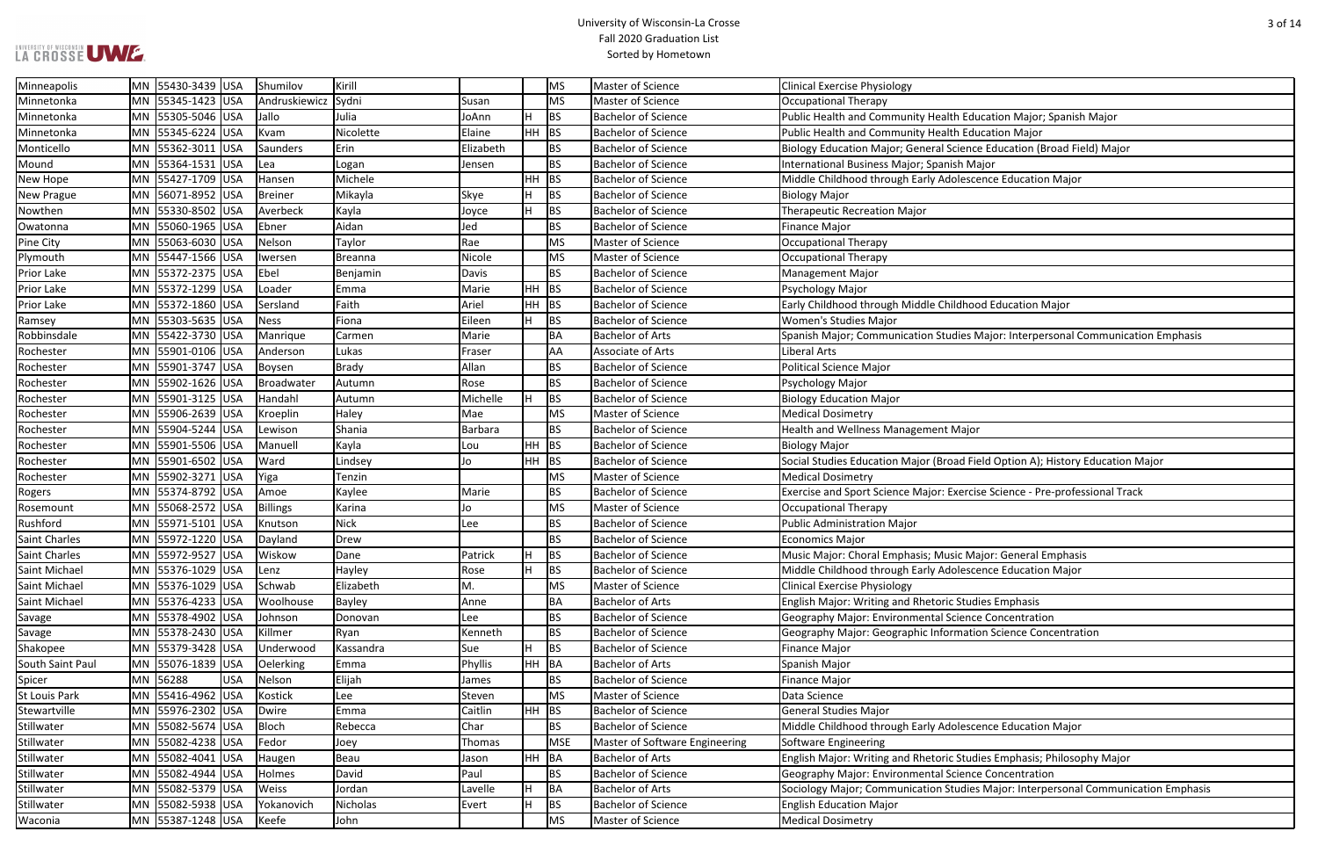#### University of Wisconsin-La Crosse Fall 2020 Graduation List Sorted by Hometown

Education Major; Spanish Major

ence Education (Broad Field) Major

**Robatale Mannei Studie Bachelor**<br>In 55530 University Major; Communication Emphasis

**H** Field Option A); History Education Major

rcise Science - Pre-professional Track

tudies Emphasis; Philosophy Major

**Stillater Mann 35**<br>Inter Major: Interpersonal Communication Emphasis

| Minneapolis          | MN 55430-3439 USA |            | Shumilov      | Kirill         |           |     | MS         | Master of Science                     | <b>Clinical Exercise Physiology</b>                                 |
|----------------------|-------------------|------------|---------------|----------------|-----------|-----|------------|---------------------------------------|---------------------------------------------------------------------|
| Minnetonka           | MN 55345-1423 USA |            | Andruskiewicz | Sydni          | Susan     |     | <b>MS</b>  | Master of Science                     | Occupational Therapy                                                |
| Minnetonka           | MN 55305-5046 USA |            | Jallo         | Julia          | JoAnn     |     | <b>BS</b>  | <b>Bachelor of Science</b>            | Public Health and Community Health Education Major; Spanish Ma      |
| Minnetonka           | MN 55345-6224 USA |            | Kvam          | Nicolette      | Elaine    | HН  | <b>BS</b>  | <b>Bachelor of Science</b>            | Public Health and Community Health Education Major                  |
| Monticello           | MN 55362-3011 USA |            | Saunders      | Erin           | Elizabeth |     | <b>BS</b>  | <b>Bachelor of Science</b>            | Biology Education Major; General Science Education (Broad Field) I  |
| Mound                | MN 55364-1531 USA |            | Lea           | Logan          | Jensen    |     | <b>BS</b>  | <b>Bachelor of Science</b>            | International Business Major; Spanish Major                         |
| New Hope             | MN 55427-1709 USA |            | Hansen        | Michele        |           | HH  | <b>BS</b>  | <b>Bachelor of Science</b>            | Middle Childhood through Early Adolescence Education Major          |
| New Prague           | MN 56071-8952 USA |            | Breiner       | Mikayla        | Skye      |     | <b>BS</b>  | <b>Bachelor of Science</b>            | <b>Biology Major</b>                                                |
| Nowthen              | MN 55330-8502 USA |            | Averbeck      | Kayla          | Joyce     |     | <b>BS</b>  | <b>Bachelor of Science</b>            | <b>Therapeutic Recreation Major</b>                                 |
| Owatonna             | MN 55060-1965 USA |            | Ebner         | Aidan          | Jed       |     | <b>BS</b>  | <b>Bachelor of Science</b>            | <b>Finance Major</b>                                                |
| Pine City            | MN 55063-6030 USA |            | Nelson        | Taylor         | Rae       |     | <b>MS</b>  | Master of Science                     | <b>Occupational Therapy</b>                                         |
| Plymouth             | MN 55447-1566 USA |            | Iwersen       | <b>Breanna</b> | Nicole    |     | MS         | Master of Science                     | Occupational Therapy                                                |
| Prior Lake           | MN 55372-2375 USA |            | Ebel          | Benjamin       | Davis     |     | <b>BS</b>  | <b>Bachelor of Science</b>            | <b>Management Major</b>                                             |
| <b>Prior Lake</b>    | MN 55372-1299 USA |            | Loader        | Emma           | Marie     | HH. | <b>BS</b>  | <b>Bachelor of Science</b>            | Psychology Major                                                    |
| Prior Lake           | MN 55372-1860 USA |            | Sersland      | Faith          | Ariel     | HН  | <b>BS</b>  | <b>Bachelor of Science</b>            | Early Childhood through Middle Childhood Education Major            |
| Ramsey               | MN 55303-5635 USA |            | <b>Ness</b>   | Fiona          | Eileen    |     | <b>BS</b>  | <b>Bachelor of Science</b>            | Women's Studies Major                                               |
| Robbinsdale          | MN 55422-3730 USA |            | Manrique      | Carmen         | Marie     |     | <b>BA</b>  | <b>Bachelor of Arts</b>               | Spanish Major; Communication Studies Major: Interpersonal Comr      |
| Rochester            | MN 55901-0106 USA |            | Anderson      | Lukas          | Fraser    |     | AA         | Associate of Arts                     | Liberal Arts                                                        |
| Rochester            | MN 55901-3747 USA |            | Boysen        | <b>Brady</b>   | Allan     |     | <b>BS</b>  | <b>Bachelor of Science</b>            | <b>Political Science Major</b>                                      |
| Rochester            | MN 55902-1626 USA |            | Broadwater    | Autumn         | Rose      |     | <b>BS</b>  | <b>Bachelor of Science</b>            | Psychology Major                                                    |
| Rochester            | MN 55901-3125 USA |            | Handahl       | Autumn         | Michelle  |     | <b>BS</b>  | <b>Bachelor of Science</b>            | <b>Biology Education Major</b>                                      |
| Rochester            | MN 55906-2639 USA |            | Kroeplin      | Haley          | Mae       |     | <b>MS</b>  | Master of Science                     | <b>Medical Dosimetry</b>                                            |
| Rochester            | MN 55904-5244 USA |            | Lewison       | Shania         | Barbara   |     | <b>BS</b>  | <b>Bachelor of Science</b>            | Health and Wellness Management Major                                |
| Rochester            | MN 55901-5506 USA |            | Manuell       | Kayla          | Lou       | HН  | <b>BS</b>  | <b>Bachelor of Science</b>            | <b>Biology Major</b>                                                |
| Rochester            | MN 55901-6502 USA |            | Ward          | Lindsey        | Jo        | ΗН  | <b>BS</b>  | <b>Bachelor of Science</b>            | Social Studies Education Major (Broad Field Option A); History Edu  |
| Rochester            | MN 55902-3271 USA |            | Yiga          | Tenzin         |           |     | <b>MS</b>  | Master of Science                     | <b>Medical Dosimetry</b>                                            |
| Rogers               | MN 55374-8792 USA |            | Amoe          | Kaylee         | Marie     |     | <b>BS</b>  | <b>Bachelor of Science</b>            | Exercise and Sport Science Major: Exercise Science - Pre-professior |
| Rosemount            | MN 55068-2572 USA |            | Billings      | Karina         | Jo        |     | <b>MS</b>  | Master of Science                     | <b>Occupational Therapy</b>                                         |
| Rushford             | MN 55971-5101 USA |            | Knutson       | <b>Nick</b>    | Lee       |     | <b>BS</b>  | <b>Bachelor of Science</b>            | <b>Public Administration Major</b>                                  |
| Saint Charles        | MN 55972-1220 USA |            | Dayland       | Drew           |           |     | <b>BS</b>  | <b>Bachelor of Science</b>            | Economics Major                                                     |
| Saint Charles        | MN 55972-9527 USA |            | Wiskow        | Dane           | Patrick   |     | <b>BS</b>  | <b>Bachelor of Science</b>            | Music Major: Choral Emphasis; Music Major: General Emphasis         |
| Saint Michael        | MN 55376-1029 USA |            | Lenz          | Hayley         | Rose      | H.  | <b>BS</b>  | <b>Bachelor of Science</b>            | Middle Childhood through Early Adolescence Education Major          |
| Saint Michael        | MN 55376-1029 USA |            | Schwab        | Elizabeth      | Μ.        |     | MS         | Master of Science                     | <b>Clinical Exercise Physiology</b>                                 |
| Saint Michael        | MN 55376-4233 USA |            | Woolhouse     | <b>Bayley</b>  | Anne      |     | BA         | <b>Bachelor of Arts</b>               | English Major: Writing and Rhetoric Studies Emphasis                |
| Savage               | MN 55378-4902 USA |            | Johnson       | Donovan        | Lee       |     | <b>BS</b>  | <b>Bachelor of Science</b>            | Geography Major: Environmental Science Concentration                |
| Savage               | MN 55378-2430 USA |            | Killmer       | Ryan           | Kenneth   |     | <b>BS</b>  | <b>Bachelor of Science</b>            | Geography Major: Geographic Information Science Concentration       |
| Shakopee             | MN 55379-3428 USA |            | Underwood     | Kassandra      | Sue       |     | <b>BS</b>  | Bachelor of Science                   | <b>Finance Major</b>                                                |
| South Saint Paul     | MN 55076-1839 USA |            | Oelerking     | Emma           | Phyllis   | ΗH  | <b>BA</b>  | <b>Bachelor of Arts</b>               | Spanish Major                                                       |
| Spicer               | MN 56288          | <b>USA</b> | Nelson        | Elijah         | James     |     | <b>BS</b>  | <b>Bachelor of Science</b>            | <b>Finance Major</b>                                                |
| <b>St Louis Park</b> | MN 55416-4962 USA |            | Kostick       | Lee            | Steven    |     | <b>MS</b>  | Master of Science                     | Data Science                                                        |
| Stewartville         | MN 55976-2302 USA |            | Dwire         | Emma           | Caitlin   | ΗH  | BS         | <b>Bachelor of Science</b>            | <b>General Studies Major</b>                                        |
| Stillwater           | MN 55082-5674 USA |            | Bloch         | Rebecca        | Char      |     | <b>BS</b>  | <b>Bachelor of Science</b>            | Middle Childhood through Early Adolescence Education Major          |
| Stillwater           | MN 55082-4238 USA |            | Fedor         | Joey           | Thomas    |     | <b>MSE</b> | <b>Master of Software Engineering</b> | Software Engineering                                                |
| Stillwater           | MN 55082-4041 USA |            | Haugen        | Beau           | Jason     | ΗH  | <b>BA</b>  | <b>Bachelor of Arts</b>               | English Major: Writing and Rhetoric Studies Emphasis; Philosophy I  |
| Stillwater           | MN 55082-4944 USA |            | Holmes        | David          | Paul      |     | <b>BS</b>  | <b>Bachelor of Science</b>            | Geography Major: Environmental Science Concentration                |
| Stillwater           | MN 55082-5379 USA |            | Weiss         | Jordan         | Lavelle   |     | <b>BA</b>  | <b>Bachelor of Arts</b>               | Sociology Major; Communication Studies Major: Interpersonal Con     |
| Stillwater           | MN 55082-5938 USA |            | Yokanovich    | Nicholas       | Evert     |     | <b>BS</b>  | <b>Bachelor of Science</b>            | <b>English Education Major</b>                                      |
| Waconia              | MN 55387-1248 USA |            | Keefe         | John           |           |     | MS         | Master of Science                     | <b>Medical Dosimetry</b>                                            |
|                      |                   |            |               |                |           |     |            |                                       |                                                                     |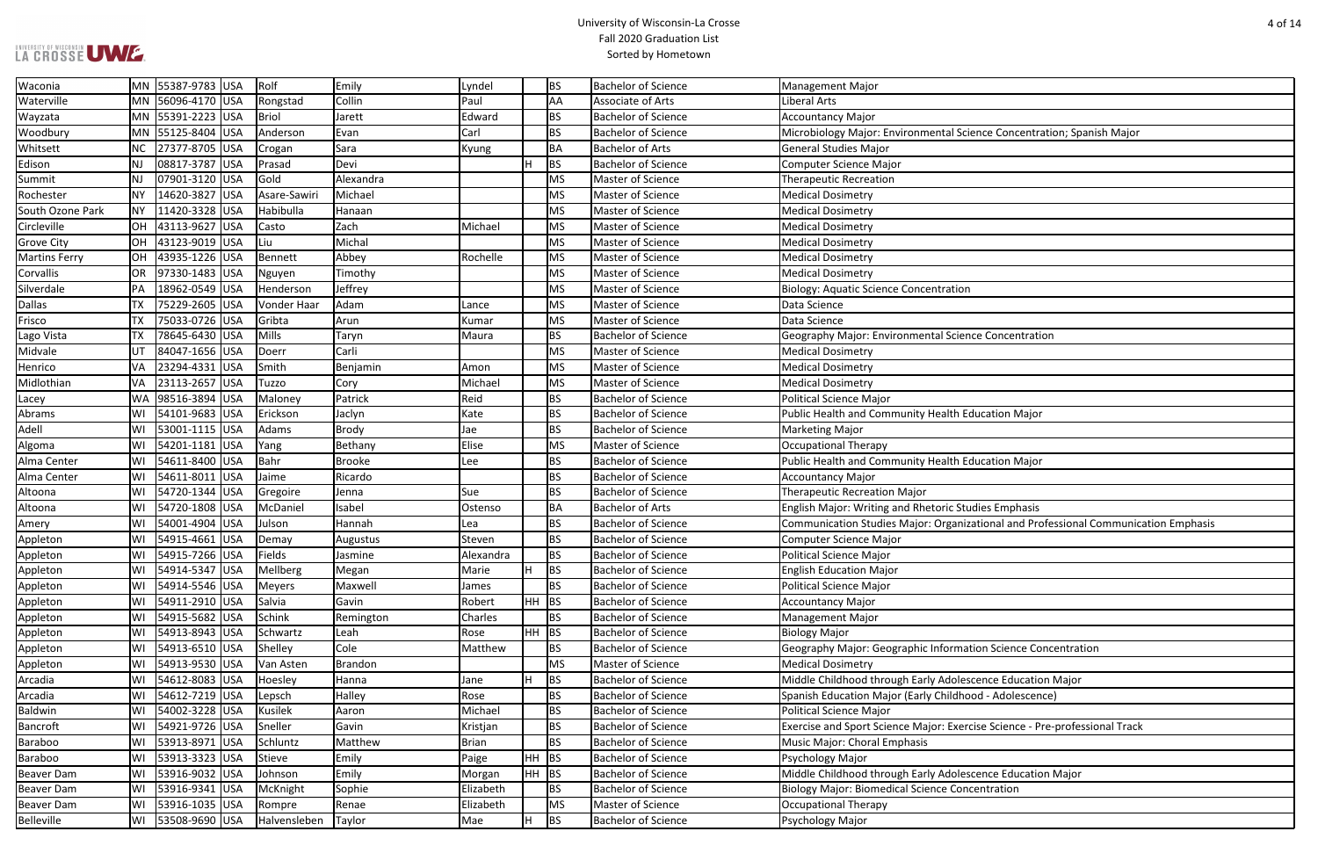#### University of Wisconsin-La Crosse Fall 2020 Graduation List Sorted by Hometown

| ence Concentration; Spanish Major |  |
|-----------------------------------|--|
|                                   |  |

zational and Professional Communication Emphasis

| Waconia              |           | MN 55387-9783 USA | $ R$ olf     | Emily          | Lyndel    |         | <b>BS</b> | <b>Bachelor of Science</b> | <b>Management Major</b>                                                    |
|----------------------|-----------|-------------------|--------------|----------------|-----------|---------|-----------|----------------------------|----------------------------------------------------------------------------|
| Waterville           |           | MN 56096-4170 USA | Rongstad     | Collin         | Paul      |         | AA        | <b>Associate of Arts</b>   | Liberal Arts                                                               |
| Wayzata              |           | MN 55391-2223 USA | <b>Briol</b> | Jarett         | Edward    |         | <b>BS</b> | <b>Bachelor of Science</b> | <b>Accountancy Major</b>                                                   |
| Woodbury             |           | MN 55125-8404 USA | Anderson     | Evan           | Carl      |         | <b>BS</b> | <b>Bachelor of Science</b> | Microbiology Major: Environmental Science Concentration; Spanish Major     |
| Whitsett             | NC.       | 27377-8705 USA    | Crogan       | Sara           | Kyung     |         | BA        | <b>Bachelor of Arts</b>    | <b>General Studies Major</b>                                               |
| Edison               | NJ        | 08817-3787 USA    | Prasad       | Devi           |           | H       | <b>BS</b> | <b>Bachelor of Science</b> | Computer Science Major                                                     |
| Summit               | NJ        | 07901-3120 USA    | Gold         | Alexandra      |           |         | <b>MS</b> | Master of Science          | <b>Therapeutic Recreation</b>                                              |
| Rochester            | NΥ        | 14620-3827 USA    | Asare-Sawiri | Michael        |           |         | <b>MS</b> | Master of Science          | <b>Medical Dosimetry</b>                                                   |
| South Ozone Park     | <b>NY</b> | 11420-3328 USA    | Habibulla    | Hanaan         |           |         | <b>MS</b> | Master of Science          | <b>Medical Dosimetry</b>                                                   |
| Circleville          |           | OH 43113-9627 USA | Casto        | Zach           | Michael   |         | MS        | Master of Science          | <b>Medical Dosimetry</b>                                                   |
| <b>Grove City</b>    |           | OH 43123-9019 USA | Liu          | Michal         |           |         | <b>MS</b> | Master of Science          | <b>Medical Dosimetry</b>                                                   |
| <b>Martins Ferry</b> | <b>OH</b> | 43935-1226 USA    | Bennett      | Abbey          | Rochelle  |         | MS        | Master of Science          | <b>Medical Dosimetry</b>                                                   |
| Corvallis            | <b>OR</b> | 97330-1483 USA    | Nguyen       | Timothy        |           |         | <b>MS</b> | Master of Science          | <b>Medical Dosimetry</b>                                                   |
| Silverdale           | PA        | 18962-0549 USA    | Henderson    | Jeffrey        |           |         | <b>MS</b> | Master of Science          | <b>Biology: Aquatic Science Concentration</b>                              |
| <b>Dallas</b>        | TX        | 75229-2605 USA    | Vonder Haar  | Adam           | Lance     |         | <b>MS</b> | Master of Science          | Data Science                                                               |
| Frisco               | <b>TX</b> | 75033-0726 USA    | Gribta       | Arun           | Kumar     |         | <b>MS</b> | Master of Science          | Data Science                                                               |
| Lago Vista           | <b>TX</b> | 78645-6430 USA    | Mills        | Taryn          | Maura     |         | <b>BS</b> | <b>Bachelor of Science</b> | Geography Major: Environmental Science Concentration                       |
| Midvale              | UT        | 84047-1656 USA    | Doerr        | Carli          |           |         | <b>MS</b> | Master of Science          | <b>Medical Dosimetry</b>                                                   |
| Henrico              | VA        | 23294-4331 USA    | Smith        | Benjamin       | Amon      |         | <b>MS</b> | Master of Science          | <b>Medical Dosimetry</b>                                                   |
| Midlothian           | VA        | 23113-2657 USA    | Tuzzo        | Cory           | Michael   |         | <b>MS</b> | Master of Science          | <b>Medical Dosimetry</b>                                                   |
| Lacey                | <b>WA</b> | 98516-3894 USA    | Maloney      | Patrick        | Reid      |         | <b>BS</b> | <b>Bachelor of Science</b> | <b>Political Science Major</b>                                             |
| Abrams               | W١        | 54101-9683 USA    | Erickson     | Jaclyn         | Kate      |         | <b>BS</b> | <b>Bachelor of Science</b> | Public Health and Community Health Education Major                         |
| Adell                | WI        | 53001-1115 USA    | Adams        | Brody          | Jae       |         | <b>BS</b> | <b>Bachelor of Science</b> | <b>Marketing Major</b>                                                     |
| Algoma               | WI        | 54201-1181 USA    | Yang         | Bethany        | Elise     |         | MS        | Master of Science          | <b>Occupational Therapy</b>                                                |
| Alma Center          | W١        | 54611-8400 USA    | Bahr         | <b>Brooke</b>  | Lee       |         | <b>BS</b> | <b>Bachelor of Science</b> | Public Health and Community Health Education Major                         |
| Alma Center          | WI        | 54611-8011 USA    | Jaime        | Ricardo        |           |         | <b>BS</b> | <b>Bachelor of Science</b> | <b>Accountancy Major</b>                                                   |
| Altoona              | W١        | 54720-1344 USA    | Gregoire     | Jenna          | Sue       |         | <b>BS</b> | <b>Bachelor of Science</b> | <b>Therapeutic Recreation Major</b>                                        |
| Altoona              | WI        | 54720-1808 USA    | McDaniel     | Isabel         | Ostenso   |         | BA        | <b>Bachelor of Arts</b>    | English Major: Writing and Rhetoric Studies Emphasis                       |
| Amery                | W١        | 54001-4904 USA    | Julson       | Hannah         | Lea       |         | <b>BS</b> | <b>Bachelor of Science</b> | Communication Studies Major: Organizational and Professional Communi       |
| Appleton             | W١        | 54915-4661 USA    | Demay        | Augustus       | Steven    |         | <b>BS</b> | <b>Bachelor of Science</b> | <b>Computer Science Major</b>                                              |
| Appleton             | W١        | 54915-7266 USA    | Fields       | Jasmine        | Alexandra |         | <b>BS</b> | <b>Bachelor of Science</b> | <b>Political Science Major</b>                                             |
| Appleton             | WI        | 54914-5347 USA    | Mellberg     | Megan          | Marie     | H.      | BS        | <b>Bachelor of Science</b> | <b>English Education Major</b>                                             |
| Appleton             | WI        | 54914-5546 USA    | Meyers       | Maxwell        | James     |         | <b>BS</b> | <b>Bachelor of Science</b> | <b>Political Science Major</b>                                             |
| Appleton             | W١        | 54911-2910 USA    | Salvia       | Gavin          | Robert    | $HH$ BS |           | <b>Bachelor of Science</b> | <b>Accountancy Major</b>                                                   |
| Appleton             | WI        | 54915-5682 USA    | Schink       | Remington      | Charles   |         | BS        | <b>Bachelor of Science</b> | <b>Management Major</b>                                                    |
| Appleton             | WI        | 54913-8943 USA    | Schwartz     | Leah           | Rose      | HH BS   |           | <b>Bachelor of Science</b> | <b>Biology Major</b>                                                       |
| Appleton             | W١        | 54913-6510 USA    | Shelley      | Cole           | Matthew   |         | <b>BS</b> | <b>Bachelor of Science</b> | Geography Major: Geographic Information Science Concentration              |
| Appleton             | WI        | 54913-9530 USA    | Van Asten    | <b>Brandon</b> |           |         | MS        | Master of Science          | <b>Medical Dosimetry</b>                                                   |
| Arcadia              | W١        | 54612-8083 USA    | Hoesley      | Hanna          | Jane      | lH.     | <b>BS</b> | <b>Bachelor of Science</b> | Middle Childhood through Early Adolescence Education Major                 |
| Arcadia              | W١        | 54612-7219 USA    | Lepsch       | Halley         | Rose      |         | <b>BS</b> | <b>Bachelor of Science</b> | Spanish Education Major (Early Childhood - Adolescence)                    |
| <b>Baldwin</b>       | W١        | 54002-3228 USA    | Kusilek      | Aaron          | Michael   |         | <b>BS</b> | <b>Bachelor of Science</b> | <b>Political Science Major</b>                                             |
| <b>Bancroft</b>      | W١        | 54921-9726 USA    | Sneller      | Gavin          | Kristjan  |         | <b>BS</b> | <b>Bachelor of Science</b> | Exercise and Sport Science Major: Exercise Science - Pre-professional Trac |
| <b>Baraboo</b>       | WI        | 53913-8971 USA    | Schluntz     | Matthew        | Brian     |         | <b>BS</b> | <b>Bachelor of Science</b> | Music Major: Choral Emphasis                                               |
| Baraboo              | W١        | 53913-3323 USA    | Stieve       | Emily          | Paige     | HH BS   |           | <b>Bachelor of Science</b> | Psychology Major                                                           |
| <b>Beaver Dam</b>    | WI        | 53916-9032 USA    | Johnson      | Emily          | Morgan    | HH BS   |           | <b>Bachelor of Science</b> | Middle Childhood through Early Adolescence Education Major                 |
| <b>Beaver Dam</b>    | W١        | 53916-9341 USA    | McKnight     | Sophie         | Elizabeth |         | <b>BS</b> | <b>Bachelor of Science</b> | <b>Biology Major: Biomedical Science Concentration</b>                     |
| <b>Beaver Dam</b>    | W١        | 53916-1035 USA    | Rompre       | Renae          | Elizabeth |         | <b>MS</b> | Master of Science          | <b>Occupational Therapy</b>                                                |
| Belleville           | WI        | 53508-9690 USA    | Halvensleben | Taylor         | Mae       | H.      | BS        | <b>Bachelor of Science</b> | Psychology Major                                                           |
|                      |           |                   |              |                |           |         |           |                            |                                                                            |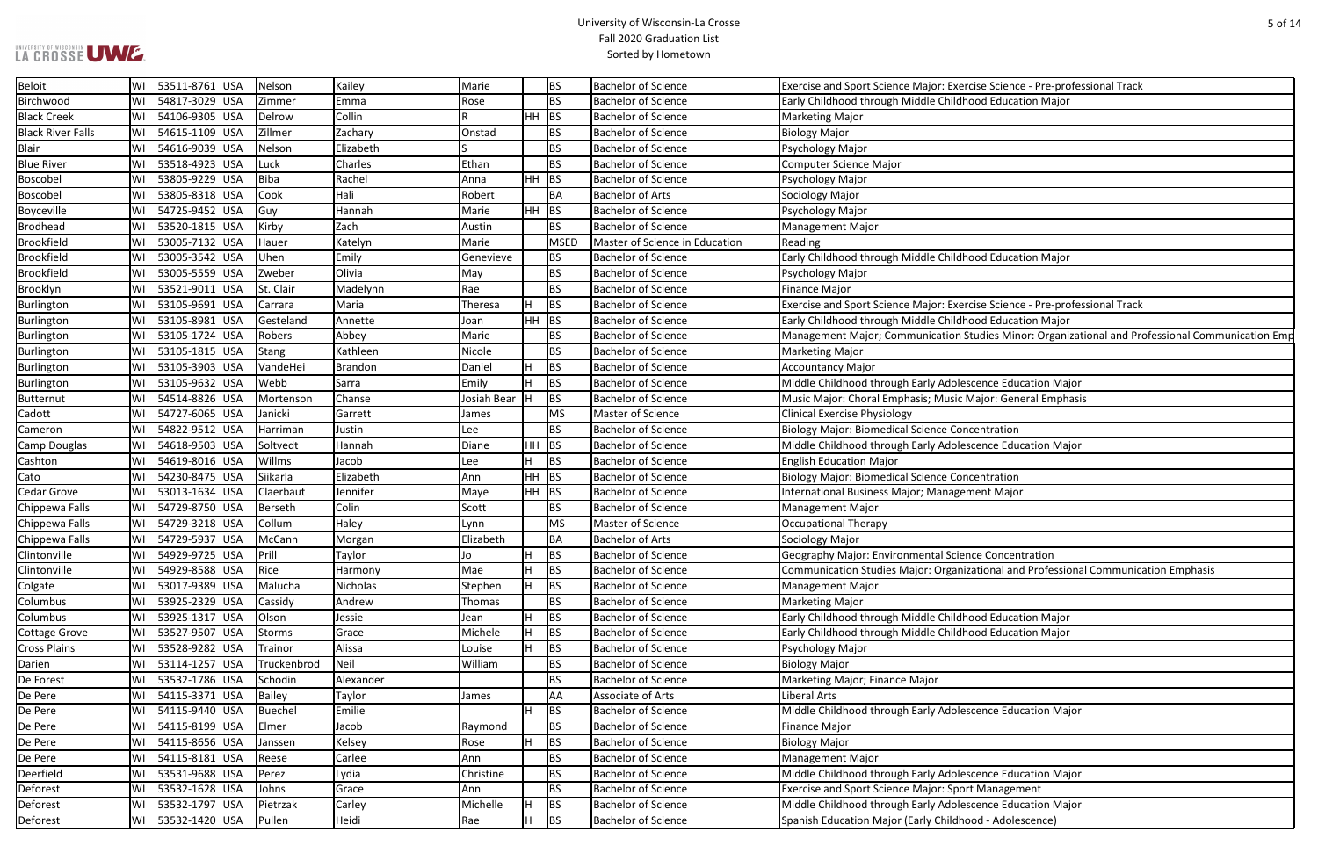#### University of Wisconsin-La Crosse Fall 2020 Graduation List Sorted by Hometown

rcise Science - Pre-professional Track

rcise Science - Pre-professional Track

**Studies Minor: Organizational and Professional Communication Emp** 

Major: General Emphasis

zational and Professional Communication Emphasis

| Beloit                   | WI | 53511-8761 USA    | Nelson         | Kailey    | Marie       |         | BS          | <b>Bachelor of Science</b>     | Exercise and Sport Science Major: Exercise Science - Pre-profe |
|--------------------------|----|-------------------|----------------|-----------|-------------|---------|-------------|--------------------------------|----------------------------------------------------------------|
| Birchwood                | WI | 54817-3029 USA    | Zimmer         | Emma      | Rose        |         | BS          | <b>Bachelor of Science</b>     | Early Childhood through Middle Childhood Education Major       |
| <b>Black Creek</b>       | WI | 54106-9305 USA    | Delrow         | Collin    |             | $HH$ BS |             | <b>Bachelor of Science</b>     | <b>Marketing Major</b>                                         |
| <b>Black River Falls</b> | WI | 54615-1109<br>USA | Zillmer        | Zachary   | Onstad      |         | BS          | <b>Bachelor of Science</b>     | <b>Biology Major</b>                                           |
| <b>Blair</b>             | WI | 54616-9039 USA    | Nelson         | Elizabeth |             |         | BS          | <b>Bachelor of Science</b>     | Psychology Major                                               |
| <b>Blue River</b>        | WI | 53518-4923 USA    | Luck           | Charles   | Ethan       |         | <b>BS</b>   | <b>Bachelor of Science</b>     | <b>Computer Science Major</b>                                  |
| Boscobel                 | WI | 53805-9229 USA    | <b>Biba</b>    | Rachel    | Anna        | $HH$ BS |             | <b>Bachelor of Science</b>     | Psychology Major                                               |
| Boscobel                 | WI | 53805-8318 USA    | Cook           | Hali      | Robert      |         | BA          | <b>Bachelor of Arts</b>        | Sociology Major                                                |
| Boyceville               | WI | 54725-9452 USA    | Guy            | Hannah    | Marie       | $HH$ BS |             | <b>Bachelor of Science</b>     | Psychology Major                                               |
| <b>Brodhead</b>          | WI | 53520-1815 USA    | Kirby          | Zach      | Austin      |         | <b>BS</b>   | <b>Bachelor of Science</b>     | <b>Management Major</b>                                        |
| <b>Brookfield</b>        | WI | 53005-7132 USA    | Hauer          | Katelyn   | Marie       |         | <b>MSED</b> | Master of Science in Education | Reading                                                        |
| <b>Brookfield</b>        | WI | 53005-3542 USA    | Uhen           | Emily     | Genevieve   |         | <b>BS</b>   | <b>Bachelor of Science</b>     | Early Childhood through Middle Childhood Education Major       |
| <b>Brookfield</b>        | WI | 53005-5559 USA    | Zweber         | Olivia    | May         |         | <b>BS</b>   | <b>Bachelor of Science</b>     | Psychology Major                                               |
| Brooklyn                 | WI | 53521-9011 USA    | St. Clair      | Madelynn  | Rae         |         | BS          | <b>Bachelor of Science</b>     | <b>Finance Major</b>                                           |
| Burlington               | WI | 53105-9691 USA    | Carrara        | Maria     | Theresa     | H.      | <b>BS</b>   | <b>Bachelor of Science</b>     | Exercise and Sport Science Major: Exercise Science - Pre-profe |
| Burlington               | WI | 53105-8981 USA    | Gesteland      | Annette   | Joan        | $HH$ BS |             | <b>Bachelor of Science</b>     | Early Childhood through Middle Childhood Education Major       |
| Burlington               | WI | 53105-1724 USA    | Robers         | Abbey     | Marie       |         | BS          | <b>Bachelor of Science</b>     | Management Major; Communication Studies Minor: Organiza        |
| Burlington               | WI | 53105-1815 USA    | <b>Stang</b>   | Kathleen  | Nicole      |         | <b>BS</b>   | <b>Bachelor of Science</b>     | <b>Marketing Major</b>                                         |
| Burlington               | WI | 53105-3903 USA    | VandeHei       | Brandon   | Daniel      | H       | <b>BS</b>   | <b>Bachelor of Science</b>     | <b>Accountancy Major</b>                                       |
| Burlington               | WI | 53105-9632 USA    | Webb           | Sarra     | Emily       | H       | <b>BS</b>   | <b>Bachelor of Science</b>     | Middle Childhood through Early Adolescence Education Major     |
| Butternut                | WI | 54514-8826 USA    | Mortenson      | Chanse    | Josiah Bear | н       | BS          | <b>Bachelor of Science</b>     | Music Major: Choral Emphasis; Music Major: General Emphas      |
| Cadott                   | WI | 54727-6065 USA    | Janicki        | Garrett   | James       |         | MS          | Master of Science              | <b>Clinical Exercise Physiology</b>                            |
| Cameron                  | WI | 54822-9512 USA    | Harriman       | Justin    | Lee         |         | BS          | <b>Bachelor of Science</b>     | <b>Biology Major: Biomedical Science Concentration</b>         |
| Camp Douglas             | WI | 54618-9503 USA    | Soltvedt       | Hannah    | Diane       | $HH$ BS |             | <b>Bachelor of Science</b>     | Middle Childhood through Early Adolescence Education Major     |
| Cashton                  | WI | 54619-8016 USA    | Willms         | Jacob     | Lee         | H       | <b>BS</b>   | <b>Bachelor of Science</b>     | <b>English Education Major</b>                                 |
| Cato                     | WI | 54230-8475 USA    | Siikarla       | Elizabeth | Ann         | $HH$ BS |             | <b>Bachelor of Science</b>     | <b>Biology Major: Biomedical Science Concentration</b>         |
| <b>Cedar Grove</b>       | WI | 53013-1634 USA    | Claerbaut      | Jennifer  | Maye        | $HH$ BS |             | <b>Bachelor of Science</b>     | International Business Major; Management Major                 |
| Chippewa Falls           | WI | 54729-8750 USA    | Berseth        | Colin     | Scott       |         | <b>BS</b>   | <b>Bachelor of Science</b>     | <b>Management Major</b>                                        |
| Chippewa Falls           | WI | 54729-3218 USA    | Collum         | Haley     | Lynn        |         | MS          | Master of Science              | <b>Occupational Therapy</b>                                    |
| Chippewa Falls           | WI | 54729-5937<br>USA | McCann         | Morgan    | Elizabeth   |         | BA          | <b>Bachelor of Arts</b>        | Sociology Major                                                |
| Clintonville             | WI | 54929-9725 USA    | Prill          | Taylor    | Jo          | H       | BS          | <b>Bachelor of Science</b>     | Geography Major: Environmental Science Concentration           |
| Clintonville             | WI | 54929-8588 USA    | Rice           | Harmony   | Mae         | H       | <b>BS</b>   | <b>Bachelor of Science</b>     | Communication Studies Major: Organizational and Professiona    |
| Colgate                  | WI | 53017-9389 USA    | Malucha        | Nicholas  | Stephen     | H.      | BS          | <b>Bachelor of Science</b>     | <b>Management Major</b>                                        |
| Columbus                 | WI | 53925-2329 USA    | Cassidy        | Andrew    | Thomas      |         | <b>BS</b>   | <b>Bachelor of Science</b>     | <b>Marketing Major</b>                                         |
| Columbus                 | WI | 53925-1317 USA    | Olson          | Jessie    | Jean        | H       | <b>BS</b>   | <b>Bachelor of Science</b>     | Early Childhood through Middle Childhood Education Major       |
| <b>Cottage Grove</b>     | WI | 53527-9507 USA    | Storms         | Grace     | Michele     | H       | <b>BS</b>   | <b>Bachelor of Science</b>     | Early Childhood through Middle Childhood Education Major       |
| <b>Cross Plains</b>      | WI | 53528-9282 USA    | Trainor        | Alissa    | Louise      | H.      | <b>BS</b>   | <b>Bachelor of Science</b>     | Psychology Major                                               |
| Darien                   | WI | 53114-1257 USA    | Truckenbrod    | Neil      | William     |         | <b>BS</b>   | <b>Bachelor of Science</b>     | <b>Biology Major</b>                                           |
| De Forest                | WI | 53532-1786 USA    | Schodin        | Alexander |             |         | <b>BS</b>   | <b>Bachelor of Science</b>     | Marketing Major; Finance Major                                 |
| De Pere                  | WI | 54115-3371 USA    | Bailey         | Taylor    | James       |         | <b>AA</b>   | Associate of Arts              | Liberal Arts                                                   |
| De Pere                  | WI | 54115-9440 USA    | <b>Buechel</b> | Emilie    |             | H       | BS          | <b>Bachelor of Science</b>     | Middle Childhood through Early Adolescence Education Major     |
| De Pere                  | WI | 54115-8199 USA    | Elmer          | Jacob     | Raymond     |         | BS          | <b>Bachelor of Science</b>     | <b>Finance Major</b>                                           |
| De Pere                  | WI | 54115-8656 USA    | Janssen        | Kelsey    | Rose        | H       | <b>BS</b>   | <b>Bachelor of Science</b>     | <b>Biology Major</b>                                           |
| De Pere                  | WI | 54115-8181 USA    | Reese          | Carlee    | Ann         |         | <b>BS</b>   | <b>Bachelor of Science</b>     | <b>Management Major</b>                                        |
| Deerfield                | WI | 53531-9688 USA    | Perez          | Lydia     | Christine   |         | <b>BS</b>   | <b>Bachelor of Science</b>     | Middle Childhood through Early Adolescence Education Major     |
| Deforest                 | WI | 53532-1628 USA    | Johns          | Grace     | Ann         |         | BS          | <b>Bachelor of Science</b>     | Exercise and Sport Science Major: Sport Management             |
| Deforest                 | WI | 53532-1797 USA    | Pietrzak       | Carley    | Michelle    | H       | BS          | <b>Bachelor of Science</b>     | Middle Childhood through Early Adolescence Education Major     |
| Deforest                 | WI | 53532-1420 USA    | Pullen         | Heidi     | Rae         | H       | <b>BS</b>   | <b>Bachelor of Science</b>     | Spanish Education Major (Early Childhood - Adolescence)        |
|                          |    |                   |                |           |             |         |             |                                |                                                                |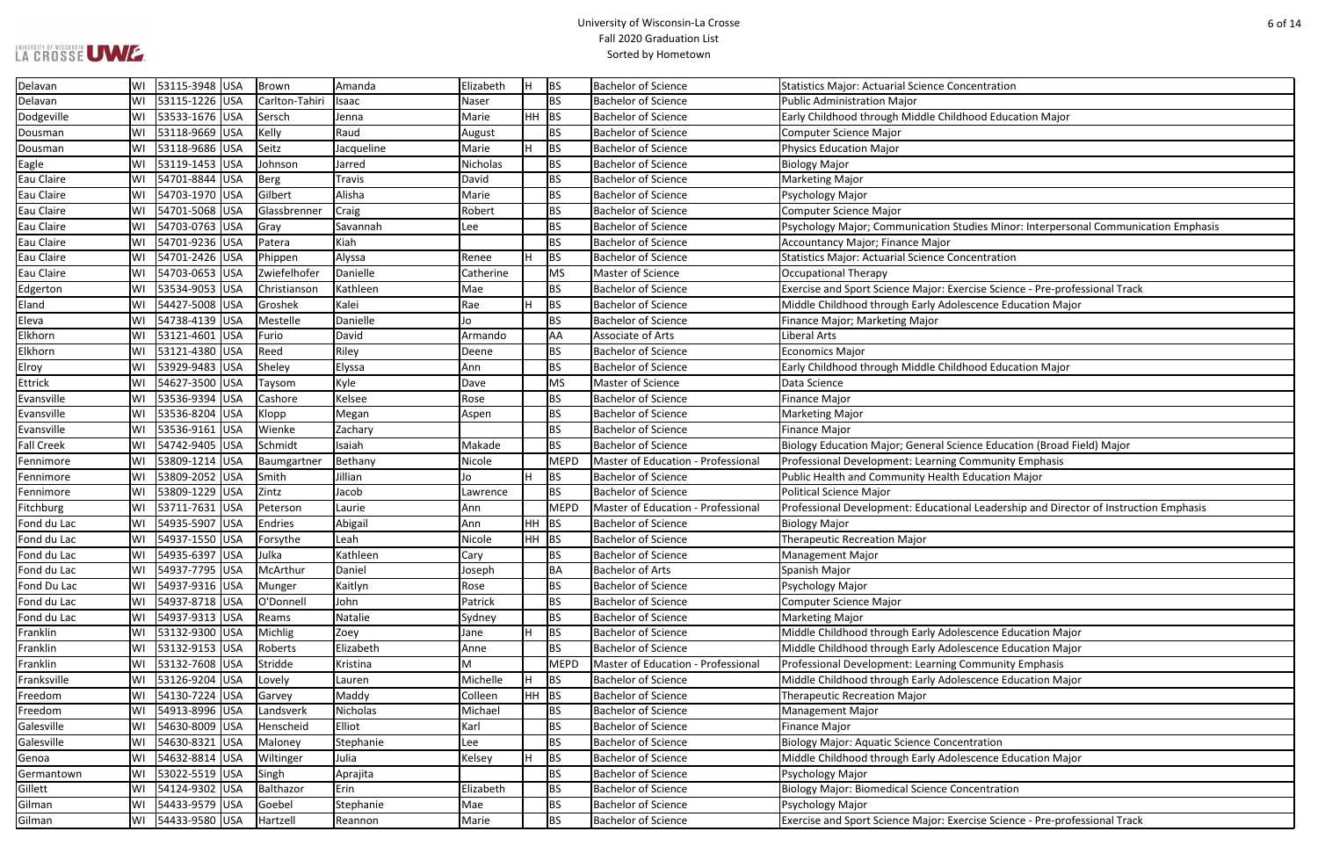#### University of Wisconsin-La Crosse Fall 2020 Graduation List Sorted by Hometown

| centration |  |
|------------|--|
|            |  |

udies Minor: Interpersonal Communication Emphasis

Pricise Science - Pre-professional Track scence Education Major

ence Education (Broad Field) Major

al Leadership and Director of Instruction Emphasis

**Examence Education Major Bachelor SEE** Education Major scence Education Major

escence Education Major

rcise Science - Pre-professional Track

| Delavan           | WI | 53115-3948 USA | Brown          | Amanda     | Elizabeth | lн    | <b>BS</b>   | <b>Bachelor of Science</b>                | <b>Statistics Major: Actuarial Science Concentration</b>     |
|-------------------|----|----------------|----------------|------------|-----------|-------|-------------|-------------------------------------------|--------------------------------------------------------------|
| Delavan           | WI | 53115-1226 USA | Carlton-Tahiri | Isaac      | Naser     |       | <b>BS</b>   | <b>Bachelor of Science</b>                | Public Administration Major                                  |
| Dodgeville        | WI | 53533-1676 USA | Sersch         | Jenna      | Marie     | HH.   | <b>BS</b>   | <b>Bachelor of Science</b>                | Early Childhood through Middle Childhood Education Major     |
| Dousman           | WI | 53118-9669 USA | Kelly          | Raud       | August    |       | <b>BS</b>   | <b>Bachelor of Science</b>                | <b>Computer Science Major</b>                                |
| Dousman           | WI | 53118-9686 USA | Seitz          | Jacqueline | Marie     | H     | <b>BS</b>   | <b>Bachelor of Science</b>                | <b>Physics Education Major</b>                               |
| Eagle             | WI | 53119-1453 USA | Johnson        | Jarred     | Nicholas  |       | <b>BS</b>   | <b>Bachelor of Science</b>                | <b>Biology Major</b>                                         |
| Eau Claire        | WI | 54701-8844 USA | Berg           | Travis     | David     |       | <b>BS</b>   | <b>Bachelor of Science</b>                | <b>Marketing Major</b>                                       |
| Eau Claire        | WI | 54703-1970 USA | Gilbert        | Alisha     | Marie     |       | <b>BS</b>   | <b>Bachelor of Science</b>                | Psychology Major                                             |
| Eau Claire        | WI | 54701-5068 USA | Glassbrenner   | Craig      | Robert    |       | <b>BS</b>   | <b>Bachelor of Science</b>                | <b>Computer Science Major</b>                                |
| Eau Claire        | WI | 54703-0763 USA | Gray           | Savannah   | Lee       |       | <b>BS</b>   | <b>Bachelor of Science</b>                | Psychology Major; Communication Studies Minor: Interpers     |
| Eau Claire        | WI | 54701-9236 USA | Patera         | Kiah       |           |       | <b>BS</b>   | <b>Bachelor of Science</b>                | Accountancy Major; Finance Major                             |
| Eau Claire        | WI | 54701-2426 USA | Phippen        | Alyssa     | Renee     | H     | BS          | <b>Bachelor of Science</b>                | <b>Statistics Major: Actuarial Science Concentration</b>     |
| Eau Claire        | WI | 54703-0653 USA | Zwiefelhofer   | Danielle   | Catherine |       | <b>MS</b>   | Master of Science                         | <b>Occupational Therapy</b>                                  |
| Edgerton          | WI | 53534-9053 USA | Christianson   | Kathleen   | Mae       |       | <b>BS</b>   | <b>Bachelor of Science</b>                | Exercise and Sport Science Major: Exercise Science - Pre-pro |
| Eland             | WI | 54427-5008 USA | Groshek        | Kalei      | Rae       |       | <b>BS</b>   | <b>Bachelor of Science</b>                | Middle Childhood through Early Adolescence Education Ma      |
| Eleva             | WI | 54738-4139 USA | Mestelle       | Danielle   | Jo        |       | <b>BS</b>   | <b>Bachelor of Science</b>                | Finance Major; Marketing Major                               |
| Elkhorn           | WI | 53121-4601 USA | Furio          | David      | Armando   |       | AA          | Associate of Arts                         | Liberal Arts                                                 |
| Elkhorn           | WI | 53121-4380 USA | Reed           | Riley      | Deene     |       | <b>BS</b>   | <b>Bachelor of Science</b>                | <b>Economics Major</b>                                       |
| Elroy             | WI | 53929-9483 USA | Sheley         | Elyssa     | Ann       |       | <b>BS</b>   | <b>Bachelor of Science</b>                | Early Childhood through Middle Childhood Education Major     |
| <b>Ettrick</b>    | WI | 54627-3500 USA | Taysom         | Kyle       | Dave      |       | <b>MS</b>   | Master of Science                         | Data Science                                                 |
| Evansville        | WI | 53536-9394 USA | Cashore        | Kelsee     | Rose      |       | <b>BS</b>   | <b>Bachelor of Science</b>                | <b>Finance Major</b>                                         |
| Evansville        | WI | 53536-8204 USA | Klopp          | Megan      | Aspen     |       | <b>BS</b>   | <b>Bachelor of Science</b>                | <b>Marketing Major</b>                                       |
| Evansville        | WI | 53536-9161 USA | Wienke         | Zachary    |           |       | <b>BS</b>   | <b>Bachelor of Science</b>                | <b>Finance Major</b>                                         |
| <b>Fall Creek</b> | WI | 54742-9405 USA | Schmidt        | Isaiah     | Makade    |       | <b>BS</b>   | <b>Bachelor of Science</b>                | Biology Education Major; General Science Education (Broad    |
| Fennimore         | WI | 53809-1214 USA | Baumgartner    | Bethany    | Nicole    |       | <b>MEPD</b> | <b>Master of Education - Professional</b> | Professional Development: Learning Community Emphasis        |
| Fennimore         | WI | 53809-2052 USA | Smith          | Jillian    | Jo        | H     | BS          | <b>Bachelor of Science</b>                | Public Health and Community Health Education Major           |
| Fennimore         | WI | 53809-1229 USA | Zintz          | Jacob      | Lawrence  |       | <b>BS</b>   | <b>Bachelor of Science</b>                | Political Science Major                                      |
| Fitchburg         | WI | 53711-7631 USA | Peterson       | Laurie     | Ann       |       | <b>MEPD</b> | Master of Education - Professional        | Professional Development: Educational Leadership and Dire    |
| Fond du Lac       | WI | 54935-5907 USA | Endries        | Abigail    | Ann       | HH.   | BS          | <b>Bachelor of Science</b>                | <b>Biology Major</b>                                         |
| Fond du Lac       | WI | 54937-1550 USA | Forsythe       | Leah       | Nicole    |       | $HH$ BS     | <b>Bachelor of Science</b>                | <b>Therapeutic Recreation Major</b>                          |
| Fond du Lac       | WI | 54935-6397 USA | Julka          | Kathleen   | Cary      |       | <b>BS</b>   | <b>Bachelor of Science</b>                | Management Major                                             |
| Fond du Lac       | WI | 54937-7795 USA | McArthur       | Daniel     | Joseph    |       | <b>BA</b>   | <b>Bachelor of Arts</b>                   | Spanish Major                                                |
| Fond Du Lac       | WI | 54937-9316 USA | Munger         | Kaitlyn    | Rose      |       | <b>BS</b>   | <b>Bachelor of Science</b>                | Psychology Major                                             |
| Fond du Lac       | WI | 54937-8718 USA | O'Donnell      | John       | Patrick   |       | <b>BS</b>   | <b>Bachelor of Science</b>                | <b>Computer Science Major</b>                                |
| Fond du Lac       | WI | 54937-9313 USA | Reams          | Natalie    | Sydney    |       | <b>BS</b>   | <b>Bachelor of Science</b>                | <b>Marketing Major</b>                                       |
| Franklin          | WI | 53132-9300 USA | Michlig        | Zoey       | Jane      | H     | <b>BS</b>   | <b>Bachelor of Science</b>                | Middle Childhood through Early Adolescence Education Ma      |
| Franklin          | WI | 53132-9153 USA | Roberts        | Elizabeth  | Anne      |       | <b>BS</b>   | <b>Bachelor of Science</b>                | Middle Childhood through Early Adolescence Education Ma      |
| Franklin          | WI | 53132-7608 USA | Stridde        | Kristina   | M         |       | <b>MEPD</b> | Master of Education - Professional        | Professional Development: Learning Community Emphasis        |
| Franksville       | WI | 53126-9204 USA | Lovely         | Lauren     | Michelle  |       | BS          | <b>Bachelor of Science</b>                | Middle Childhood through Early Adolescence Education Ma      |
| Freedom           | WI | 54130-7224 USA | Garvey         | Maddy      | Colleen   | HH BS |             | <b>Bachelor of Science</b>                | <b>Therapeutic Recreation Major</b>                          |
| Freedom           | WI | 54913-8996 USA | Landsverk      | Nicholas   | Michael   |       | <b>BS</b>   | <b>Bachelor of Science</b>                | <b>Management Major</b>                                      |
| Galesville        | WI | 54630-8009 USA | Henscheid      | Elliot     | Karl      |       | <b>BS</b>   | <b>Bachelor of Science</b>                | <b>Finance Major</b>                                         |
| Galesville        | WI | 54630-8321 USA | Maloney        | Stephanie  | Lee       |       | <b>BS</b>   | <b>Bachelor of Science</b>                | <b>Biology Major: Aquatic Science Concentration</b>          |
| Genoa             | WI | 54632-8814 USA | Wiltinger      | Julia      | Kelsey    | H     | <b>BS</b>   | <b>Bachelor of Science</b>                | Middle Childhood through Early Adolescence Education Ma      |
| Germantown        | WI | 53022-5519 USA | Singh          | Aprajita   |           |       | <b>BS</b>   | <b>Bachelor of Science</b>                | Psychology Major                                             |
| Gillett           | WI | 54124-9302 USA | Balthazor      | Erin       | Elizabeth |       | <b>BS</b>   | <b>Bachelor of Science</b>                | <b>Biology Major: Biomedical Science Concentration</b>       |
| Gilman            | WI | 54433-9579 USA | Goebel         | Stephanie  | Mae       |       | <b>BS</b>   | <b>Bachelor of Science</b>                | Psychology Major                                             |
| Gilman            | WI | 54433-9580 USA | Hartzell       | Reannon    | Marie     |       | <b>BS</b>   | <b>Bachelor of Science</b>                | Exercise and Sport Science Major: Exercise Science - Pre-pro |
|                   |    |                |                |            |           |       |             |                                           |                                                              |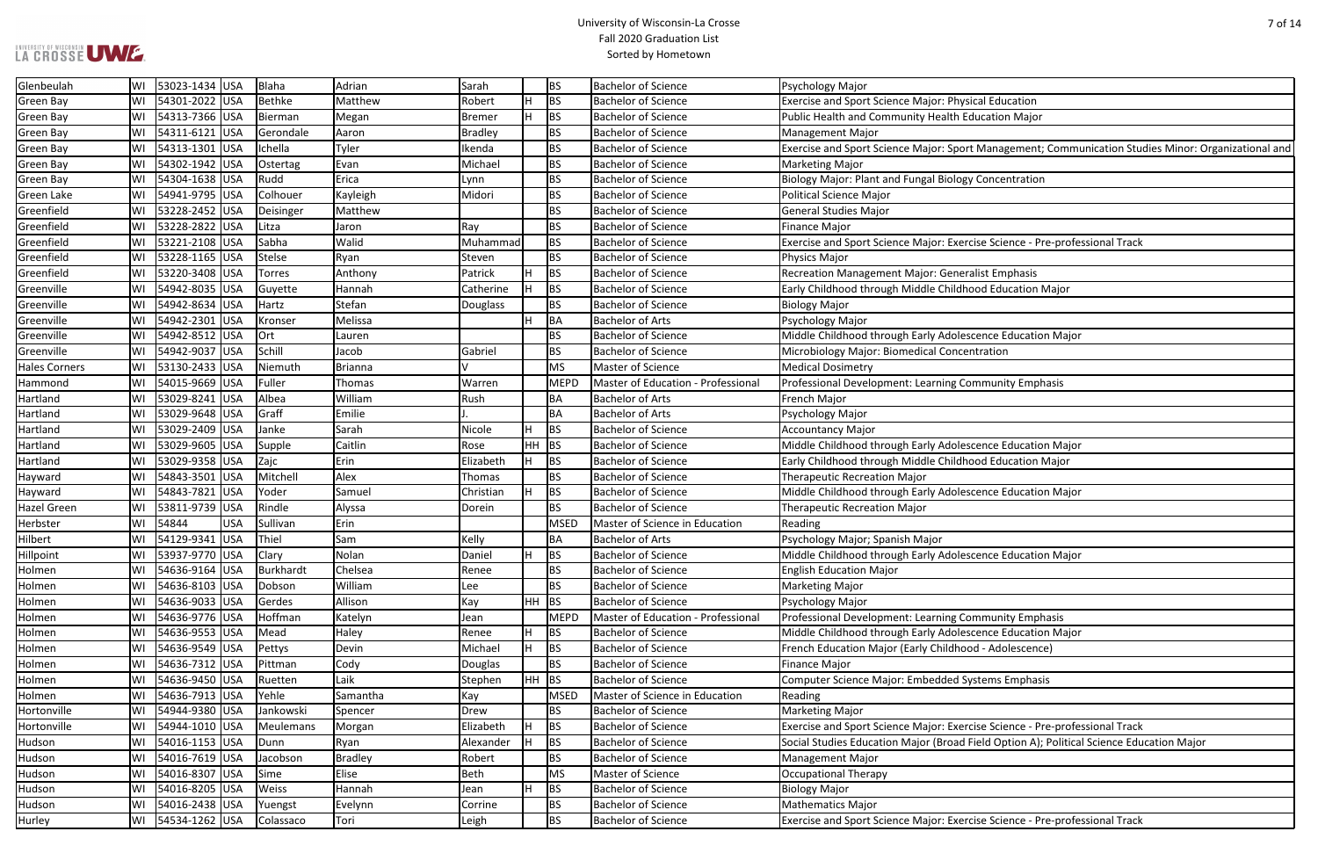#### University of Wisconsin-La Crosse Fall 2020 Graduation List Sorted by Hometown

Freed Banagement; Communication Studies Minor: Organizational and

rcise Science - Pre-professional Track

Pricise Science - Pre-professional Track Held Option A); Political Science Education Major

rcise Science - Pre-professional Track

| Glenbeulah           | lWI | 53023-1434 USA      | <b>Blaha</b> | Adrian         | Sarah          |         | <b>BS</b>   | <b>Bachelor of Science</b>         | Psychology Major                                                |
|----------------------|-----|---------------------|--------------|----------------|----------------|---------|-------------|------------------------------------|-----------------------------------------------------------------|
| <b>Green Bay</b>     | WI  | 54301-2022 USA      | Bethke       | Matthew        | Robert         | H.      | <b>BS</b>   | <b>Bachelor of Science</b>         | Exercise and Sport Science Major: Physical Education            |
| <b>Green Bay</b>     | WI  | 54313-7366 USA      | Bierman      | Megan          | Bremer         | H.      | <b>BS</b>   | <b>Bachelor of Science</b>         | Public Health and Community Health Education Major              |
| <b>Green Bay</b>     | WI  | 54311-6121 USA      | Gerondale    | Aaron          | <b>Bradley</b> |         | <b>BS</b>   | <b>Bachelor of Science</b>         | <b>Management Major</b>                                         |
| <b>Green Bay</b>     | WI  | 54313-1301 USA      | Ichella      | Tyler          | Ikenda         |         | <b>BS</b>   | <b>Bachelor of Science</b>         | Exercise and Sport Science Major: Sport Management; Comm        |
| Green Bay            | WI  | 54302-1942 USA      | Ostertag     | Evan           | Michael        |         | <b>BS</b>   | <b>Bachelor of Science</b>         | <b>Marketing Major</b>                                          |
| <b>Green Bay</b>     | WI  | 54304-1638 USA      | Rudd         | Erica          | Lynn           |         | <b>BS</b>   | <b>Bachelor of Science</b>         | Biology Major: Plant and Fungal Biology Concentration           |
| Green Lake           | WI  | 54941-9795 USA      | Colhouer     | Kayleigh       | Midori         |         | <b>BS</b>   | <b>Bachelor of Science</b>         | <b>Political Science Major</b>                                  |
| Greenfield           | WI  | 53228-2452 USA      | Deisinger    | Matthew        |                |         | <b>BS</b>   | <b>Bachelor of Science</b>         | <b>General Studies Major</b>                                    |
| Greenfield           | WI  | 53228-2822 USA      | Litza        | Jaron          | Ray            |         | <b>BS</b>   | <b>Bachelor of Science</b>         | <b>Finance Major</b>                                            |
| Greenfield           | WI  | 53221-2108 USA      | Sabha        | Walid          | Muhammad       |         | <b>BS</b>   | <b>Bachelor of Science</b>         | Exercise and Sport Science Major: Exercise Science - Pre-profe  |
| Greenfield           | WI  | 53228-1165 USA      | Stelse       | Ryan           | Steven         |         | <b>BS</b>   | <b>Bachelor of Science</b>         | Physics Major                                                   |
| Greenfield           | WI  | 53220-3408 USA      | Torres       | Anthony        | Patrick        |         | <b>BS</b>   | <b>Bachelor of Science</b>         | Recreation Management Major: Generalist Emphasis                |
| Greenville           | WI  | 54942-8035 USA      | Guyette      | Hannah         | Catherine      |         | <b>BS</b>   | <b>Bachelor of Science</b>         | Early Childhood through Middle Childhood Education Major        |
| Greenville           | WI  | 54942-8634 USA      | Hartz        | Stefan         | Douglass       |         | <b>BS</b>   | <b>Bachelor of Science</b>         | <b>Biology Major</b>                                            |
| Greenville           | WI  | 54942-2301 USA      | Kronser      | Melissa        |                |         | BA          | <b>Bachelor of Arts</b>            | Psychology Major                                                |
| Greenville           | WI  | 54942-8512 USA      | Ort          | Lauren         |                |         | <b>BS</b>   | <b>Bachelor of Science</b>         | Middle Childhood through Early Adolescence Education Major      |
| Greenville           | WI  | 54942-9037 USA      | Schill       | Jacob          | Gabriel        |         | <b>BS</b>   | <b>Bachelor of Science</b>         | Microbiology Major: Biomedical Concentration                    |
| <b>Hales Corners</b> | WI  | 53130-2433 USA      | Niemuth      | Brianna        |                |         | MS          | Master of Science                  | <b>Medical Dosimetry</b>                                        |
| Hammond              | WI  | 54015-9669 USA      | Fuller       | Thomas         | Warren         |         | <b>MEPD</b> | Master of Education - Professional | Professional Development: Learning Community Emphasis           |
| Hartland             | WI  | 53029-8241 USA      | Albea        | William        | Rush           |         | BA          | <b>Bachelor of Arts</b>            | French Major                                                    |
| Hartland             | WI  | 53029-9648 USA      | Graff        | Emilie         |                |         | BA          | <b>Bachelor of Arts</b>            | Psychology Major                                                |
| Hartland             | WI  | 53029-2409 USA      | Janke        | Sarah          | Nicole         |         | <b>BS</b>   | <b>Bachelor of Science</b>         | <b>Accountancy Major</b>                                        |
| Hartland             | WI  | 53029-9605 USA      | Supple       | Caitlin        | Rose           | $HH$ BS |             | <b>Bachelor of Science</b>         | Middle Childhood through Early Adolescence Education Major      |
| Hartland             | WI  | 53029-9358 USA      | Zajc         | Erin           | Elizabeth      | H.      | <b>BS</b>   | <b>Bachelor of Science</b>         | Early Childhood through Middle Childhood Education Major        |
| Hayward              | WI  | 54843-3501 USA      | Mitchell     | Alex           | Thomas         |         | <b>BS</b>   | <b>Bachelor of Science</b>         | <b>Therapeutic Recreation Major</b>                             |
| Hayward              | WI  | 54843-7821 USA      | Yoder        | Samuel         | Christian      |         | <b>BS</b>   | <b>Bachelor of Science</b>         | Middle Childhood through Early Adolescence Education Major      |
| <b>Hazel Green</b>   | WI  | 53811-9739  USA     | Rindle       | Alyssa         | Dorein         |         | <b>BS</b>   | <b>Bachelor of Science</b>         | <b>Therapeutic Recreation Major</b>                             |
| Herbster             | WI  | 54844<br><b>USA</b> | Sullivan     | Erin           |                |         | MSED        | Master of Science in Education     | Reading                                                         |
| Hilbert              | WI  | 54129-9341 USA      | Thiel        | Sam            | Kelly          |         | BA          | <b>Bachelor of Arts</b>            | Psychology Major; Spanish Major                                 |
| Hillpoint            | WI  | 53937-9770 USA      | <b>Clary</b> | Nolan          | Daniel         | н       | <b>BS</b>   | <b>Bachelor of Science</b>         | Middle Childhood through Early Adolescence Education Major      |
| Holmen               | WI  | 54636-9164 USA      | Burkhardt    | Chelsea        | Renee          |         | <b>BS</b>   | <b>Bachelor of Science</b>         | <b>English Education Major</b>                                  |
| Holmen               | WI  | 54636-8103 USA      | Dobson       | William        | Lee            |         | <b>BS</b>   | <b>Bachelor of Science</b>         | <b>Marketing Major</b>                                          |
| Holmen               | WI  | 54636-9033 USA      | Gerdes       | Allison        | Kay            | $HH$ BS |             | <b>Bachelor of Science</b>         | Psychology Major                                                |
| Holmen               | WI  | 54636-9776 USA      | Hoffman      | Katelyn        | Jean           |         | MEPD        | Master of Education - Professional | Professional Development: Learning Community Emphasis           |
| Holmen               | WI  | 54636-9553 USA      | Mead         | Haley          | Renee          | H.      | <b>BS</b>   | <b>Bachelor of Science</b>         | Middle Childhood through Early Adolescence Education Major      |
| Holmen               | WI  | 54636-9549 USA      | Pettys       | Devin          | Michael        | H       | <b>BS</b>   | <b>Bachelor of Science</b>         | French Education Major (Early Childhood - Adolescence)          |
| Holmen               | WI  | 54636-7312 USA      | Pittman      | Cody           | Douglas        |         | <b>BS</b>   | <b>Bachelor of Science</b>         | <b>Finance Major</b>                                            |
| Holmen               | WI  | 54636-9450 USA      | Ruetten      | Laik           | Stephen        | $HH$ BS |             | <b>Bachelor of Science</b>         | <b>Computer Science Major: Embedded Systems Emphasis</b>        |
| Holmen               | WI  | 54636-7913 USA      | Yehle        | Samantha       | Kay            |         | <b>MSED</b> | Master of Science in Education     | Reading                                                         |
| Hortonville          | WI  | 54944-9380 USA      | Jankowski    | Spencer        | Drew           |         | <b>BS</b>   | <b>Bachelor of Science</b>         | <b>Marketing Major</b>                                          |
| Hortonville          | WI  | 54944-1010 USA      | Meulemans    | Morgan         | Elizabeth      | H.      | <b>BS</b>   | <b>Bachelor of Science</b>         | Exercise and Sport Science Major: Exercise Science - Pre-profe  |
| Hudson               | WI  | 54016-1153 USA      | Dunn         | Ryan           | Alexander      | H.      | <b>BS</b>   | <b>Bachelor of Science</b>         | Social Studies Education Major (Broad Field Option A); Politica |
| Hudson               | WI  | 54016-7619 USA      | Jacobson     | <b>Bradley</b> | Robert         |         | <b>BS</b>   | <b>Bachelor of Science</b>         | <b>Management Major</b>                                         |
| Hudson               | WI  | 54016-8307 USA      | Sime         | Elise          | <b>Beth</b>    |         | MS          | Master of Science                  | <b>Occupational Therapy</b>                                     |
| Hudson               | WI  | 54016-8205 USA      | Weiss        | Hannah         | Jean           | H.      | BS          | <b>Bachelor of Science</b>         | <b>Biology Major</b>                                            |
| Hudson               | WI  | 54016-2438 USA      | Yuengst      | Evelynn        | Corrine        |         | <b>BS</b>   | <b>Bachelor of Science</b>         | <b>Mathematics Major</b>                                        |
| Hurley               | WI  | 54534-1262 USA      | Colassaco    | Tori           | Leigh          |         | BS          | <b>Bachelor of Science</b>         | Exercise and Sport Science Major: Exercise Science - Pre-profe  |
|                      |     |                     |              |                |                |         |             |                                    |                                                                 |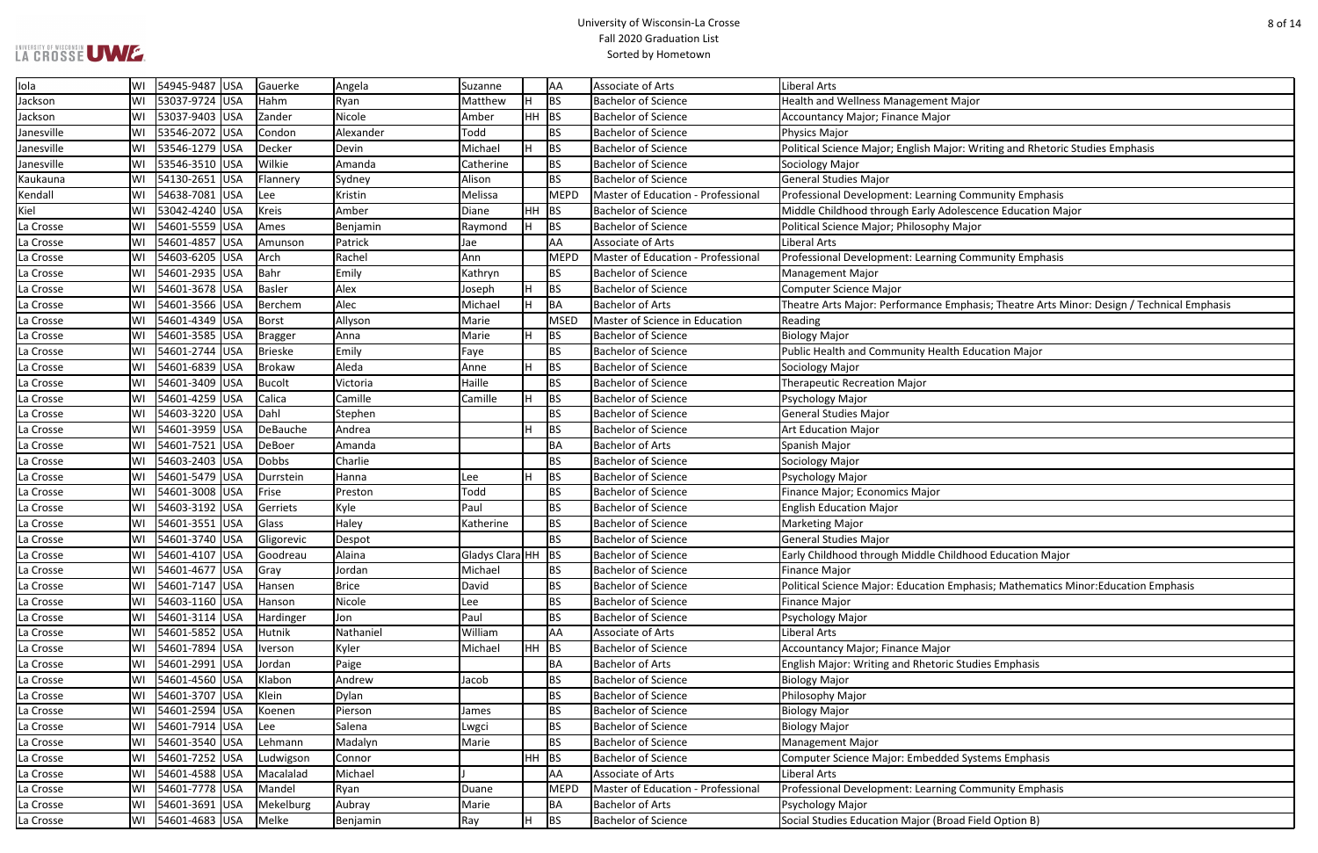#### University of Wisconsin-La Crosse Fall 2020 Graduation List Sorted by Hometown

Writing and Rhetoric Studies Emphasis

bhasis; Theatre Arts Minor: Design / Technical Emphasis;

**Dancianalig Bach Fand Bandid Bandid**<br>Intention Emphasis

| Iola       | WI | 54945-9487 USA |            | Gauerke        | Angela       | Suzanne              |         | AA          | Associate of Arts                  | <b>Liberal Arts</b>                                             |
|------------|----|----------------|------------|----------------|--------------|----------------------|---------|-------------|------------------------------------|-----------------------------------------------------------------|
| Jackson    | WI | 53037-9724 USA |            | Hahm           | Ryan         | Matthew              |         | BS          | <b>Bachelor of Science</b>         | Health and Wellness Management Major                            |
| Jackson    | WI | 53037-9403 USA |            | Zander         | Nicole       | Amber                | $HH$ BS |             | <b>Bachelor of Science</b>         | <b>Accountancy Major; Finance Major</b>                         |
| Janesville | W١ | 53546-2072 USA |            | Condon         | Alexander    | Todd                 |         | <b>BS</b>   | <b>Bachelor of Science</b>         | Physics Major                                                   |
| Janesville | WI | 53546-1279 USA |            | Decker         | Devin        | Michael              |         | <b>BS</b>   | <b>Bachelor of Science</b>         | Political Science Major; English Major: Writing and Rhetoric St |
| Janesville | WI | 53546-3510 USA |            | Wilkie         | Amanda       | Catherine            |         | <b>BS</b>   | <b>Bachelor of Science</b>         | Sociology Major                                                 |
| Kaukauna   | WI | 54130-2651 USA |            | Flannery       | Sydney       | Alison               |         | <b>BS</b>   | <b>Bachelor of Science</b>         | <b>General Studies Major</b>                                    |
| Kendall    | WI | 54638-7081 USA |            | Lee            | Kristin      | Melissa              |         | <b>MEPD</b> | Master of Education - Professional | Professional Development: Learning Community Emphasis           |
| Kiel       | WI | 53042-4240 USA |            | <b>Kreis</b>   | Amber        | Diane                | $HH$ BS |             | <b>Bachelor of Science</b>         | Middle Childhood through Early Adolescence Education Major      |
| La Crosse  | WI | 54601-5559 USA |            | Ames           | Benjamin     | Raymond              |         | BS          | <b>Bachelor of Science</b>         | Political Science Major; Philosophy Major                       |
| La Crosse  | WI | 54601-4857     | <b>USA</b> | Amunson        | Patrick      | Jae                  |         | AA          | <b>Associate of Arts</b>           | <b>Liberal Arts</b>                                             |
| La Crosse  | WI | 54603-6205 USA |            | Arch           | Rachel       | Ann                  |         | <b>MEPD</b> | Master of Education - Professional | Professional Development: Learning Community Emphasis           |
| La Crosse  | WI | 54601-2935 USA |            | Bahr           | Emily        | Kathryn              |         | <b>BS</b>   | <b>Bachelor of Science</b>         | <b>Management Major</b>                                         |
| La Crosse  | WI | 54601-3678 USA |            | Basler         | Alex         | Joseph               |         | <b>BS</b>   | <b>Bachelor of Science</b>         | <b>Computer Science Major</b>                                   |
| La Crosse  | WI | 54601-3566 USA |            | Berchem        | Alec         | Michael              | H       | BA          | <b>Bachelor of Arts</b>            | Theatre Arts Major: Performance Emphasis; Theatre Arts Mino     |
| La Crosse  | WI | 54601-4349 USA |            | Borst          | Allyson      | Marie                |         | <b>MSED</b> | Master of Science in Education     | Reading                                                         |
| La Crosse  | WI | 54601-3585 USA |            | <b>Bragger</b> | Anna         | Marie                |         | <b>BS</b>   | <b>Bachelor of Science</b>         | <b>Biology Major</b>                                            |
| La Crosse  | WI | 54601-2744 USA |            | Brieske        | Emily        | Faye                 |         | <b>BS</b>   | <b>Bachelor of Science</b>         | Public Health and Community Health Education Major              |
| La Crosse  | WI | 54601-6839 USA |            | Brokaw         | Aleda        | Anne                 |         | <b>BS</b>   | <b>Bachelor of Science</b>         | Sociology Major                                                 |
| La Crosse  | WI | 54601-3409 USA |            | <b>Bucolt</b>  | Victoria     | Haille               |         | <b>BS</b>   | <b>Bachelor of Science</b>         | <b>Therapeutic Recreation Major</b>                             |
| La Crosse  | WI | 54601-4259 USA |            | Calica         | Camille      | Camille              |         | BS          | <b>Bachelor of Science</b>         | Psychology Major                                                |
| La Crosse  | WI | 54603-3220 USA |            | Dahl           | Stephen      |                      |         | <b>BS</b>   | <b>Bachelor of Science</b>         | <b>General Studies Major</b>                                    |
| La Crosse  | WI | 54601-3959 USA |            | DeBauche       | Andrea       |                      |         | BS          | <b>Bachelor of Science</b>         | <b>Art Education Major</b>                                      |
| La Crosse  | WI | 54601-7521 USA |            | DeBoer         | Amanda       |                      |         | BA          | <b>Bachelor of Arts</b>            | Spanish Major                                                   |
| La Crosse  | WI | 54603-2403 USA |            | <b>Dobbs</b>   | Charlie      |                      |         | <b>BS</b>   | <b>Bachelor of Science</b>         | Sociology Major                                                 |
| La Crosse  | WI | 54601-5479 USA |            | Durrstein      | Hanna        | Lee                  | н       | <b>BS</b>   | <b>Bachelor of Science</b>         | Psychology Major                                                |
| La Crosse  | WI | 54601-3008 USA |            | Frise          | Preston      | Todd                 |         | <b>BS</b>   | <b>Bachelor of Science</b>         | Finance Major; Economics Major                                  |
| La Crosse  | WI | 54603-3192 USA |            | Gerriets       | Kyle         | Paul                 |         | <b>BS</b>   | <b>Bachelor of Science</b>         | <b>English Education Major</b>                                  |
| La Crosse  | WI | 54601-3551 USA |            | Glass          | Haley        | Katherine            |         | <b>BS</b>   | <b>Bachelor of Science</b>         | <b>Marketing Major</b>                                          |
| La Crosse  | WI | 54601-3740 USA |            | Gligorevic     | Despot       |                      |         | <b>BS</b>   | <b>Bachelor of Science</b>         | <b>General Studies Major</b>                                    |
| La Crosse  | WI | 54601-4107 USA |            | Goodreau       | Alaina       | Gladys Clara HH   BS |         |             | <b>Bachelor of Science</b>         | Early Childhood through Middle Childhood Education Major        |
| La Crosse  | WI | 54601-4677 USA |            | Gray           | Jordan       | Michael              |         | <b>BS</b>   | <b>Bachelor of Science</b>         | Finance Major                                                   |
| La Crosse  | WI | 54601-7147 USA |            | Hansen         | <b>Brice</b> | David                |         | <b>BS</b>   | <b>Bachelor of Science</b>         | Political Science Major: Education Emphasis; Mathematics Mir    |
| La Crosse  | WI | 54603-1160 USA |            | Hanson         | Nicole       | Lee                  |         | <b>BS</b>   | <b>Bachelor of Science</b>         | <b>Finance Major</b>                                            |
| La Crosse  | WI | 54601-3114 USA |            | Hardinger      | Jon          | Paul                 |         | <b>BS</b>   | <b>Bachelor of Science</b>         | Psychology Major                                                |
| La Crosse  | WI | 54601-5852 USA |            | Hutnik         | Nathaniel    | William              |         | AA          | Associate of Arts                  | Liberal Arts                                                    |
| La Crosse  | WI | 54601-7894 USA |            | Iverson        | Kyler        | Michael              | $HH$ BS |             | <b>Bachelor of Science</b>         | <b>Accountancy Major; Finance Major</b>                         |
| La Crosse  | WI | 54601-2991 USA |            | Jordan         | Paige        |                      |         | BA          | <b>Bachelor of Arts</b>            | English Major: Writing and Rhetoric Studies Emphasis            |
| La Crosse  | WI | 54601-4560 USA |            | Klabon         | Andrew       | Jacob                |         | <b>BS</b>   | <b>Bachelor of Science</b>         | <b>Biology Major</b>                                            |
| La Crosse  | WI | 54601-3707 USA |            | Klein          | Dylan        |                      |         | <b>BS</b>   | <b>Bachelor of Science</b>         | Philosophy Major                                                |
| La Crosse  | WI | 54601-2594 USA |            | Koenen         | Pierson      | James                |         | <b>BS</b>   | <b>Bachelor of Science</b>         | <b>Biology Major</b>                                            |
| La Crosse  | WI | 54601-7914 USA |            | Lee            | Salena       | Lwgci                |         | <b>BS</b>   | <b>Bachelor of Science</b>         | <b>Biology Major</b>                                            |
| La Crosse  | WI | 54601-3540 USA |            | Lehmann        | Madalyn      | Marie                |         | <b>BS</b>   | <b>Bachelor of Science</b>         | <b>Management Major</b>                                         |
| La Crosse  | WI | 54601-7252 USA |            | Ludwigson      | Connor       |                      | $HH$ BS |             | <b>Bachelor of Science</b>         | Computer Science Major: Embedded Systems Emphasis               |
| La Crosse  | WI | 54601-4588 USA |            | Macalalad      | Michael      |                      |         | AA          | Associate of Arts                  | Liberal Arts                                                    |
| La Crosse  | WI | 54601-7778 USA |            | Mandel         | Ryan         | Duane                |         | <b>MEPD</b> | Master of Education - Professional | Professional Development: Learning Community Emphasis           |
| La Crosse  | WI | 54601-3691 USA |            | Mekelburg      | Aubray       | Marie                |         | BA          | <b>Bachelor of Arts</b>            | Psychology Major                                                |
| La Crosse  | WI | 54601-4683 USA |            | Melke          | Benjamin     | Ray                  |         | <b>BS</b>   | <b>Bachelor of Science</b>         | Social Studies Education Major (Broad Field Option B)           |
|            |    |                |            |                |              |                      |         |             |                                    |                                                                 |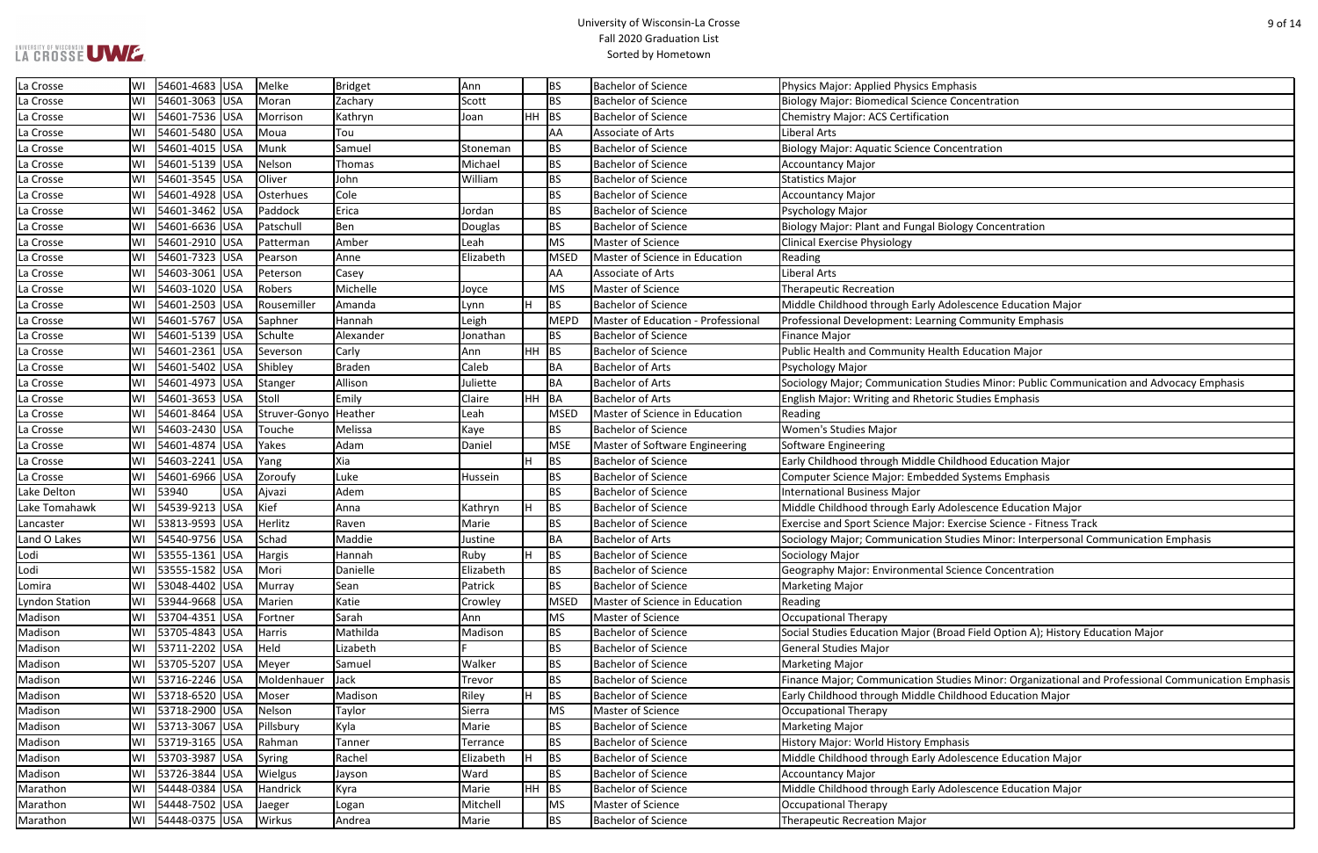# LA CROSSE UWE

| sis                                                             |
|-----------------------------------------------------------------|
| centration                                                      |
|                                                                 |
|                                                                 |
| itration                                                        |
|                                                                 |
|                                                                 |
|                                                                 |
|                                                                 |
| y Concentration                                                 |
|                                                                 |
|                                                                 |
|                                                                 |
|                                                                 |
|                                                                 |
| scence Education Major                                          |
| <b>Dimmunity Emphasis</b>                                       |
|                                                                 |
| ducation Major                                                  |
|                                                                 |
| ies Minor: Public Communication and Advocacy Emphasis           |
| udies Emphasis                                                  |
|                                                                 |
|                                                                 |
|                                                                 |
| ood Education Major                                             |
| ystems Emphasis                                                 |
|                                                                 |
| scence Education Major                                          |
| cise Science - Fitness Track                                    |
| ies Minor: Interpersonal Communication Emphasis                 |
|                                                                 |
| nce Concentration                                               |
|                                                                 |
|                                                                 |
|                                                                 |
| Field Option A); History Education Major                        |
|                                                                 |
|                                                                 |
| s Minor: Organizational and Professional Communication Emphasis |
| ood Education Major                                             |
|                                                                 |
|                                                                 |
|                                                                 |
|                                                                 |
| scence Education Major                                          |
|                                                                 |
| scence Education Major                                          |

| La Crosse      |    | WI 54601-4683 USA     |     | Melke                 | Bridget       | Ann       | <b>BS</b>        | <b>Bachelor of Science</b>         | <b>Physics Major: Applied Physics Emphasis</b>                                                     |
|----------------|----|-----------------------|-----|-----------------------|---------------|-----------|------------------|------------------------------------|----------------------------------------------------------------------------------------------------|
| La Crosse      | WI | 54601-3063 USA        |     | Moran                 | Zachary       | Scott     | <b>BS</b>        | <b>Bachelor of Science</b>         | <b>Biology Major: Biomedical Science Concentration</b>                                             |
| La Crosse      | WI | 54601-7536 USA        |     | Morrison              | Kathryn       | Joan      | HH.<br><b>BS</b> | <b>Bachelor of Science</b>         | <b>Chemistry Major: ACS Certification</b>                                                          |
| La Crosse      | WI | 54601-5480 USA        |     | Moua                  | Tou           |           | AA               | Associate of Arts                  | Liberal Arts                                                                                       |
| La Crosse      | WI | 54601-4015 USA        |     | Munk                  | Samuel        | Stoneman  | <b>BS</b>        | <b>Bachelor of Science</b>         | <b>Biology Major: Aquatic Science Concentration</b>                                                |
| La Crosse      | WI | 54601-5139 USA        |     | Nelson                | Thomas        | Michael   | <b>BS</b>        | <b>Bachelor of Science</b>         | <b>Accountancy Major</b>                                                                           |
| La Crosse      | WI | 54601-3545 USA        |     | Oliver                | John          | William   | <b>BS</b>        | <b>Bachelor of Science</b>         | <b>Statistics Major</b>                                                                            |
| La Crosse      | WI | 54601-4928  USA       |     | Osterhues             | Cole          |           | BS               | Bachelor of Science                | <b>Accountancy Major</b>                                                                           |
| La Crosse      | WI | 54601-3462 USA        |     | Paddock               | Erica         | Jordan    | <b>BS</b>        | <b>Bachelor of Science</b>         | Psychology Major                                                                                   |
| La Crosse      | WI | 54601-6636 USA        |     | Patschull             | Ben           | Douglas   | <b>BS</b>        | <b>Bachelor of Science</b>         | Biology Major: Plant and Fungal Biology Concentration                                              |
| La Crosse      | WI | 54601-2910 USA        |     | Patterman             | Amber         | Leah      | <b>MS</b>        | Master of Science                  | <b>Clinical Exercise Physiology</b>                                                                |
| La Crosse      | WI | 54601-7323 USA        |     | Pearson               | Anne          | Elizabeth | <b>MSED</b>      | Master of Science in Education     | Reading                                                                                            |
| La Crosse      | WI | 54603-3061 USA        |     | Peterson              | Casey         |           | AA               | Associate of Arts                  | Liberal Arts                                                                                       |
| La Crosse      | WI | 54603-1020 USA        |     | Robers                | Michelle      | Joyce     | <b>MS</b>        | Master of Science                  | <b>Therapeutic Recreation</b>                                                                      |
| La Crosse      |    | WI   54601-2503   USA |     | Rousemiller           | Amanda        | Lynn      | <b>BS</b><br>H   | <b>Bachelor of Science</b>         | Middle Childhood through Early Adolescence Education Major                                         |
| La Crosse      | WI | 54601-5767 USA        |     | Saphner               | Hannah        | Leigh     | <b>MEPD</b>      | Master of Education - Professional | Professional Development: Learning Community Emphasis                                              |
| La Crosse      | WI | 54601-5139 USA        |     | Schulte               | Alexander     | Jonathan  | <b>BS</b>        | <b>Bachelor of Science</b>         | <b>Finance Major</b>                                                                               |
| La Crosse      | WI | 54601-2361 USA        |     | Severson              | Carly         | Ann       | HH.<br> BS       | <b>Bachelor of Science</b>         | Public Health and Community Health Education Major                                                 |
| La Crosse      | WI | 54601-5402 USA        |     | Shibley               | <b>Braden</b> | Caleb     | BA               | <b>Bachelor of Arts</b>            | Psychology Major                                                                                   |
| La Crosse      |    | WI 54601-4973 USA     |     | Stanger               | Allison       | Juliette  | BA               | <b>Bachelor of Arts</b>            | Sociology Major; Communication Studies Minor: Public Communication and Advocacy Emphasis           |
| La Crosse      | WI | 54601-3653 USA        |     | Stoll                 | Emily         | Claire    | HH.<br><b>BA</b> | <b>Bachelor of Arts</b>            | English Major: Writing and Rhetoric Studies Emphasis                                               |
| La Crosse      | WI | 54601-8464 USA        |     | Struver-Gonyo Heather |               | Leah      | <b>MSED</b>      | Master of Science in Education     | Reading                                                                                            |
| La Crosse      | WI | 54603-2430 USA        |     | Touche                | Melissa       | Kaye      | BS               | <b>Bachelor of Science</b>         | <b>Women's Studies Major</b>                                                                       |
| La Crosse      | WI | 54601-4874 USA        |     | Yakes                 | Adam          | Daniel    | <b>MSE</b>       | Master of Software Engineering     | Software Engineering                                                                               |
| La Crosse      |    | WI   54603-2241   USA |     | Yang                  | Xia           |           | H<br><b>BS</b>   | <b>Bachelor of Science</b>         | Early Childhood through Middle Childhood Education Major                                           |
| La Crosse      | WI | 54601-6966 USA        |     | Zoroufy               | Luke          | Hussein   | BS               | <b>Bachelor of Science</b>         | Computer Science Major: Embedded Systems Emphasis                                                  |
| Lake Delton    |    | WI 53940              | USA | Ajvazi                | Adem          |           | <b>BS</b>        | <b>Bachelor of Science</b>         | <b>International Business Major</b>                                                                |
| Lake Tomahawk  | WI | 54539-9213 USA        |     | Kief                  | Anna          | Kathryn   | <b>BS</b><br>H   | <b>Bachelor of Science</b>         | Middle Childhood through Early Adolescence Education Major                                         |
| Lancaster      |    | WI 53813-9593 USA     |     | Herlitz               | Raven         | Marie     | <b>BS</b>        | <b>Bachelor of Science</b>         | Exercise and Sport Science Major: Exercise Science - Fitness Track                                 |
| Land O Lakes   | WI | 54540-9756 USA        |     | Schad                 | Maddie        | Justine   | BA               | <b>Bachelor of Arts</b>            | Sociology Major; Communication Studies Minor: Interpersonal Communication Emphasis                 |
| Lodi           | WI | 53555-1361  USA       |     | Hargis                | Hannah        | Ruby      | H<br><b>BS</b>   | <b>Bachelor of Science</b>         | Sociology Major                                                                                    |
| Lodi           |    | WI 53555-1582 USA     |     | Mori                  | Danielle      | Elizabeth | BS               | <b>Bachelor of Science</b>         | Geography Major: Environmental Science Concentration                                               |
| Lomira         |    | WI   53048-4402   USA |     | Murray                | Sean          | Patrick   | BS               | <b>Bachelor of Science</b>         | <b>Marketing Major</b>                                                                             |
| Lyndon Station |    | WI   53944-9668   USA |     | Marien                | Katie         | Crowley   | MSED             | Master of Science in Education     | Reading                                                                                            |
| Madison        | WI | 53704-4351  USA       |     | Fortner               | Sarah         | Ann       | <b>MS</b>        | Master of Science                  | <b>Occupational Therapy</b>                                                                        |
| Madison        |    | WI 53705-4843 USA     |     | Harris                | Mathilda      | Madison   | <b>BS</b>        | <b>Bachelor of Science</b>         | Social Studies Education Major (Broad Field Option A); History Education Major                     |
| Madison        | WI | 53711-2202 USA        |     | Held                  | Lizabeth      |           | <b>BS</b>        | <b>Bachelor of Science</b>         | <b>General Studies Major</b>                                                                       |
| Madison        | WI | 53705-5207 USA        |     | Meyer                 | Samuel        | Walker    | <b>BS</b>        | <b>Bachelor of Science</b>         | <b>Marketing Major</b>                                                                             |
| Madison        | WI | 53716-2246 USA        |     | Moldenhauer           | Jack          | Trevor    | <b>BS</b>        | <b>Bachelor of Science</b>         | Finance Major; Communication Studies Minor: Organizational and Professional Communication Emphasis |
| Madison        |    | WI 53718-6520 USA     |     | Moser                 | Madison       | Riley     | H<br><b>BS</b>   | <b>Bachelor of Science</b>         | Early Childhood through Middle Childhood Education Major                                           |
| Madison        |    | WI 53718-2900 USA     |     | Nelson                | Taylor        | Sierra    | МS               | Master of Science                  | <b>Occupational Therapy</b>                                                                        |
| Madison        | WI | 53713-3067 USA        |     | Pillsbury             | Kyla          | Marie     | <b>BS</b>        | <b>Bachelor of Science</b>         | <b>Marketing Major</b>                                                                             |
| Madison        | WI | 53719-3165  USA       |     | Rahman                | Tanner        | Terrance  | <b>BS</b>        | <b>Bachelor of Science</b>         | History Major: World History Emphasis                                                              |
| Madison        | WI | 53703-3987 USA        |     | Syring                | Rachel        | Elizabeth | H<br><b>BS</b>   | <b>Bachelor of Science</b>         | Middle Childhood through Early Adolescence Education Major                                         |
| Madison        |    | WI 53726-3844 USA     |     | <b>Wielgus</b>        | Jayson        | Ward      | <b>BS</b>        | <b>Bachelor of Science</b>         | <b>Accountancy Major</b>                                                                           |
| Marathon       |    | WI   54448-0384   USA |     | Handrick              | Kyra          | Marie     | HH  <br> BS      | <b>Bachelor of Science</b>         | Middle Childhood through Early Adolescence Education Major                                         |
| Marathon       | WI | 54448-7502  USA       |     | Jaeger                | Logan         | Mitchell  | МS               | Master of Science                  | <b>Occupational Therapy</b>                                                                        |
| Marathon       |    | WI   54448-0375   USA |     | Wirkus                | Andrea        | Marie     | <b>BS</b>        | <b>Bachelor of Science</b>         | <b>Therapeutic Recreation Major</b>                                                                |
|                |    |                       |     |                       |               |           |                  |                                    |                                                                                                    |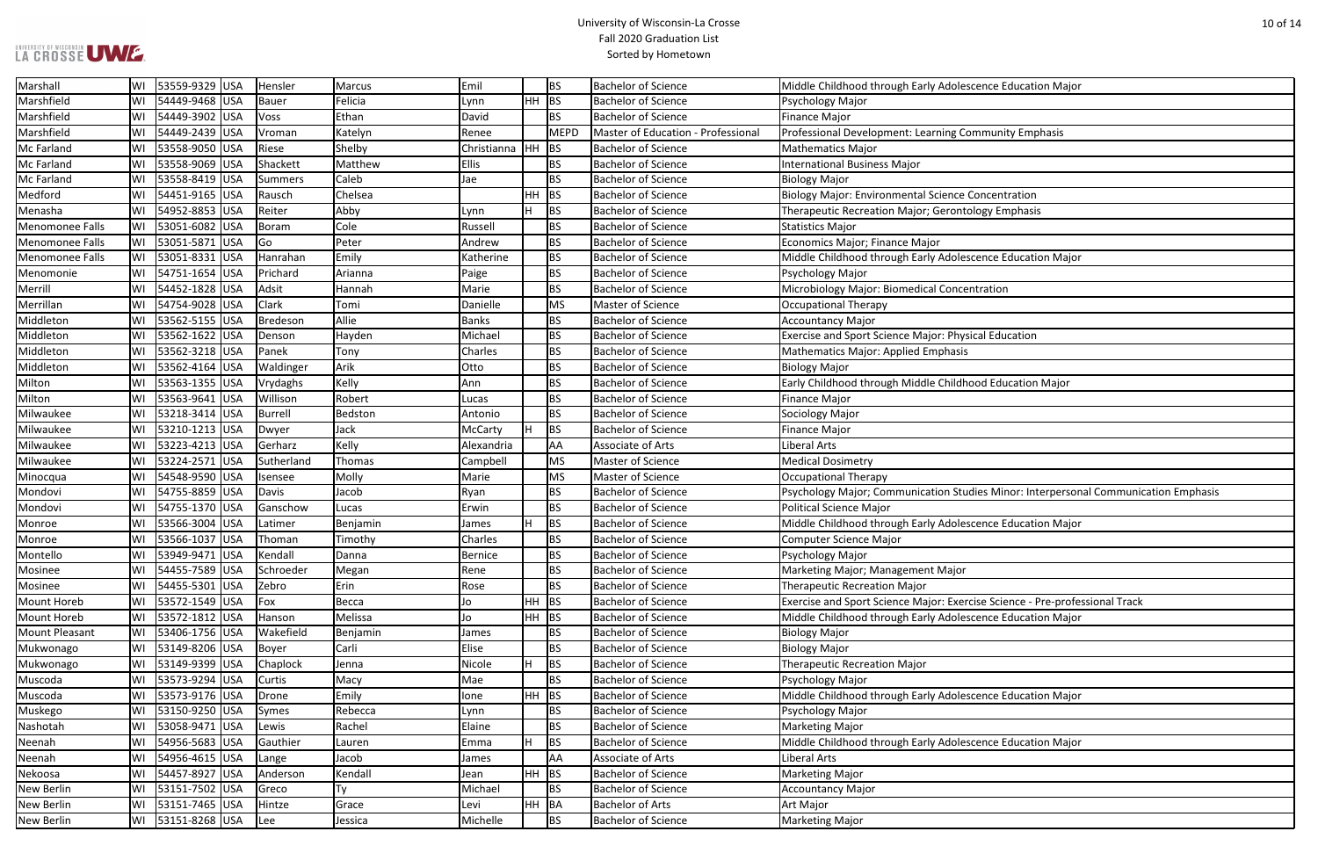# LA CROSSE UWE

| scence Education Major                           |
|--------------------------------------------------|
|                                                  |
|                                                  |
| <b>Immunity Emphasis</b>                         |
|                                                  |
|                                                  |
| Concentration                                    |
| plogy Emphasis                                   |
|                                                  |
|                                                  |
| scence Education Major                           |
| ntration                                         |
|                                                  |
|                                                  |
| ical Education                                   |
|                                                  |
|                                                  |
| ood Education Major                              |
|                                                  |
|                                                  |
|                                                  |
|                                                  |
|                                                  |
| dies Minor: Interpersonal Communication Emphasis |
|                                                  |
| scence Education Major                           |
|                                                  |
|                                                  |
|                                                  |
| cise Science - Pre-professional Track            |
| scence Education Major                           |
|                                                  |
|                                                  |
|                                                  |
|                                                  |
| scence Education Major                           |
|                                                  |
| scence Education Major                           |
|                                                  |
|                                                  |
|                                                  |
|                                                  |
|                                                  |

| Marshall               |     | 53559-9329 USA | Hensler        | Marcus   | Emil           |         | BS          | <b>Bachelor of Science</b>         | Middle Childhood through Early Adolescence Education Major                          |
|------------------------|-----|----------------|----------------|----------|----------------|---------|-------------|------------------------------------|-------------------------------------------------------------------------------------|
| Marshfield             | WI  | 54449-9468 USA | Bauer          | Felicia  | Lynn           | HH BS   |             | <b>Bachelor of Science</b>         | Psychology Major                                                                    |
| Marshfield             |     | 54449-3902 USA | Voss           | Ethan    | David          |         | <b>BS</b>   | <b>Bachelor of Science</b>         | <b>Finance Major</b>                                                                |
| Marshfield             | WI  | 54449-2439 USA | Vroman         | Katelyn  | Renee          |         | <b>MEPD</b> | Master of Education - Professional | Professional Development: Learning Community Emphasis                               |
| Mc Farland             | WI  | 53558-9050 USA | Riese          | Shelby   | Christianna    | HH      | BS          | <b>Bachelor of Science</b>         | <b>Mathematics Major</b>                                                            |
| Mc Farland             |     | 53558-9069 USA | Shackett       | Matthew  | <b>Ellis</b>   |         | BS          | <b>Bachelor of Science</b>         | <b>International Business Major</b>                                                 |
| Mc Farland             | WI  | 53558-8419 USA | Summers        | Caleb    | Jae            |         | BS          | <b>Bachelor of Science</b>         | <b>Biology Major</b>                                                                |
| Medford                | lWI | 54451-9165 USA | Rausch         | Chelsea  |                | $HH$ BS |             | <b>Bachelor of Science</b>         | Biology Major: Environmental Science Concentration                                  |
| Menasha                | WI  | 54952-8853 USA | Reiter         | Abby     | Lynn           |         | <b>BS</b>   | <b>Bachelor of Science</b>         | Therapeutic Recreation Major; Gerontology Emphasis                                  |
| <b>Menomonee Falls</b> |     | 53051-6082 USA | Boram          | Cole     | Russell        |         | BS          | <b>Bachelor of Science</b>         | <b>Statistics Major</b>                                                             |
| <b>Menomonee Falls</b> | WI  | 53051-5871 USA | Go             | Peter    | Andrew         |         | <b>BS</b>   | <b>Bachelor of Science</b>         | Economics Major; Finance Major                                                      |
| <b>Menomonee Falls</b> |     | 53051-8331 USA | Hanrahan       | Emily    | Katherine      |         | BS          | <b>Bachelor of Science</b>         | Middle Childhood through Early Adolescence Education Major                          |
| Menomonie              |     | 54751-1654 USA | Prichard       | Arianna  | Paige          |         | BS          | <b>Bachelor of Science</b>         | Psychology Major                                                                    |
| Merrill                | WI  | 54452-1828 USA | Adsit          | Hannah   | Marie          |         | BS          | <b>Bachelor of Science</b>         | Microbiology Major: Biomedical Concentration                                        |
| Merrillan              | lwi | 54754-9028 USA | <b>Clark</b>   | Tomi     | Danielle       |         | MS          | Master of Science                  | Occupational Therapy                                                                |
| Middleton              | WI  | 53562-5155 USA | Bredeson       | Allie    | <b>Banks</b>   |         | <b>BS</b>   | <b>Bachelor of Science</b>         | Accountancy Major                                                                   |
| Middleton              |     | 53562-1622 USA | Denson         | Hayden   | Michael        |         | BS          | <b>Bachelor of Science</b>         | <b>Exercise and Sport Science Major: Physical Education</b>                         |
| Middleton              | WI  | 53562-3218 USA | Panek          | Tony     | Charles        |         | BS          | <b>Bachelor of Science</b>         | Mathematics Major: Applied Emphasis                                                 |
| Middleton              |     | 53562-4164 USA | Waldinger      | Arik     | Otto           |         | BS          | <b>Bachelor of Science</b>         | <b>Biology Major</b>                                                                |
| Milton                 | WI  | 53563-1355 USA | Vrydaghs       | Kelly    | Ann            |         | BS          | <b>Bachelor of Science</b>         | Early Childhood through Middle Childhood Education Major                            |
| Milton                 | WI  | 53563-9641 USA | Willison       | Robert   | Lucas          |         | BS          | Bachelor of Science                | Finance Major                                                                       |
| Milwaukee              |     | 53218-3414 USA | <b>Burrell</b> | Bedston  | Antonio        |         | BS          | <b>Bachelor of Science</b>         | Sociology Major                                                                     |
| Milwaukee              | WI  | 53210-1213 USA | Dwyer          | Jack     | McCarty        |         | <b>BS</b>   | <b>Bachelor of Science</b>         | <b>Finance Major</b>                                                                |
| Milwaukee              |     | 53223-4213 USA | Gerharz        | Kelly    | Alexandria     |         | AA          | Associate of Arts                  | <b>Liberal Arts</b>                                                                 |
| Milwaukee              | WI  | 53224-2571 USA | Sutherland     | Thomas   | Campbell       |         | <b>MS</b>   | Master of Science                  | <b>Medical Dosimetry</b>                                                            |
| Minocqua               | WI  | 54548-9590 USA | Isensee        | Molly    | Marie          |         | MS          | Master of Science                  | Occupational Therapy                                                                |
| Mondovi                | WI  | 54755-8859 USA | Davis          | Jacob    | Ryan           |         | BS          | <b>Bachelor of Science</b>         | Psychology Major; Communication Studies Minor: Interpersonal Communication Emphasis |
| Mondovi                | WI  | 54755-1370 USA | Ganschow       | Lucas    | Erwin          |         | BS          | <b>Bachelor of Science</b>         | Political Science Major                                                             |
| Monroe                 |     | 53566-3004 USA | Latimer        | Benjamin | James          |         | <b>BS</b>   | <b>Bachelor of Science</b>         | Middle Childhood through Early Adolescence Education Major                          |
| Monroe                 | WI  | 53566-1037 USA | Thoman         | Timothy  | Charles        |         | BS          | <b>Bachelor of Science</b>         | Computer Science Major                                                              |
| Montello               | WI  | 53949-9471 USA | Kendall        | Danna    | <b>Bernice</b> |         | l BS        | <b>Bachelor of Science</b>         | Psychology Major                                                                    |
| Mosinee                |     | 54455-7589 USA | Schroeder      | Megan    | Rene           |         | BS          | <b>Bachelor of Science</b>         | Marketing Major; Management Major                                                   |
| Mosinee                | WI  | 54455-5301 USA | Zebro          | Erin     | Rose           |         | BS          | <b>Bachelor of Science</b>         | <b>Therapeutic Recreation Major</b>                                                 |
| Mount Horeb            | WI  | 53572-1549 USA | $F$ ox         | Becca    | Jo             | HH      | BS          | <b>Bachelor of Science</b>         | Exercise and Sport Science Major: Exercise Science - Pre-professional Track         |
| Mount Horeb            | WI  | 53572-1812 USA | Hanson         | Melissa  | Jo             | $HH$ BS |             | <b>Bachelor of Science</b>         | Middle Childhood through Early Adolescence Education Major                          |
| <b>Mount Pleasant</b>  |     | 53406-1756 USA | Wakefield      | Benjamin | James          |         | BS          | <b>Bachelor of Science</b>         | Biology Major                                                                       |
| Mukwonago              | WI  | 53149-8206 USA | Boyer          | Carli    | Elise          |         | BS          | <b>Bachelor of Science</b>         | Biology Major                                                                       |
| Mukwonago              |     | 53149-9399 USA | Chaplock       | Jenna    | Nicole         | H.      | <b>BS</b>   | <b>Bachelor of Science</b>         | <b>Therapeutic Recreation Major</b>                                                 |
| Muscoda                | WI  | 53573-9294 USA | Curtis         | Macy     | Mae            |         | BS          | <b>Bachelor of Science</b>         | Psychology Major                                                                    |
| Muscoda                | WI  | 53573-9176 USA | Drone          | Emily    | lone           | HH BS   |             | <b>Bachelor of Science</b>         | Middle Childhood through Early Adolescence Education Major                          |
| Muskego                | WI  | 53150-9250 USA | Symes          | Rebecca  | Lynn           |         | BS          | <b>Bachelor of Science</b>         | Psychology Major                                                                    |
| Nashotah               | WI  | 53058-9471 USA | Lewis          | Rachel   | Elaine         |         | BS          | <b>Bachelor of Science</b>         | Marketing Major                                                                     |
| Neenah                 |     | 54956-5683 USA | Gauthier       | Lauren   | Emma           |         | <b>BS</b>   | <b>Bachelor of Science</b>         | Middle Childhood through Early Adolescence Education Major                          |
| Neenah                 | WI  | 54956-4615 USA | Lange          | Jacob    | James          |         | AA          | Associate of Arts                  | <b>Liberal Arts</b>                                                                 |
| Nekoosa                | WI  | 54457-8927 USA | Anderson       | Kendall  | Jean           | HH BS   |             | <b>Bachelor of Science</b>         | Marketing Major                                                                     |
| New Berlin             | WI  | 53151-7502 USA | Greco          | Ty       | Michael        |         | BS          | <b>Bachelor of Science</b>         | <b>Accountancy Major</b>                                                            |
| New Berlin             | WI  | 53151-7465 USA | Hintze         | Grace    | Levi           | HH BA   |             | <b>Bachelor of Arts</b>            | Art Major                                                                           |
| New Berlin             |     | 53151-8268 USA | Lee            | Jessica  | Michelle       |         | <b>BS</b>   | <b>Bachelor of Science</b>         | Marketing Major                                                                     |
|                        |     |                |                |          |                |         |             |                                    |                                                                                     |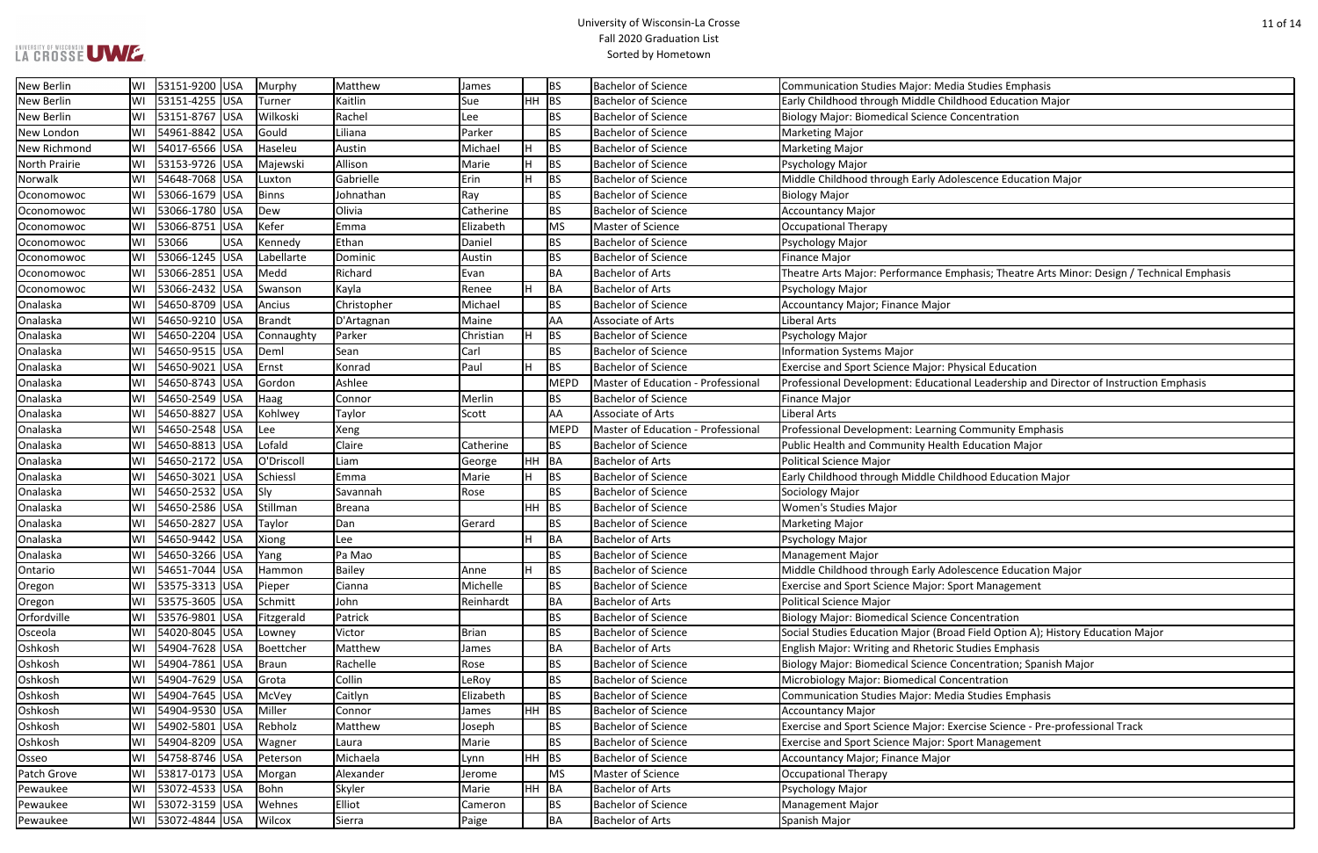#### University of Wisconsin-La Crosse Fall 2020 Graduation List Sorted by Hometown

scence Education Major

ohasis; Theatre Arts Minor: Design / Technical Emphasis

al Leadership and Director of Instruction Emphasis

scence Education Major

I Field Option A); History Education Major

ncentration; Spanish Major

rcise Science - Pre-professional Track

| <b>New Berlin</b>   | WI | 53151-9200 USA  |            | Murphy        | Matthew       | James     |           | <b>BS</b>   | <b>Bachelor of Science</b>                | Communication Studies Major: Media Studies Emphasis          |
|---------------------|----|-----------------|------------|---------------|---------------|-----------|-----------|-------------|-------------------------------------------|--------------------------------------------------------------|
| <b>New Berlin</b>   | W١ | 53151-4255 USA  |            | Turner        | Kaitlin       | Sue       | HH        | BS          | <b>Bachelor of Science</b>                | Early Childhood through Middle Childhood Education Major     |
| <b>New Berlin</b>   | W١ | 53151-8767 USA  |            | Wilkoski      | Rachel        | Lee       |           | BS          | <b>Bachelor of Science</b>                | <b>Biology Major: Biomedical Science Concentration</b>       |
| New London          | WI | 54961-8842 USA  |            | Gould         | Liliana       | Parker    |           | BS          | <b>Bachelor of Science</b>                | <b>Marketing Major</b>                                       |
| <b>New Richmond</b> | WI | 54017-6566 USA  |            | Haseleu       | Austin        | Michael   | H         | <b>BS</b>   | <b>Bachelor of Science</b>                | <b>Marketing Major</b>                                       |
| North Prairie       | WI | 53153-9726 USA  |            | Majewski      | Allison       | Marie     | H         | <b>BS</b>   | <b>Bachelor of Science</b>                | Psychology Major                                             |
| Norwalk             | WI | 54648-7068 USA  |            | Luxton        | Gabrielle     | Erin      | H         | <b>BS</b>   | <b>Bachelor of Science</b>                | Middle Childhood through Early Adolescence Education Ma      |
| Oconomowoc          | WI | 53066-1679 USA  |            | <b>Binns</b>  | Johnathan     | Ray       |           | <b>BS</b>   | <b>Bachelor of Science</b>                | <b>Biology Major</b>                                         |
| Oconomowoc          | WI | 53066-1780 USA  |            | Dew           | Olivia        | Catherine |           | BS          | <b>Bachelor of Science</b>                | Accountancy Major                                            |
| Oconomowoc          | W١ | 53066-8751  USA |            | Kefer         | Emma          | Elizabeth |           | MS          | Master of Science                         | Occupational Therapy                                         |
| Oconomowoc          | W١ | 53066           | <b>USA</b> | Kennedy       | Ethan         | Daniel    |           | BS          | <b>Bachelor of Science</b>                | Psychology Major                                             |
| Oconomowoc          | W١ | 53066-1245 USA  |            | Labellarte    | Dominic       | Austin    |           | BS          | <b>Bachelor of Science</b>                | <b>Finance Major</b>                                         |
| Oconomowoc          | WI | 53066-2851 USA  |            | Medd          | Richard       | Evan      |           | BA          | <b>Bachelor of Arts</b>                   | Theatre Arts Major: Performance Emphasis; Theatre Arts M     |
| Oconomowoc          | WI | 53066-2432 USA  |            | Swanson       | Kayla         | Renee     | H         | BA          | <b>Bachelor of Arts</b>                   | Psychology Major                                             |
| Onalaska            | W١ | 54650-8709 USA  |            | Ancius        | Christopher   | Michael   |           | <b>BS</b>   | <b>Bachelor of Science</b>                | Accountancy Major; Finance Major                             |
| Onalaska            | WI | 54650-9210 USA  |            | <b>Brandt</b> | D'Artagnan    | Maine     |           | AA          | Associate of Arts                         | Liberal Arts                                                 |
| Onalaska            | WI | 54650-2204 USA  |            | Connaughty    | Parker        | Christian | H         | <b>BS</b>   | <b>Bachelor of Science</b>                | Psychology Major                                             |
| Onalaska            | W١ | 54650-9515 USA  |            | Deml          | Sean          | Carl      |           | <b>BS</b>   | <b>Bachelor of Science</b>                | <b>Information Systems Major</b>                             |
| Onalaska            | W١ | 54650-9021 USA  |            | Ernst         | Konrad        | Paul      | H         | <b>BS</b>   | <b>Bachelor of Science</b>                | <b>Exercise and Sport Science Major: Physical Education</b>  |
| Onalaska            | W١ | 54650-8743 USA  |            | Gordon        | Ashlee        |           |           | MEPD        | <b>Master of Education - Professional</b> | Professional Development: Educational Leadership and Dire    |
| Onalaska            | WI | 54650-2549 USA  |            | Haag          | Connor        | Merlin    |           | BS          | <b>Bachelor of Science</b>                | <b>Finance Major</b>                                         |
| Onalaska            | W١ | 54650-8827 USA  |            | Kohlwey       | Taylor        | Scott     |           | AA          | Associate of Arts                         | Liberal Arts                                                 |
| Onalaska            | WI | 54650-2548 USA  |            | Lee           | Xeng          |           |           | <b>MEPD</b> | Master of Education - Professional        | Professional Development: Learning Community Emphasis        |
| Onalaska            | W١ | 54650-8813 USA  |            | Lofald        | Claire        | Catherine |           | <b>BS</b>   | <b>Bachelor of Science</b>                | Public Health and Community Health Education Major           |
| Onalaska            | W١ | 54650-2172 USA  |            | O'Driscoll    | Liam          | George    | HH        | BA          | <b>Bachelor of Arts</b>                   | <b>Political Science Major</b>                               |
| Onalaska            | WI | 54650-3021 USA  |            | Schiessl      | Emma          | Marie     | H         | <b>BS</b>   | <b>Bachelor of Science</b>                | Early Childhood through Middle Childhood Education Major     |
| Onalaska            | WI | 54650-2532 USA  |            | Sly           | Savannah      | Rose      |           | BS          | <b>Bachelor of Science</b>                | Sociology Major                                              |
| Onalaska            | W١ | 54650-2586 USA  |            | Stillman      | <b>Breana</b> |           | <b>HH</b> | <b>BS</b>   | <b>Bachelor of Science</b>                | Women's Studies Major                                        |
| Onalaska            | W١ | 54650-2827 USA  |            | Taylor        | Dan           | Gerard    |           | BS          | <b>Bachelor of Science</b>                | <b>Marketing Major</b>                                       |
| Onalaska            | W١ | 54650-9442 USA  |            | Xiong         | Lee           |           | H         | BA          | <b>Bachelor of Arts</b>                   | Psychology Major                                             |
| Onalaska            | WI | 54650-3266 USA  |            | Yang          | Pa Mao        |           |           | BS.         | <b>Bachelor of Science</b>                | Management Major                                             |
| Ontario             |    | 54651-7044 USA  |            | Hammon        | <b>Bailey</b> | Anne      | H         | <b>BS</b>   | <b>Bachelor of Science</b>                | Middle Childhood through Early Adolescence Education Ma      |
| Oregon              | WI | 53575-3313 USA  |            | Pieper        | Cianna        | Michelle  |           | BS          | <b>Bachelor of Science</b>                | <b>Exercise and Sport Science Major: Sport Management</b>    |
| Oregon              | WI | 53575-3605 USA  |            | Schmitt       | John          | Reinhardt |           | BA          | <b>Bachelor of Arts</b>                   | Political Science Major                                      |
| Orfordville         | WI | 53576-9801 USA  |            | Fitzgerald    | Patrick       |           |           | BS          | <b>Bachelor of Science</b>                | <b>Biology Major: Biomedical Science Concentration</b>       |
| Osceola             | WI | 54020-8045 USA  |            | Lowney        | Victor        | Brian     |           | <b>BS</b>   | <b>Bachelor of Science</b>                | Social Studies Education Major (Broad Field Option A); Histo |
| Oshkosh             | WI | 54904-7628 USA  |            | Boettcher     | Matthew       | James     |           | BA          | <b>Bachelor of Arts</b>                   | English Major: Writing and Rhetoric Studies Emphasis         |
| Oshkosh             | WI | 54904-7861 USA  |            | <b>Braun</b>  | Rachelle      | Rose      |           | BS          | <b>Bachelor of Science</b>                | Biology Major: Biomedical Science Concentration; Spanish N   |
| Oshkosh             | WI | 54904-7629 USA  |            | Grota         | Collin        | LeRoy     |           | <b>BS</b>   | <b>Bachelor of Science</b>                | Microbiology Major: Biomedical Concentration                 |
| Oshkosh             | WI | 54904-7645 USA  |            | McVey         | Caitlyn       | Elizabeth |           | <b>BS</b>   | <b>Bachelor of Science</b>                | Communication Studies Major: Media Studies Emphasis          |
| Oshkosh             | WI | 54904-9530 USA  |            | Miller        | Connor        | James     | $HH$ BS   |             | <b>Bachelor of Science</b>                | <b>Accountancy Major</b>                                     |
| Oshkosh             | WI | 54902-5801 USA  |            | Rebholz       | Matthew       | Joseph    |           | <b>BS</b>   | <b>Bachelor of Science</b>                | Exercise and Sport Science Major: Exercise Science - Pre-pro |
| Oshkosh             | WI | 54904-8209 USA  |            | Wagner        | Laura         | Marie     |           | <b>BS</b>   | <b>Bachelor of Science</b>                | <b>Exercise and Sport Science Major: Sport Management</b>    |
| Osseo               | WI | 54758-8746 USA  |            | Peterson      | Michaela      | Lynn      | HH BS     |             | <b>Bachelor of Science</b>                | Accountancy Major; Finance Major                             |
| Patch Grove         | WI | 53817-0173 USA  |            | Morgan        | Alexander     | Jerome    |           | MS          | Master of Science                         | Occupational Therapy                                         |
| Pewaukee            | WI | 53072-4533 USA  |            | Bohn          | Skyler        | Marie     | $HH$ $BA$ |             | <b>Bachelor of Arts</b>                   | Psychology Major                                             |
| Pewaukee            | WI | 53072-3159 USA  |            | Wehnes        | Elliot        | Cameron   |           | BS          | <b>Bachelor of Science</b>                | <b>Management Major</b>                                      |
| Pewaukee            | WI | 53072-4844 USA  |            | Wilcox        | Sierra        | Paige     |           | BA          | <b>Bachelor of Arts</b>                   | Spanish Major                                                |
|                     |    |                 |            |               |               |           |           |             |                                           |                                                              |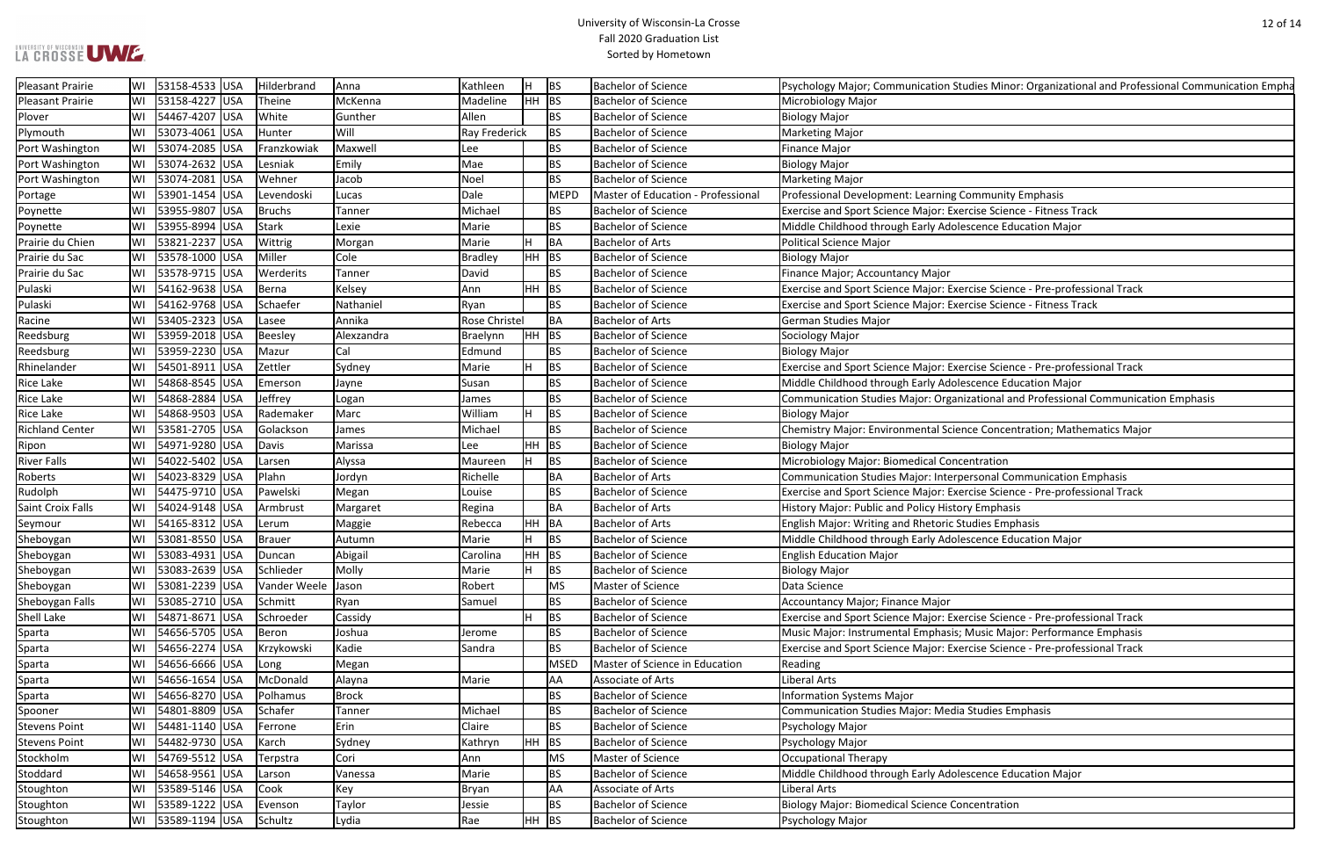| dies Minor: Organizational and Professional Communication Empha |
|-----------------------------------------------------------------|
|                                                                 |
|                                                                 |
|                                                                 |
|                                                                 |
|                                                                 |
|                                                                 |
| ommunity Emphasis                                               |
| cise Science - Fitness Track                                    |
| cence Education Major                                           |
|                                                                 |
|                                                                 |
|                                                                 |
| cise Science - Pre-professional Track                           |
| cise Science - Fitness Track                                    |
|                                                                 |
|                                                                 |
|                                                                 |
| cise Science - Pre-professional Track                           |
| cence Education Major                                           |
| ational and Professional Communication Emphasis                 |
|                                                                 |
| ce Concentration; Mathematics Major                             |
| ntration                                                        |
| rsonal Communication Emphasis                                   |
| cise Science - Pre-professional Track                           |
| y Emphasis                                                      |
| dies Emphasis                                                   |
| cence Education Major                                           |
|                                                                 |
|                                                                 |
|                                                                 |
|                                                                 |
| cise Science - Pre-professional Track                           |
| <b>Ausic Major: Performance Emphasis</b>                        |
| cise Science - Pre-professional Track                           |
|                                                                 |
|                                                                 |
|                                                                 |
| <b>Studies Emphasis</b>                                         |
|                                                                 |
|                                                                 |
|                                                                 |
| cence Education Major                                           |
|                                                                 |
| centration                                                      |
|                                                                 |

| Pleasant Prairie         | WI | 53158-4533 USA        | Hilderbrand   | Anna         | Kathleen             | H       | <b>BS</b>   | <b>Bachelor of Science</b>         | Psychology Major; Communication Studies Minor: Organizational and Professional Communication Empha |
|--------------------------|----|-----------------------|---------------|--------------|----------------------|---------|-------------|------------------------------------|----------------------------------------------------------------------------------------------------|
| Pleasant Prairie         |    | 53158-4227 USA        | Theine        | McKenna      | Madeline             | $HH$ BS |             | <b>Bachelor of Science</b>         | Microbiology Major                                                                                 |
| Plover                   |    | 54467-4207 USA        | White         | Gunther      | Allen                |         | <b>BS</b>   | <b>Bachelor of Science</b>         | <b>Biology Major</b>                                                                               |
| Plymouth                 | WI | 53073-4061 USA        | Hunter        | Will         | <b>Ray Frederick</b> |         | <b>BS</b>   | <b>Bachelor of Science</b>         | Marketing Major                                                                                    |
| Port Washington          | WI | 53074-2085 USA        | Franzkowiak   | Maxwell      | Lee                  |         | <b>BS</b>   | <b>Bachelor of Science</b>         | <b>Finance Major</b>                                                                               |
| Port Washington          |    | 53074-2632 USA        | Lesniak       | Emily        | Mae                  |         | <b>BS</b>   | <b>Bachelor of Science</b>         | <b>Biology Major</b>                                                                               |
| Port Washington          |    | 53074-2081 USA        | Wehner        | Jacob        | Noel                 |         | ВS          | <b>Bachelor of Science</b>         | <b>Marketing Major</b>                                                                             |
| Portage                  | WI | 53901-1454 USA        | Levendoski    | Lucas        | Dale                 |         | <b>MEPD</b> | Master of Education - Professional | Professional Development: Learning Community Emphasis                                              |
| Poynette                 |    | 53955-9807 USA        | Bruchs        | Tanner       | Michael              |         | BS          | <b>Bachelor of Science</b>         | Exercise and Sport Science Major: Exercise Science - Fitness Track                                 |
| Poynette                 | WI | 53955-8994 USA        | Stark         | Lexie        | Marie                |         | BS          | <b>Bachelor of Science</b>         | Middle Childhood through Early Adolescence Education Major                                         |
| Prairie du Chien         | WI | 53821-2237 USA        | Wittrig       | Morgan       | Marie                | Н.      | BA          | <b>Bachelor of Arts</b>            | Political Science Major                                                                            |
| Prairie du Sac           | WI | 53578-1000 USA        | Miller        | Cole         | <b>Bradley</b>       | HH BS   |             | <b>Bachelor of Science</b>         | <b>Biology Major</b>                                                                               |
| Prairie du Sac           |    | 53578-9715 USA        | Werderits     | Tanner       | David                |         | <b>BS</b>   | <b>Bachelor of Science</b>         | Finance Major; Accountancy Major                                                                   |
| Pulaski                  | WI | 54162-9638 USA        | Berna         | Kelsey       | Ann                  | $HH$ BS |             | <b>Bachelor of Science</b>         | Exercise and Sport Science Major: Exercise Science - Pre-professional Track                        |
| Pulaski                  | WI | 54162-9768 USA        | Schaefer      | Nathaniel    | Ryan                 |         | BS          | <b>Bachelor of Science</b>         | Exercise and Sport Science Major: Exercise Science - Fitness Track                                 |
| Racine                   | WI | 53405-2323 USA        | Lasee         | Annika       | Rose Christel        |         | BA          | <b>Bachelor of Arts</b>            | German Studies Major                                                                               |
| Reedsburg                | WI | 53959-2018   USA      | Beesley       | Alexzandra   | <b>Braelynn</b>      | HH BS   |             | <b>Bachelor of Science</b>         | Sociology Major                                                                                    |
| Reedsburg                | WI | 53959-2230 USA        | Mazur         | Cal          | Edmund               |         | <b>BS</b>   | <b>Bachelor of Science</b>         | <b>Biology Major</b>                                                                               |
| Rhinelander              | WI | 54501-8911 USA        | Zettler       | Sydney       | Marie                | H.      | BS          | <b>Bachelor of Science</b>         | Exercise and Sport Science Major: Exercise Science - Pre-professional Track                        |
| <b>Rice Lake</b>         | WI | 54868-8545 USA        | Emerson       | Jayne        | Susan                |         | BS          | <b>Bachelor of Science</b>         | Middle Childhood through Early Adolescence Education Major                                         |
| <b>Rice Lake</b>         | WI | 54868-2884 USA        | Jeffrey       | Logan        | James                |         | <b>BS</b>   | <b>Bachelor of Science</b>         | Communication Studies Major: Organizational and Professional Communication Emphasis                |
| <b>Rice Lake</b>         |    | 54868-9503 USA        | Rademaker     | Marc         | William              | H       | <b>BS</b>   | <b>Bachelor of Science</b>         | <b>Biology Major</b>                                                                               |
| <b>Richland Center</b>   | WI | 53581-2705 USA        | Golackson     | James        | Michael              |         | <b>BS</b>   | <b>Bachelor of Science</b>         | Chemistry Major: Environmental Science Concentration; Mathematics Major                            |
| Ripon                    | WI | 54971-9280 USA        | Davis         | Marissa      | Lee                  | $HH$ BS |             | <b>Bachelor of Science</b>         | <b>Biology Major</b>                                                                               |
| <b>River Falls</b>       |    | 54022-5402 USA        | Larsen        | Alyssa       | Maureen              | H.      | <b>BS</b>   | <b>Bachelor of Science</b>         | Microbiology Major: Biomedical Concentration                                                       |
| Roberts                  | WI | 54023-8329 USA        | Plahn         | Jordyn       | Richelle             |         | ΒA          | <b>Bachelor of Arts</b>            | Communication Studies Major: Interpersonal Communication Emphasis                                  |
| Rudolph                  |    | 54475-9710 USA        | Pawelski      | Megan        | Louise               |         | <b>BS</b>   | <b>Bachelor of Science</b>         | Exercise and Sport Science Major: Exercise Science - Pre-professional Track                        |
| <b>Saint Croix Falls</b> | WI | 54024-9148 USA        | Armbrust      | Margaret     | Regina               |         | BA          | <b>Bachelor of Arts</b>            | History Major: Public and Policy History Emphasis                                                  |
| Seymour                  | WI | 54165-8312 USA        | Lerum         | Maggie       | Rebecca              | HH BA   |             | <b>Bachelor of Arts</b>            | English Major: Writing and Rhetoric Studies Emphasis                                               |
| Sheboygan                | WI | 53081-8550 USA        | <b>Brauer</b> | Autumn       | Marie                | Н.      | <b>BS</b>   | <b>Bachelor of Science</b>         | Middle Childhood through Early Adolescence Education Major                                         |
| Sheboygan                |    | WI 53083-4931 USA     | Duncan        | Abigail      | Carolina             | HH BS   |             | <b>Bachelor of Science</b>         | <b>English Education Major</b>                                                                     |
| Sheboygan                |    | 53083-2639 USA        | Schlieder     | Molly        | Marie                | H       | BS          | <b>Bachelor of Science</b>         | <b>Biology Major</b>                                                                               |
| Sheboygan                | WI | 53081-2239 USA        | Vander Weele  | Jason        | Robert               |         | <b>MS</b>   | Master of Science                  | Data Science                                                                                       |
| Sheboygan Falls          | WI | 53085-2710 USA        | Schmitt       | Ryan         | Samuel               |         | <b>BS</b>   | <b>Bachelor of Science</b>         | Accountancy Major; Finance Major                                                                   |
| Shell Lake               | WI | 54871-8671 USA        | Schroeder     | Cassidy      |                      | H       | BS          | <b>Bachelor of Science</b>         | Exercise and Sport Science Major: Exercise Science - Pre-professional Track                        |
| Sparta                   | WI | 54656-5705 USA        | Beron         | Joshua       | Jerome               |         | BS          | <b>Bachelor of Science</b>         | Music Major: Instrumental Emphasis; Music Major: Performance Emphasis                              |
| Sparta                   | WI | 54656-2274 USA        | Krzykowski    | Kadie        | Sandra               |         | ΒS          | <b>Bachelor of Science</b>         | Exercise and Sport Science Major: Exercise Science - Pre-professional Track                        |
| Sparta                   | WI | 54656-6666 USA        | Long          | Megan        |                      |         | <b>MSED</b> | Master of Science in Education     | Reading                                                                                            |
| Sparta                   | WI | 54656-1654 USA        | McDonald      | Alayna       | Marie                |         | AA          | Associate of Arts                  | <b>Liberal Arts</b>                                                                                |
| Sparta                   | WI | 54656-8270 USA        | Polhamus      | <b>Brock</b> |                      |         | <b>BS</b>   | <b>Bachelor of Science</b>         | <b>Information Systems Major</b>                                                                   |
| Spooner                  | WI | 54801-8809 USA        | Schafer       | Tanner       | Michael              |         | <b>BS</b>   | <b>Bachelor of Science</b>         | <b>Communication Studies Major: Media Studies Emphasis</b>                                         |
| <b>Stevens Point</b>     |    | WI   54481-1140   USA | Ferrone       | Erin         | Claire               |         | BS          | <b>Bachelor of Science</b>         | Psychology Major                                                                                   |
| <b>Stevens Point</b>     | WI | 54482-9730 USA        | Karch         | Sydney       | Kathryn              | HH BS   |             | <b>Bachelor of Science</b>         | Psychology Major                                                                                   |
| Stockholm                | WI | 54769-5512 USA        | Terpstra      | Cori         | Ann                  |         | MS          | Master of Science                  | Occupational Therapy                                                                               |
| Stoddard                 | WI | 54658-9561 USA        | Larson        | Vanessa      | Marie                |         | ВS          | <b>Bachelor of Science</b>         | Middle Childhood through Early Adolescence Education Major                                         |
| Stoughton                | WI | 53589-5146 USA        | Cook          | Key          | Bryan                |         | AA          | Associate of Arts                  | <b>Liberal Arts</b>                                                                                |
| Stoughton                | WI | 53589-1222 USA        | Evenson       | Taylor       | Jessie               |         | BS          | <b>Bachelor of Science</b>         | <b>Biology Major: Biomedical Science Concentration</b>                                             |
| Stoughton                |    | WI   53589-1194   USA | Schultz       | Lydia        | Rae                  | $HH$ BS |             | <b>Bachelor of Science</b>         | Psychology Major                                                                                   |
|                          |    |                       |               |              |                      |         |             |                                    |                                                                                                    |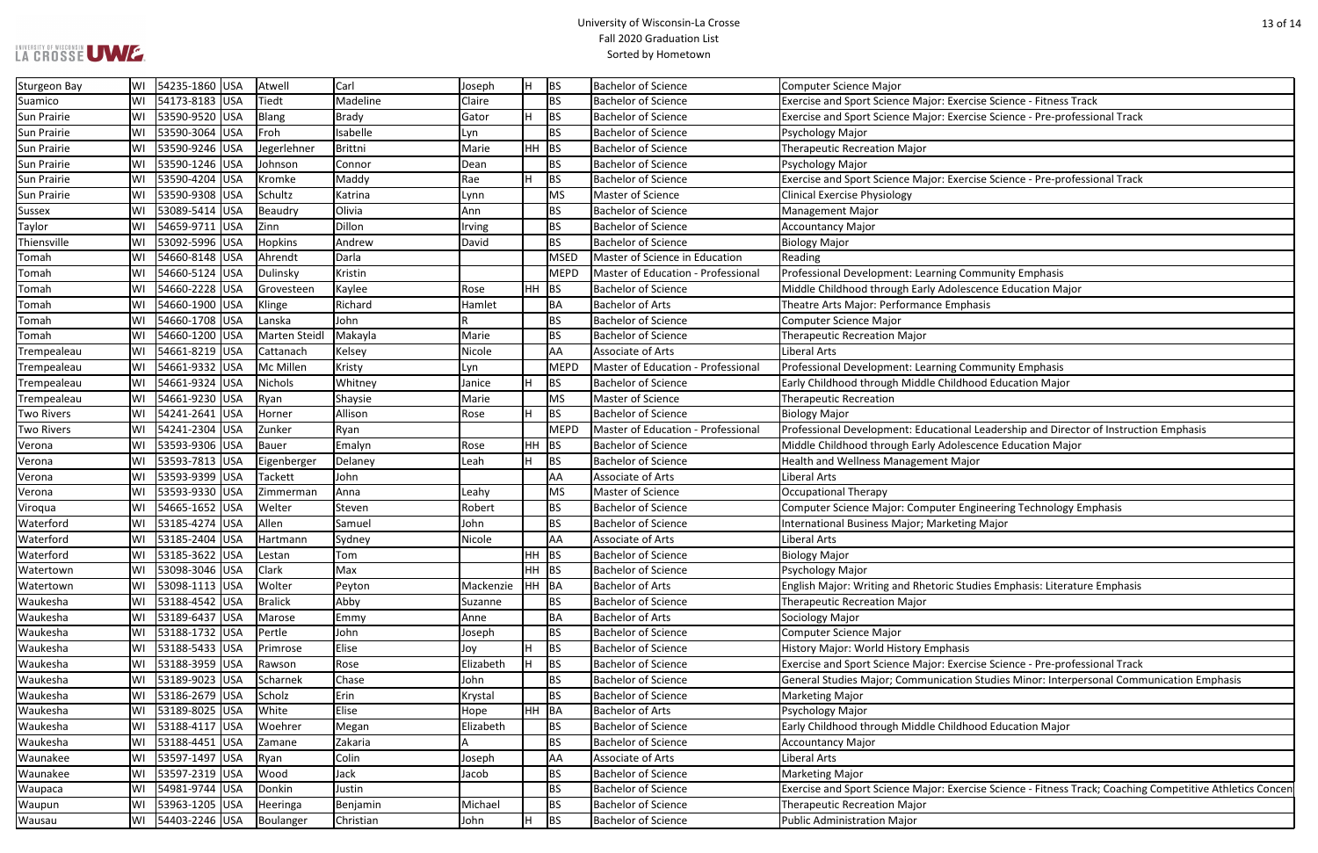#### University of Wisconsin-La Crosse Fall 2020 Graduation List Sorted by Hometown

| rcise Science - Fitness Track                         |
|-------------------------------------------------------|
| rcise Science - Pre-professional Track                |
|                                                       |
|                                                       |
|                                                       |
| rcise Science - Pre-professional Track                |
|                                                       |
|                                                       |
|                                                       |
|                                                       |
|                                                       |
| ommunity Emphasis                                     |
| scence Education Major                                |
| hasis                                                 |
|                                                       |
|                                                       |
|                                                       |
| ommunity Emphasis                                     |
| ood Education Major                                   |
|                                                       |
|                                                       |
| al Leadership and Director of Instruction Emphasis    |
| scence Education Major                                |
| jor                                                   |
|                                                       |
|                                                       |
| ngineering Technology Emphasis                        |
| ng Major                                              |
|                                                       |
|                                                       |
|                                                       |
| udies Emphasis: Literature Emphasis                   |
|                                                       |
|                                                       |
|                                                       |
| S<br>rcise Science - Pre-professional Track           |
|                                                       |
| n Studies Minor: Interpersonal Communication Emphasis |
|                                                       |
|                                                       |

Procise Science - Fitness Track; Coaching Competitive Athletics Concent

| <b>Sturgeon Bay</b> | lWI | 54235-1860 USA  | Atwell         | Carl         | Joseph    | IH.   | BS          | <b>Bachelor of Science</b>                | <b>Computer Science Major</b>                                                                   |
|---------------------|-----|-----------------|----------------|--------------|-----------|-------|-------------|-------------------------------------------|-------------------------------------------------------------------------------------------------|
| Suamico             | W١  | 54173-8183 USA  | Tiedt          | Madeline     | Claire    |       | <b>BS</b>   | <b>Bachelor of Science</b>                | Exercise and Sport Science Major: Exercise Science - Fitness Track                              |
| Sun Prairie         |     | 53590-9520 USA  | Blang          | <b>Brady</b> | Gator     | H.    | BS          | <b>Bachelor of Science</b>                | Exercise and Sport Science Major: Exercise Science - Pre-professional Track                     |
| <b>Sun Prairie</b>  | WI  | 53590-3064 USA  | Froh           | Isabelle     | Lyn       |       | <b>BS</b>   | <b>Bachelor of Science</b>                | Psychology Major                                                                                |
| Sun Prairie         | WI  | 53590-9246 USA  | Jegerlehner    | Brittni      | Marie     | HH BS |             | <b>Bachelor of Science</b>                | <b>Therapeutic Recreation Major</b>                                                             |
| Sun Prairie         |     | 53590-1246 USA  | Johnson        | Connor       | Dean      |       | <b>BS</b>   | <b>Bachelor of Science</b>                | Psychology Major                                                                                |
| Sun Prairie         | WI  | 53590-4204 USA  | Kromke         | Maddy        | Rae       | H.    | <b>BS</b>   | <b>Bachelor of Science</b>                | Exercise and Sport Science Major: Exercise Science - Pre-professional Track                     |
| <b>Sun Prairie</b>  |     | 53590-9308 USA  | Schultz        | Katrina      | Lynn      |       | MS          | Master of Science                         | <b>Clinical Exercise Physiology</b>                                                             |
| <b>Sussex</b>       | WI  | 53089-5414 USA  | Beaudry        | Olivia       | Ann       |       | <b>BS</b>   | <b>Bachelor of Science</b>                | <b>Management Major</b>                                                                         |
| <b>Taylor</b>       | WI  | 54659-9711 USA  | Zinn           | Dillon       | Irving    |       | <b>BS</b>   | <b>Bachelor of Science</b>                | <b>Accountancy Major</b>                                                                        |
| Thiensville         | WI  | 53092-5996 USA  | <b>Hopkins</b> | Andrew       | David     |       | <b>BS</b>   | <b>Bachelor of Science</b>                | <b>Biology Major</b>                                                                            |
| Tomah               | WI  | 54660-8148 USA  | Ahrendt        | Darla        |           |       | MSED        | Master of Science in Education            | Reading                                                                                         |
| Tomah               |     | 54660-5124 USA  | Dulinsky       | Kristin      |           |       | <b>MEPD</b> | Master of Education - Professional        | Professional Development: Learning Community Emphasis                                           |
| Tomah               | WI  | 54660-2228 USA  | Grovesteen     | Kaylee       | Rose      | HH BS |             | <b>Bachelor of Science</b>                | Middle Childhood through Early Adolescence Education Major                                      |
| Tomah               |     | 54660-1900 USA  | Klinge         | Richard      | Hamlet    |       | <b>BA</b>   | <b>Bachelor of Arts</b>                   | Theatre Arts Major: Performance Emphasis                                                        |
| Tomah               | WI  | 54660-1708 USA  | Lanska         | John         |           |       | <b>BS</b>   | <b>Bachelor of Science</b>                | <b>Computer Science Major</b>                                                                   |
| Tomah               | WI  | 54660-1200 USA  | Marten Steidl  | Makayla      | Marie     |       | <b>BS</b>   | <b>Bachelor of Science</b>                | <b>Therapeutic Recreation Major</b>                                                             |
| Trempealeau         | WI  | 54661-8219 USA  | Cattanach      | Kelsey       | Nicole    |       | AA          | Associate of Arts                         | Liberal Arts                                                                                    |
| Trempealeau         | lWI | 54661-9332 USA  | Mc Millen      | Kristy       | Lyn       |       | <b>MEPD</b> | Master of Education - Professional        | Professional Development: Learning Community Emphasis                                           |
| Trempealeau         | WI  | 54661-9324 USA  | Nichols        | Whitney      | Janice    | H     | <b>BS</b>   | <b>Bachelor of Science</b>                | Early Childhood through Middle Childhood Education Major                                        |
| Trempealeau         |     | 54661-9230 USA  | Ryan           | Shaysie      | Marie     |       | <b>MS</b>   | Master of Science                         | <b>Therapeutic Recreation</b>                                                                   |
| <b>Two Rivers</b>   |     | 54241-2641 USA  | Horner         | Allison      | Rose      | H     | <b>BS</b>   | <b>Bachelor of Science</b>                | <b>Biology Major</b>                                                                            |
| <b>Two Rivers</b>   |     | 54241-2304 USA  | Zunker         | Ryan         |           |       | <b>MEPD</b> | <b>Master of Education - Professional</b> | Professional Development: Educational Leadership and Director of Instruction Emphasis           |
| Verona              | WI  | 53593-9306  USA | Bauer          | Emalyn       | Rose      | HH.   | BS          | <b>Bachelor of Science</b>                | Middle Childhood through Early Adolescence Education Major                                      |
| Verona              |     | 53593-7813 USA  | Eigenberger    | Delaney      | Leah      | H.    | BS          | <b>Bachelor of Science</b>                | Health and Wellness Management Major                                                            |
| Verona              | WI  | 53593-9399  USA | Tackett        | John         |           |       | AA          | Associate of Arts                         | Liberal Arts                                                                                    |
| Verona              |     | 53593-9330 USA  | Zimmerman      | Anna         | Leahy     |       | MS          | Master of Science                         | <b>Occupational Therapy</b>                                                                     |
| Viroqua             | WI  | 54665-1652 USA  | Welter         | Steven       | Robert    |       | <b>BS</b>   | <b>Bachelor of Science</b>                | Computer Science Major: Computer Engineering Technology Emphasis                                |
| Waterford           |     | 53185-4274 USA  | Allen          | Samuel       | John      |       | <b>BS</b>   | <b>Bachelor of Science</b>                | International Business Major; Marketing Major                                                   |
| Waterford           | WI  | 53185-2404 USA  | Hartmann       | Sydney       | Nicole    |       | AA          | Associate of Arts                         | Liberal Arts                                                                                    |
| Waterford           | WI  | 53185-3622 USA  | Lestan         | Tom          |           | HH BS |             | <b>Bachelor of Science</b>                | <b>Biology Major</b>                                                                            |
| Watertown           | WI  | 53098-3046 USA  | Clark          | Max          |           | HH BS |             | <b>Bachelor of Science</b>                | Psychology Major                                                                                |
| Watertown           | WI  | 53098-1113 USA  | Wolter         | Peyton       | Mackenzie | HH BA |             | <b>Bachelor of Arts</b>                   | English Major: Writing and Rhetoric Studies Emphasis: Literature Emphasis                       |
| Waukesha            |     | 53188-4542 USA  | <b>Bralick</b> | Abby         | Suzanne   |       | <b>BS</b>   | <b>Bachelor of Science</b>                | <b>Therapeutic Recreation Major</b>                                                             |
| Waukesha            | WI  | 53189-6437 USA  | Marose         | Emmy         | Anne      |       | BA          | <b>Bachelor of Arts</b>                   | Sociology Major                                                                                 |
| Waukesha            | WI  | 53188-1732 USA  | Pertle         | John         | Joseph    |       | <b>BS</b>   | <b>Bachelor of Science</b>                | Computer Science Major                                                                          |
| Waukesha            | WI  | 53188-5433 USA  | Primrose       | Elise        | Joy       | H.    | BS          | <b>Bachelor of Science</b>                | History Major: World History Emphasis                                                           |
| Waukesha            | WI  | 53188-3959 USA  | Rawson         | Rose         | Elizabeth | H.    | <b>BS</b>   | <b>Bachelor of Science</b>                | Exercise and Sport Science Major: Exercise Science - Pre-professional Track                     |
| Waukesha            |     | 53189-9023 USA  | Scharnek       | Chase        | John      |       | <b>BS</b>   | <b>Bachelor of Science</b>                | General Studies Major; Communication Studies Minor: Interpersonal Communication Emphasis        |
| Waukesha            | WI  | 53186-2679 USA  | Scholz         | Erin         | Krystal   |       | <b>BS</b>   | <b>Bachelor of Science</b>                | <b>Marketing Major</b>                                                                          |
| Waukesha            | WI  | 53189-8025 USA  | White          | Elise        | Hope      | HH BA |             | <b>Bachelor of Arts</b>                   | Psychology Major                                                                                |
| Waukesha            |     | 53188-4117 USA  | Woehrer        | Megan        | Elizabeth |       | <b>BS</b>   | <b>Bachelor of Science</b>                | Early Childhood through Middle Childhood Education Major                                        |
| Waukesha            | WI  | 53188-4451 USA  | Zamane         | Zakaria      |           |       | <b>BS</b>   | <b>Bachelor of Science</b>                | <b>Accountancy Major</b>                                                                        |
| Waunakee            | WI  | 53597-1497 USA  | Ryan           | Colin        | Joseph    |       | AA          | Associate of Arts                         | Liberal Arts                                                                                    |
| Waunakee            | WI  | 53597-2319 USA  | Wood           | Jack         | Jacob     |       | <b>BS</b>   | <b>Bachelor of Science</b>                | <b>Marketing Major</b>                                                                          |
| Waupaca             | WI  | 54981-9744 USA  | Donkin         | Justin       |           |       | <b>BS</b>   | <b>Bachelor of Science</b>                | Exercise and Sport Science Major: Exercise Science - Fitness Track; Coaching Competitive Athlet |
| Waupun              | WI  | 53963-1205 USA  | Heeringa       | Benjamin     | Michael   |       | <b>BS</b>   | <b>Bachelor of Science</b>                | <b>Therapeutic Recreation Major</b>                                                             |
| Wausau              |     | 54403-2246 USA  | Boulanger      | Christian    | John      | H.    | BS          | <b>Bachelor of Science</b>                | <b>Public Administration Major</b>                                                              |
|                     |     |                 |                |              |           |       |             |                                           |                                                                                                 |